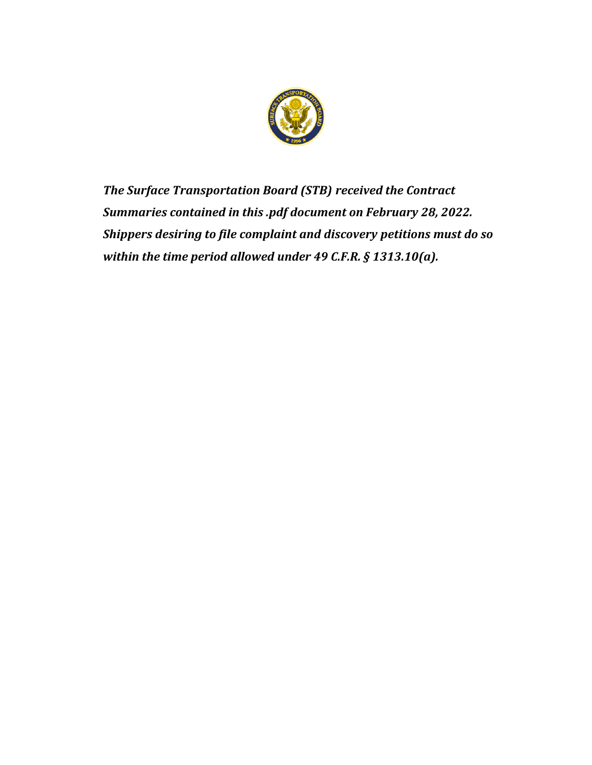

*The Surface Transportation Board (STB) received the Contract Summaries contained in this .pdf document on February 28, 2022. Shippers desiring to file complaint and discovery petitions must do so within the time period allowed under 49 C.F.R. § 1313.10(a).*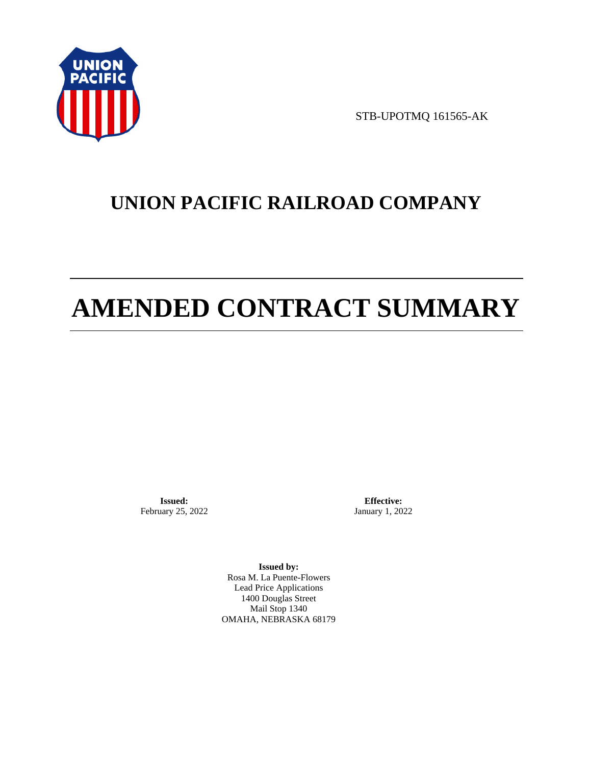

STB-UPOTMQ 161565-AK

# **UNION PACIFIC RAILROAD COMPANY**

# **AMENDED CONTRACT SUMMARY**

**Issued:**  February 25, 2022

**Effective:** January 1, 2022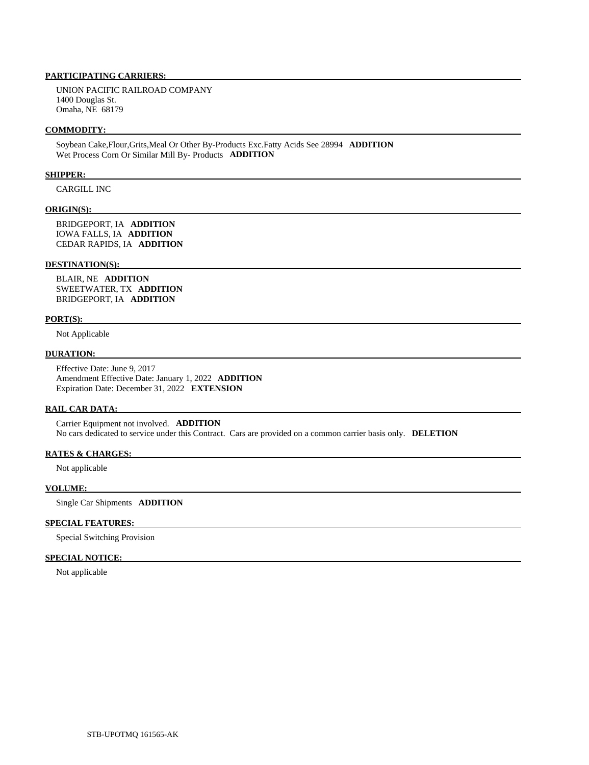UNION PACIFIC RAILROAD COMPANY 1400 Douglas St. Omaha, NE 68179

#### **COMMODITY:**

 Soybean Cake,Flour,Grits,Meal Or Other By-Products Exc.Fatty Acids See 28994 **ADDITION**  Wet Process Corn Or Similar Mill By- Products **ADDITION** 

#### **SHIPPER:**

CARGILL INC

#### **ORIGIN(S):**

 BRIDGEPORT, IA **ADDITION**  IOWA FALLS, IA **ADDITION**  CEDAR RAPIDS, IA **ADDITION** 

#### **DESTINATION(S):**

 BLAIR, NE **ADDITION**  SWEETWATER, TX **ADDITION**  BRIDGEPORT, IA **ADDITION** 

#### **PORT(S):**

Not Applicable

## **DURATION:**

 Effective Date: June 9, 2017 Amendment Effective Date: January 1, 2022 **ADDITION**  Expiration Date: December 31, 2022 **EXTENSION** 

#### **RAIL CAR DATA:**

 Carrier Equipment not involved. **ADDITION**  No cars dedicated to service under this Contract. Cars are provided on a common carrier basis only. **DELETION** 

# **RATES & CHARGES:**

Not applicable

# **VOLUME:**

Single Car Shipments **ADDITION** 

#### **SPECIAL FEATURES:**

Special Switching Provision

#### **SPECIAL NOTICE:**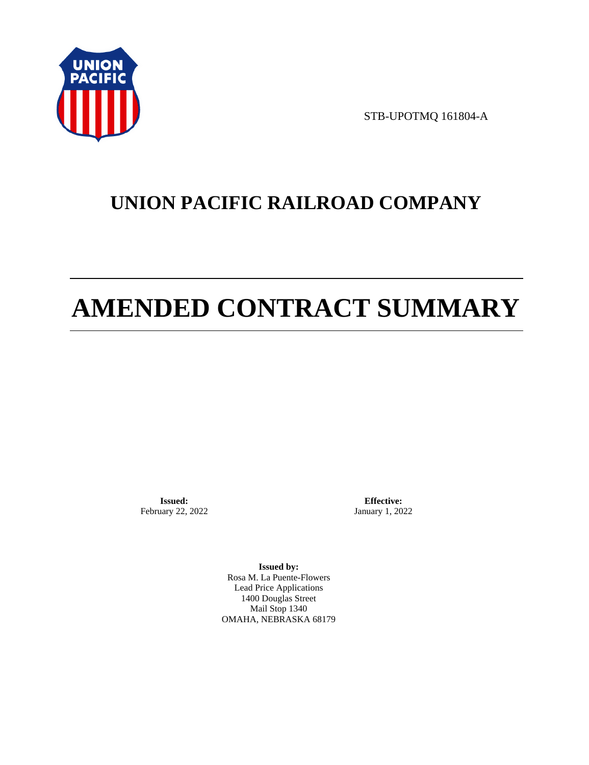

STB-UPOTMQ 161804-A

# **UNION PACIFIC RAILROAD COMPANY**

# **AMENDED CONTRACT SUMMARY**

**Issued:**  February 22, 2022

**Effective:** January 1, 2022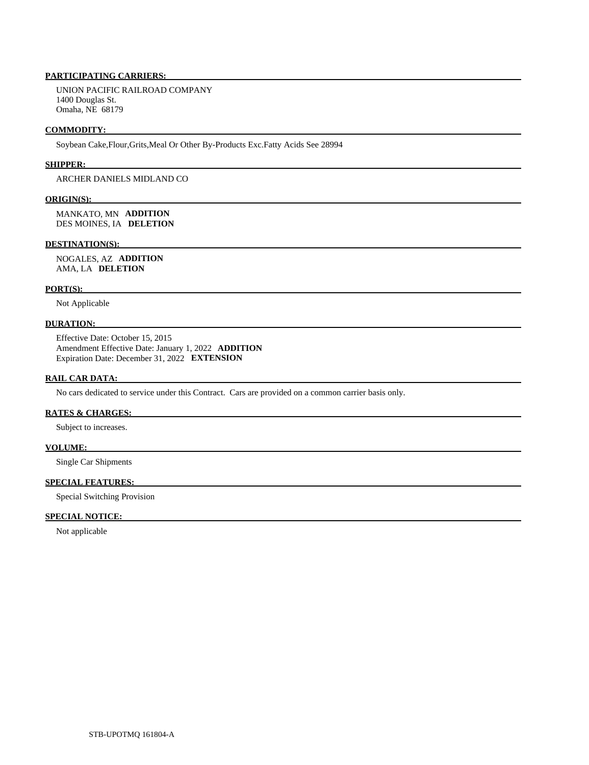UNION PACIFIC RAILROAD COMPANY 1400 Douglas St. Omaha, NE 68179

#### **COMMODITY:**

Soybean Cake,Flour,Grits,Meal Or Other By-Products Exc.Fatty Acids See 28994

#### **SHIPPER:**

ARCHER DANIELS MIDLAND CO

#### **ORIGIN(S):**

 MANKATO, MN **ADDITION**  DES MOINES, IA **DELETION** 

#### **DESTINATION(S):**

 NOGALES, AZ **ADDITION**  AMA, LA **DELETION** 

# **PORT(S):**

Not Applicable

### **DURATION:**

 Effective Date: October 15, 2015 Amendment Effective Date: January 1, 2022 **ADDITION**  Expiration Date: December 31, 2022 **EXTENSION** 

# **RAIL CAR DATA:**

No cars dedicated to service under this Contract. Cars are provided on a common carrier basis only.

## **RATES & CHARGES:**

Subject to increases.

## **VOLUME:**

Single Car Shipments

# **SPECIAL FEATURES:**

Special Switching Provision

# **SPECIAL NOTICE:**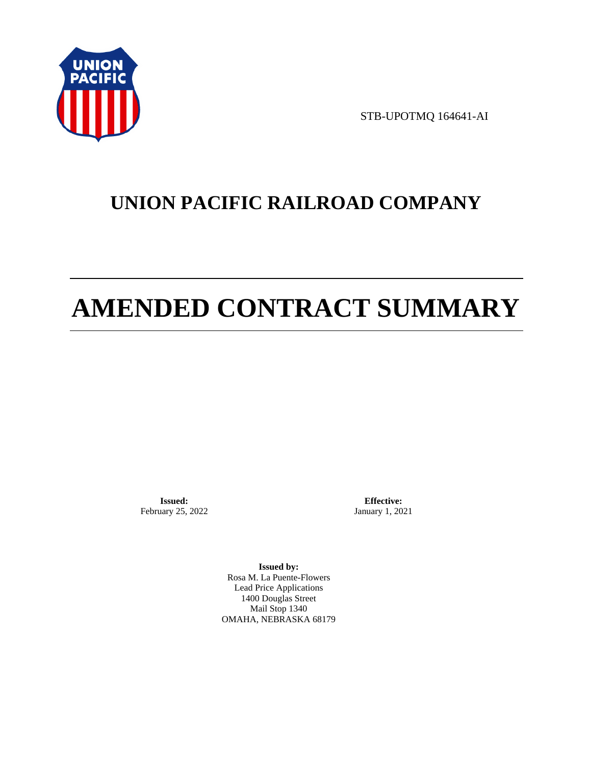

STB-UPOTMQ 164641-AI

# **UNION PACIFIC RAILROAD COMPANY**

# **AMENDED CONTRACT SUMMARY**

**Issued:**  February 25, 2022

**Effective:** January 1, 2021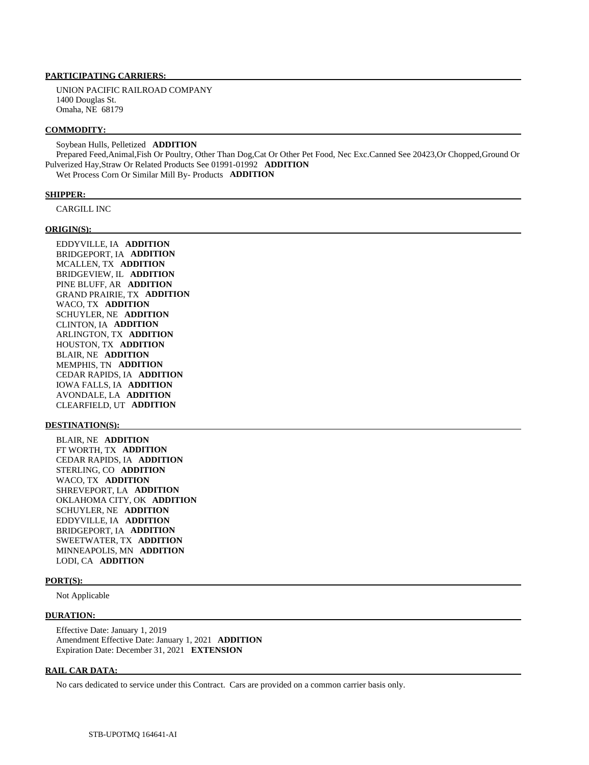UNION PACIFIC RAILROAD COMPANY 1400 Douglas St. Omaha, NE 68179

#### **COMMODITY:**

 Soybean Hulls, Pelletized **ADDITION**  Prepared Feed,Animal,Fish Or Poultry, Other Than Dog,Cat Or Other Pet Food, Nec Exc.Canned See 20423,Or Chopped,Ground Or Pulverized Hay,Straw Or Related Products See 01991-01992 **ADDITION**  Wet Process Corn Or Similar Mill By- Products **ADDITION** 

#### **SHIPPER:**

CARGILL INC

#### **ORIGIN(S):**

 EDDYVILLE, IA **ADDITION**  BRIDGEPORT, IA **ADDITION**  MCALLEN, TX **ADDITION**  BRIDGEVIEW, IL **ADDITION**  PINE BLUFF, AR **ADDITION**  GRAND PRAIRIE, TX **ADDITION**  WACO, TX **ADDITION**  SCHUYLER, NE **ADDITION**  CLINTON, IA **ADDITION**  ARLINGTON, TX **ADDITION**  HOUSTON, TX **ADDITION**  BLAIR, NE **ADDITION**  MEMPHIS, TN **ADDITION**  CEDAR RAPIDS, IA **ADDITION**  IOWA FALLS, IA **ADDITION**  AVONDALE, LA **ADDITION**  CLEARFIELD, UT **ADDITION** 

#### **DESTINATION(S):**

 BLAIR, NE **ADDITION**  FT WORTH, TX **ADDITION**  CEDAR RAPIDS, IA **ADDITION**  STERLING, CO **ADDITION**  WACO, TX **ADDITION**  SHREVEPORT, LA **ADDITION**  OKLAHOMA CITY, OK **ADDITION**  SCHUYLER, NE **ADDITION**  EDDYVILLE, IA **ADDITION**  BRIDGEPORT, IA **ADDITION**  SWEETWATER, TX **ADDITION**  MINNEAPOLIS, MN **ADDITION**  LODI, CA **ADDITION** 

#### **PORT(S):**

Not Applicable

#### **DURATION:**

 Effective Date: January 1, 2019 Amendment Effective Date: January 1, 2021 **ADDITION**  Expiration Date: December 31, 2021 **EXTENSION** 

#### **RAIL CAR DATA:**

No cars dedicated to service under this Contract. Cars are provided on a common carrier basis only.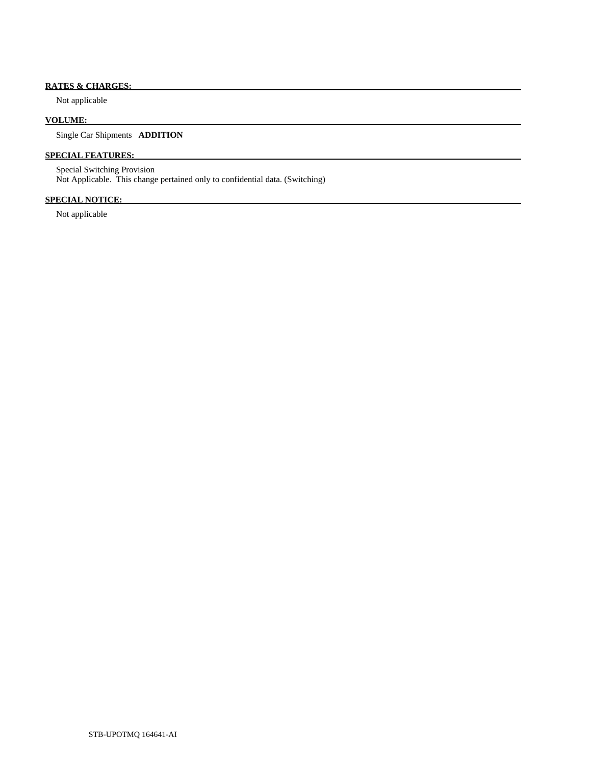# **RATES & CHARGES:**

Not applicable

# **VOLUME:**

Single Car Shipments **ADDITION** 

# **SPECIAL FEATURES:**

 Special Switching Provision Not Applicable. This change pertained only to confidential data. (Switching)

# **SPECIAL NOTICE:**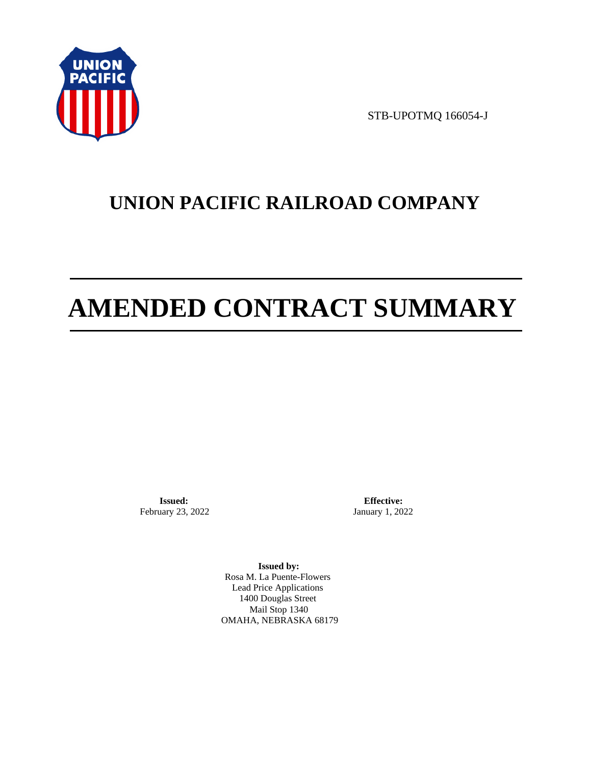

STB-UPOTMQ 166054-J

# **UNION PACIFIC RAILROAD COMPANY**

# **AMENDED CONTRACT SUMMARY**

**Issued:**  February 23, 2022

**Effective:** January 1, 2022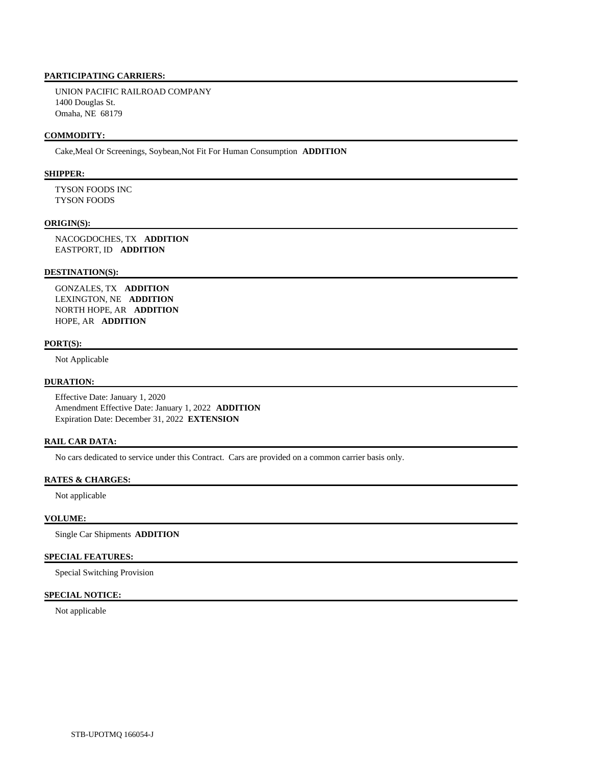UNION PACIFIC RAILROAD COMPANY 1400 Douglas St. Omaha, NE 68179

## **COMMODITY:**

Cake,Meal Or Screenings, Soybean,Not Fit For Human Consumption **ADDITION** 

# **SHIPPER:**

 TYSON FOODS INC TYSON FOODS

#### **ORIGIN(S):**

 NACOGDOCHES, TX **ADDITION**  EASTPORT, ID **ADDITION** 

#### **DESTINATION(S):**

 GONZALES, TX **ADDITION**  LEXINGTON, NE **ADDITION**  NORTH HOPE, AR **ADDITION**  HOPE, AR **ADDITION** 

#### **PORT(S):**

Not Applicable

### **DURATION:**

 Effective Date: January 1, 2020 Amendment Effective Date: January 1, 2022 **ADDITION**  Expiration Date: December 31, 2022 **EXTENSION** 

# **RAIL CAR DATA:**

No cars dedicated to service under this Contract. Cars are provided on a common carrier basis only.

# **RATES & CHARGES:**

Not applicable

# **VOLUME:**

Single Car Shipments **ADDITION** 

### **SPECIAL FEATURES:**

Special Switching Provision

# **SPECIAL NOTICE:**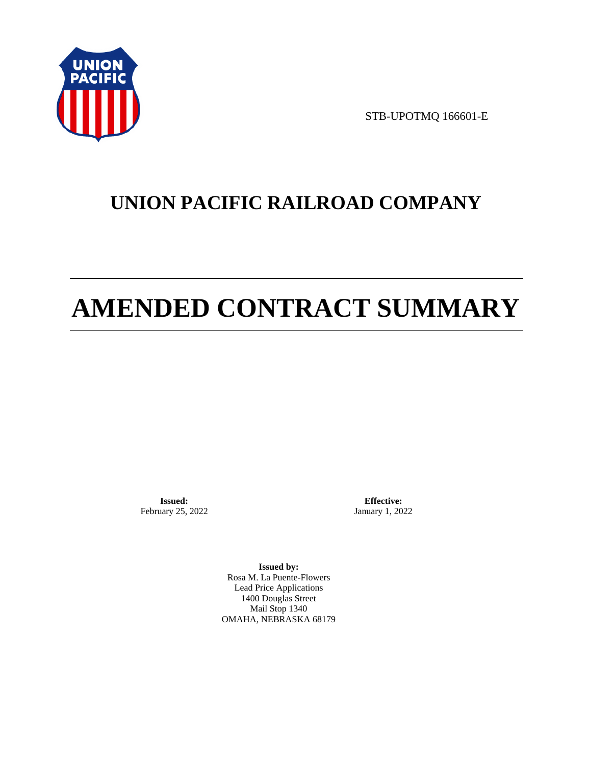

STB-UPOTMQ 166601-E

# **UNION PACIFIC RAILROAD COMPANY**

# **AMENDED CONTRACT SUMMARY**

**Issued:**  February 25, 2022

**Effective:** January 1, 2022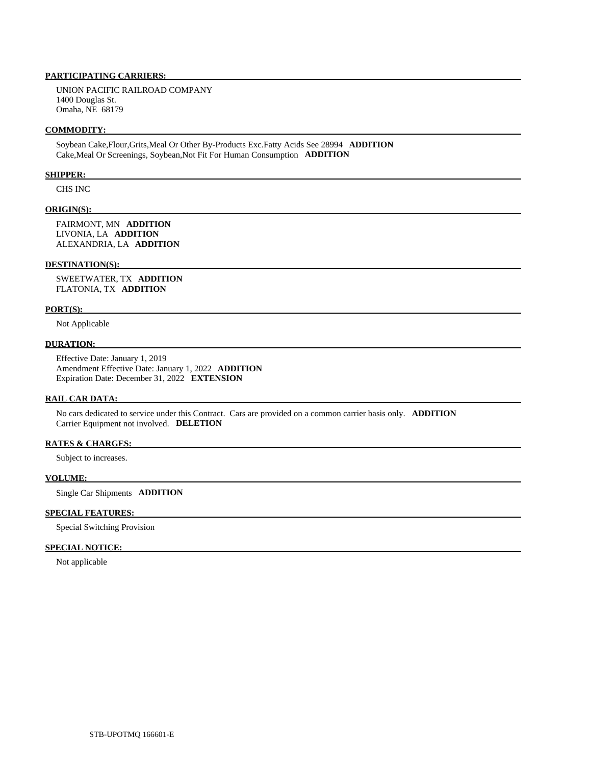UNION PACIFIC RAILROAD COMPANY 1400 Douglas St. Omaha, NE 68179

#### **COMMODITY:**

 Soybean Cake,Flour,Grits,Meal Or Other By-Products Exc.Fatty Acids See 28994 **ADDITION**  Cake,Meal Or Screenings, Soybean,Not Fit For Human Consumption **ADDITION** 

#### **SHIPPER:**

CHS INC

#### **ORIGIN(S):**

 FAIRMONT, MN **ADDITION**  LIVONIA, LA **ADDITION**  ALEXANDRIA, LA **ADDITION** 

#### **DESTINATION(S):**

 SWEETWATER, TX **ADDITION**  FLATONIA, TX **ADDITION** 

#### **PORT(S):**

Not Applicable

#### **DURATION:**

 Effective Date: January 1, 2019 Amendment Effective Date: January 1, 2022 **ADDITION**  Expiration Date: December 31, 2022 **EXTENSION** 

#### **RAIL CAR DATA:**

 No cars dedicated to service under this Contract. Cars are provided on a common carrier basis only. **ADDITION**  Carrier Equipment not involved. **DELETION** 

#### **RATES & CHARGES:**

Subject to increases.

#### **VOLUME:**

Single Car Shipments **ADDITION** 

# **SPECIAL FEATURES:**

Special Switching Provision

## **SPECIAL NOTICE:**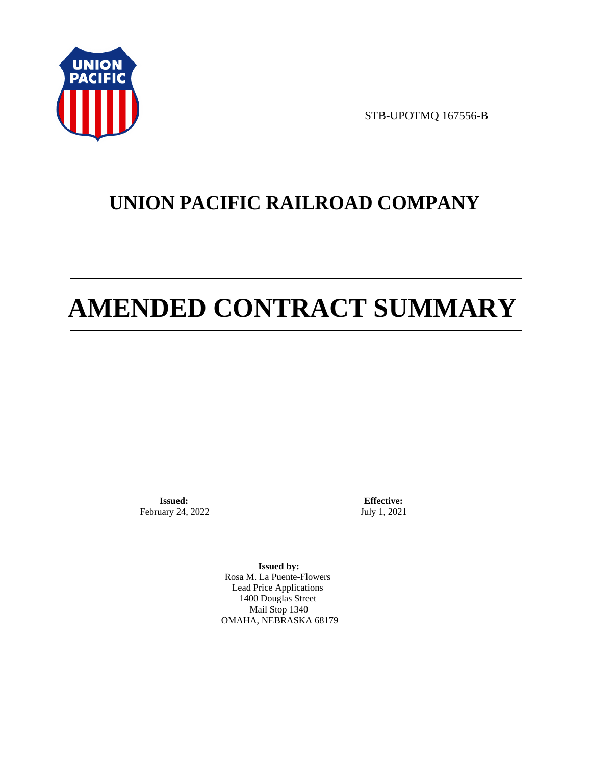

STB-UPOTMQ 167556-B

# **UNION PACIFIC RAILROAD COMPANY**

# **AMENDED CONTRACT SUMMARY**

**Issued:**  February 24, 2022

**Effective:** July 1, 2021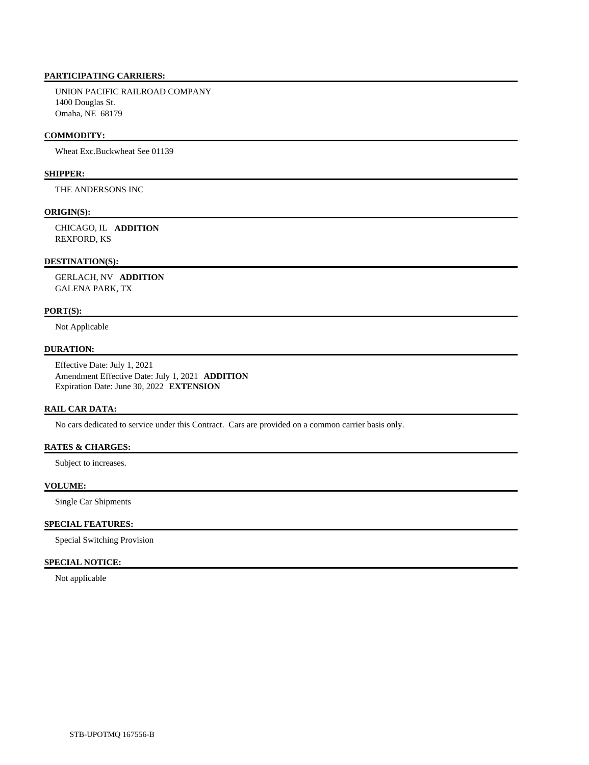UNION PACIFIC RAILROAD COMPANY 1400 Douglas St. Omaha, NE 68179

## **COMMODITY:**

Wheat Exc.Buckwheat See 01139

# **SHIPPER:**

THE ANDERSONS INC

# **ORIGIN(S):**

 CHICAGO, IL **ADDITION**  REXFORD, KS

#### **DESTINATION(S):**

 GERLACH, NV **ADDITION**  GALENA PARK, TX

## **PORT(S):**

Not Applicable

# **DURATION:**

 Effective Date: July 1, 2021 Amendment Effective Date: July 1, 2021 **ADDITION**  Expiration Date: June 30, 2022 **EXTENSION** 

# **RAIL CAR DATA:**

No cars dedicated to service under this Contract. Cars are provided on a common carrier basis only.

# **RATES & CHARGES:**

Subject to increases.

# **VOLUME:**

Single Car Shipments

# **SPECIAL FEATURES:**

Special Switching Provision

# **SPECIAL NOTICE:**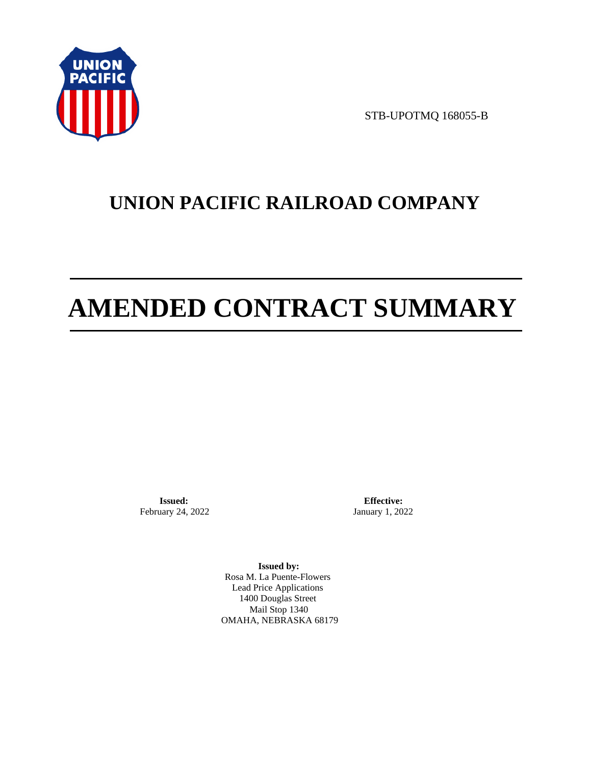

STB-UPOTMQ 168055-B

# **UNION PACIFIC RAILROAD COMPANY**

# **AMENDED CONTRACT SUMMARY**

**Issued:**  February 24, 2022

**Effective:** January 1, 2022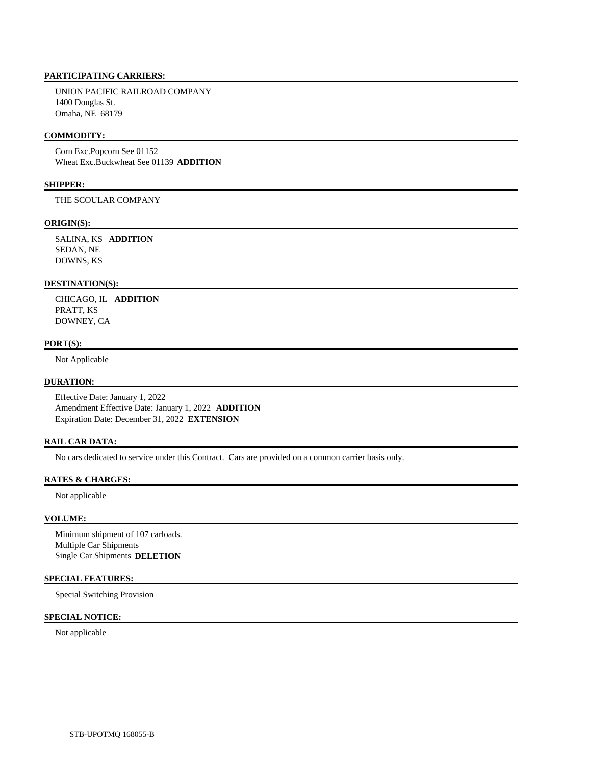UNION PACIFIC RAILROAD COMPANY 1400 Douglas St. Omaha, NE 68179

## **COMMODITY:**

 Corn Exc.Popcorn See 01152 Wheat Exc.Buckwheat See 01139 **ADDITION** 

# **SHIPPER:**

THE SCOULAR COMPANY

#### **ORIGIN(S):**

 SALINA, KS **ADDITION**  SEDAN, NE DOWNS, KS

# **DESTINATION(S):**

 CHICAGO, IL **ADDITION**  PRATT, KS DOWNEY, CA

### **PORT(S):**

Not Applicable

### **DURATION:**

 Effective Date: January 1, 2022 Amendment Effective Date: January 1, 2022 **ADDITION**  Expiration Date: December 31, 2022 **EXTENSION** 

# **RAIL CAR DATA:**

No cars dedicated to service under this Contract. Cars are provided on a common carrier basis only.

# **RATES & CHARGES:**

Not applicable

# **VOLUME:**

 Minimum shipment of 107 carloads. Multiple Car Shipments Single Car Shipments **DELETION** 

#### **SPECIAL FEATURES:**

Special Switching Provision

# **SPECIAL NOTICE:**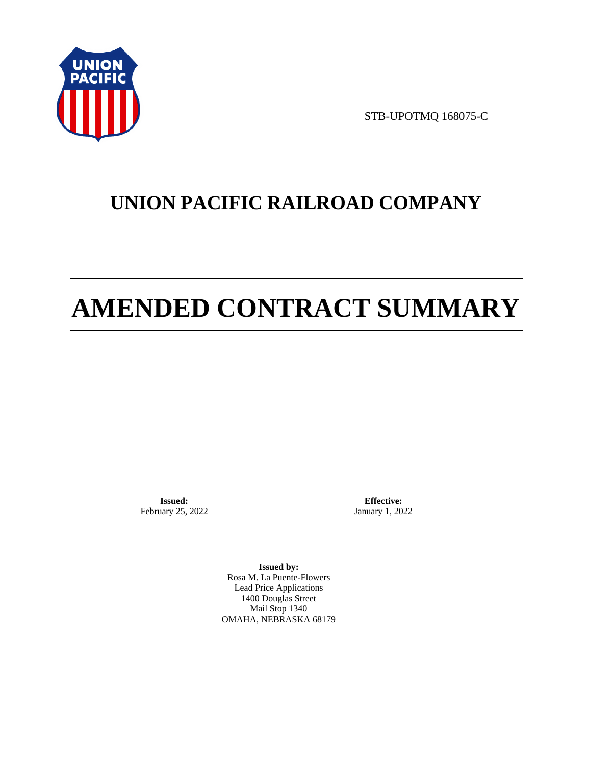

STB-UPOTMQ 168075-C

# **UNION PACIFIC RAILROAD COMPANY**

# **AMENDED CONTRACT SUMMARY**

**Issued:**  February 25, 2022

**Effective:** January 1, 2022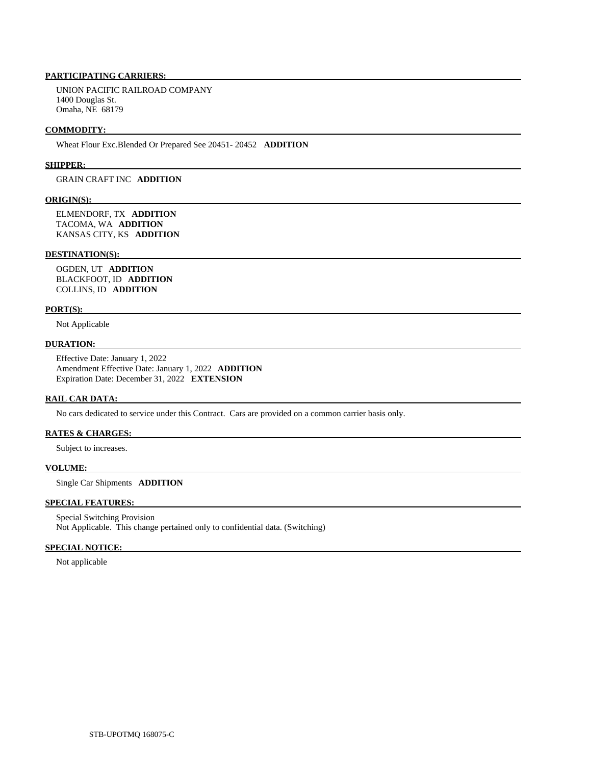UNION PACIFIC RAILROAD COMPANY 1400 Douglas St. Omaha, NE 68179

#### **COMMODITY:**

Wheat Flour Exc.Blended Or Prepared See 20451- 20452 **ADDITION** 

#### **SHIPPER:**

GRAIN CRAFT INC **ADDITION** 

#### **ORIGIN(S):**

 ELMENDORF, TX **ADDITION**  TACOMA, WA **ADDITION**  KANSAS CITY, KS **ADDITION** 

#### **DESTINATION(S):**

 OGDEN, UT **ADDITION**  BLACKFOOT, ID **ADDITION**  COLLINS, ID **ADDITION** 

#### **PORT(S):**

Not Applicable

#### **DURATION:**

 Effective Date: January 1, 2022 Amendment Effective Date: January 1, 2022 **ADDITION**  Expiration Date: December 31, 2022 **EXTENSION** 

# **RAIL CAR DATA:**

No cars dedicated to service under this Contract. Cars are provided on a common carrier basis only.

# **RATES & CHARGES:**

Subject to increases.

#### **VOLUME:**

Single Car Shipments **ADDITION** 

# **SPECIAL FEATURES:**

 Special Switching Provision Not Applicable. This change pertained only to confidential data. (Switching)

## **SPECIAL NOTICE:**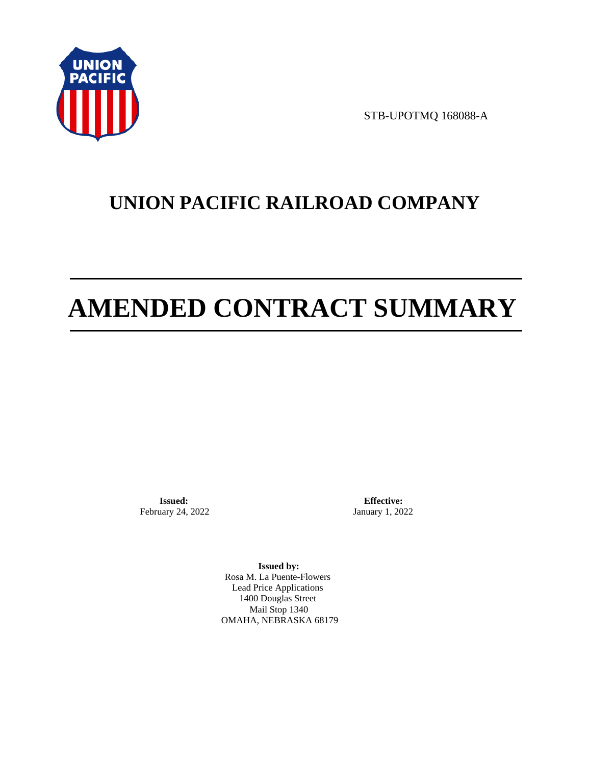

STB-UPOTMQ 168088-A

# **UNION PACIFIC RAILROAD COMPANY**

# **AMENDED CONTRACT SUMMARY**

**Issued:**  February 24, 2022

**Effective:** January 1, 2022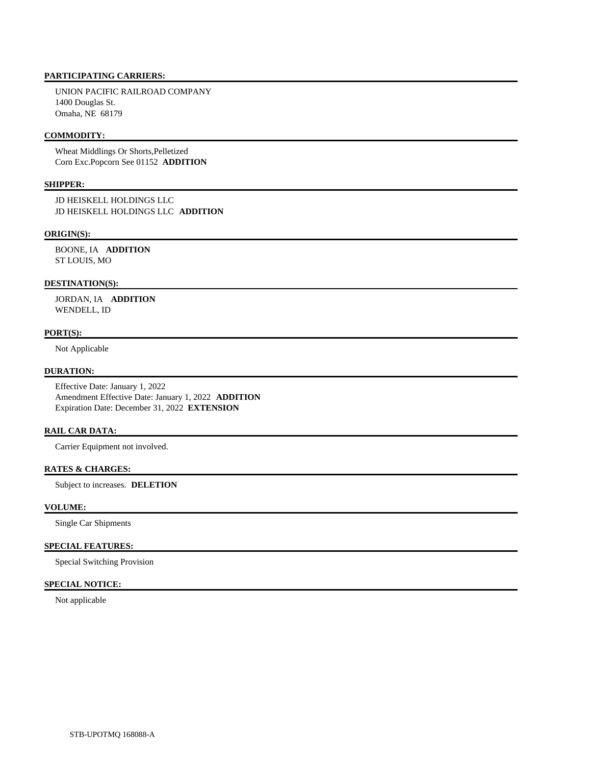UNION PACIFIC RAILROAD COMPANY 1400 Douglas St. Omaha, NE 68179

# **COMMODITY:**

 Wheat Middlings Or Shorts,Pelletized Corn Exc.Popcorn See 01152 **ADDITION** 

# **SHIPPER:**

 JD HEISKELL HOLDINGS LLC JD HEISKELL HOLDINGS LLC **ADDITION** 

#### **ORIGIN(S):**

 BOONE, IA **ADDITION**  ST LOUIS, MO

# **DESTINATION(S):**

 JORDAN, IA **ADDITION**  WENDELL, ID

# **PORT(S):**

Not Applicable

#### **DURATION:**

 Effective Date: January 1, 2022 Amendment Effective Date: January 1, 2022 **ADDITION**  Expiration Date: December 31, 2022 **EXTENSION** 

#### **RAIL CAR DATA:**

Carrier Equipment not involved.

# **RATES & CHARGES:**

Subject to increases. **DELETION** 

# **VOLUME:**

Single Car Shipments

# **SPECIAL FEATURES:**

Special Switching Provision

# **SPECIAL NOTICE:**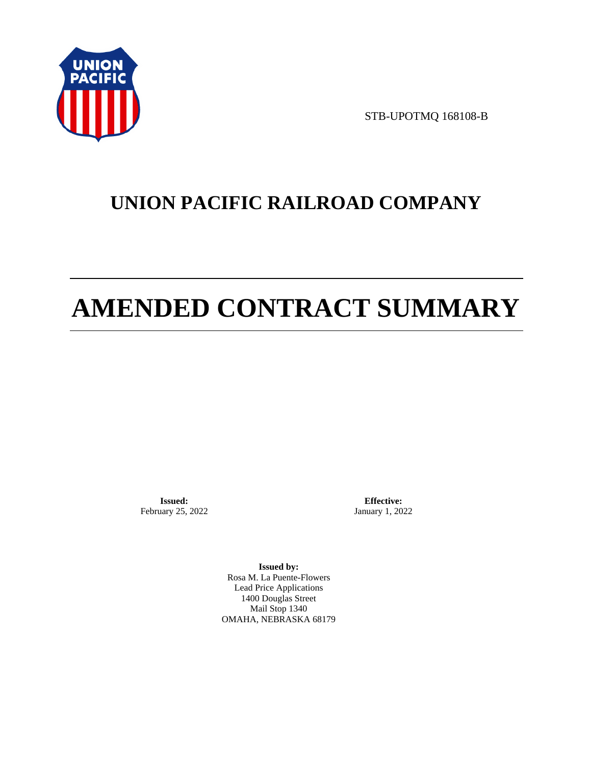

STB-UPOTMQ 168108-B

# **UNION PACIFIC RAILROAD COMPANY**

# **AMENDED CONTRACT SUMMARY**

**Issued:**  February 25, 2022

**Effective:** January 1, 2022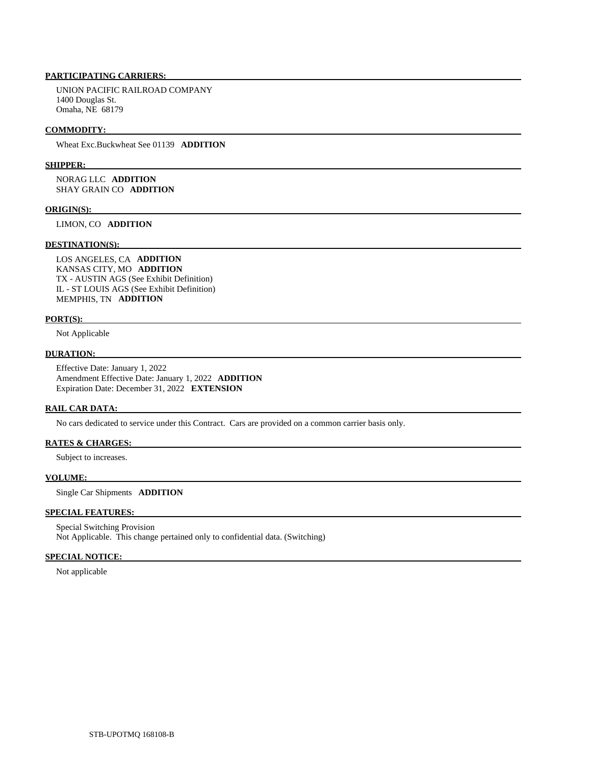UNION PACIFIC RAILROAD COMPANY 1400 Douglas St. Omaha, NE 68179

#### **COMMODITY:**

Wheat Exc.Buckwheat See 01139 **ADDITION** 

#### **SHIPPER:**

 NORAG LLC **ADDITION**  SHAY GRAIN CO **ADDITION** 

#### **ORIGIN(S):**

LIMON, CO **ADDITION** 

#### **DESTINATION(S):**

 LOS ANGELES, CA **ADDITION**  KANSAS CITY, MO **ADDITION**  TX - AUSTIN AGS (See Exhibit Definition) IL - ST LOUIS AGS (See Exhibit Definition) MEMPHIS, TN **ADDITION** 

#### **PORT(S):**

Not Applicable

# **DURATION:**

 Effective Date: January 1, 2022 Amendment Effective Date: January 1, 2022 **ADDITION**  Expiration Date: December 31, 2022 **EXTENSION** 

#### **RAIL CAR DATA:**

No cars dedicated to service under this Contract. Cars are provided on a common carrier basis only.

#### **RATES & CHARGES:**

Subject to increases.

# **VOLUME:**

Single Car Shipments **ADDITION** 

# **SPECIAL FEATURES:**

 Special Switching Provision Not Applicable. This change pertained only to confidential data. (Switching)

#### **SPECIAL NOTICE:**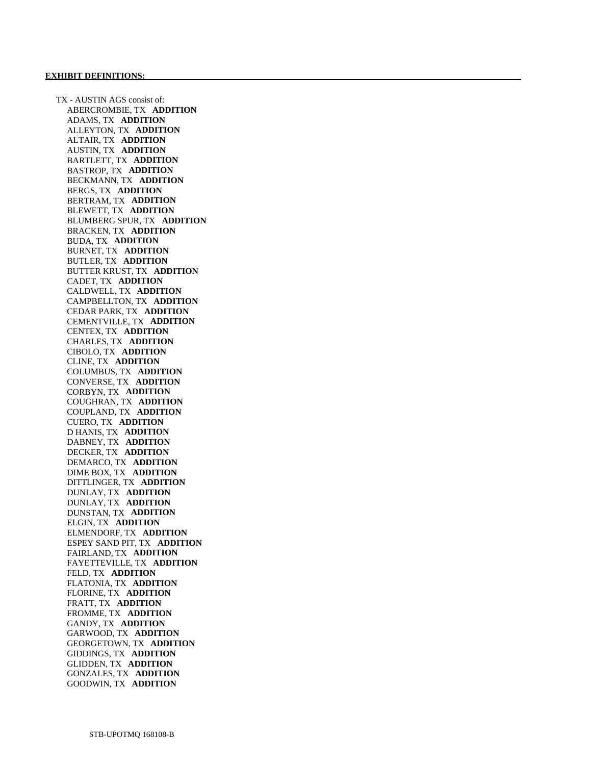TX - AUSTIN AGS consist of: ABERCROMBIE, TX **ADDITION**  ADAMS, TX **ADDITION**  ALLEYTON, TX **ADDITION**  ALTAIR, TX **ADDITION**  AUSTIN, TX **ADDITION**  BARTLETT, TX **ADDITION**  BASTROP, TX **ADDITION**  BECKMANN, TX **ADDITION**  BERGS, TX **ADDITION**  BERTRAM, TX **ADDITION**  BLEWETT, TX **ADDITION**  BLUMBERG SPUR, TX **ADDITION**  BRACKEN, TX **ADDITION**  BUDA, TX **ADDITION**  BURNET, TX **ADDITION**  BUTLER, TX **ADDITION**  BUTTER KRUST, TX **ADDITION**  CADET, TX **ADDITION**  CALDWELL, TX **ADDITION**  CAMPBELLTON, TX **ADDITION**  CEDAR PARK, TX **ADDITION**  CEMENTVILLE, TX **ADDITION**  CENTEX, TX **ADDITION**  CHARLES, TX **ADDITION**  CIBOLO, TX **ADDITION**  CLINE, TX **ADDITION**  COLUMBUS, TX **ADDITION**  CONVERSE, TX **ADDITION**  CORBYN, TX **ADDITION**  COUGHRAN, TX **ADDITION**  COUPLAND, TX **ADDITION**  CUERO, TX **ADDITION**  D HANIS, TX **ADDITION**  DABNEY, TX **ADDITION**  DECKER, TX **ADDITION**  DEMARCO, TX **ADDITION**  DIME BOX, TX **ADDITION**  DITTLINGER, TX **ADDITION**  DUNLAY, TX **ADDITION**  DUNLAY, TX **ADDITION**  DUNSTAN, TX **ADDITION**  ELGIN, TX **ADDITION**  ELMENDORF, TX **ADDITION**  ESPEY SAND PIT, TX **ADDITION**  FAIRLAND, TX **ADDITION**  FAYETTEVILLE, TX **ADDITION**  FELD, TX **ADDITION**  FLATONIA, TX **ADDITION**  FLORINE, TX **ADDITION**  FRATT, TX **ADDITION**  FROMME, TX **ADDITION**  GANDY, TX **ADDITION**  GARWOOD, TX **ADDITION**  GEORGETOWN, TX **ADDITION**  GIDDINGS, TX **ADDITION**  GLIDDEN, TX **ADDITION**  GONZALES, TX **ADDITION**  GOODWIN, TX **ADDITION**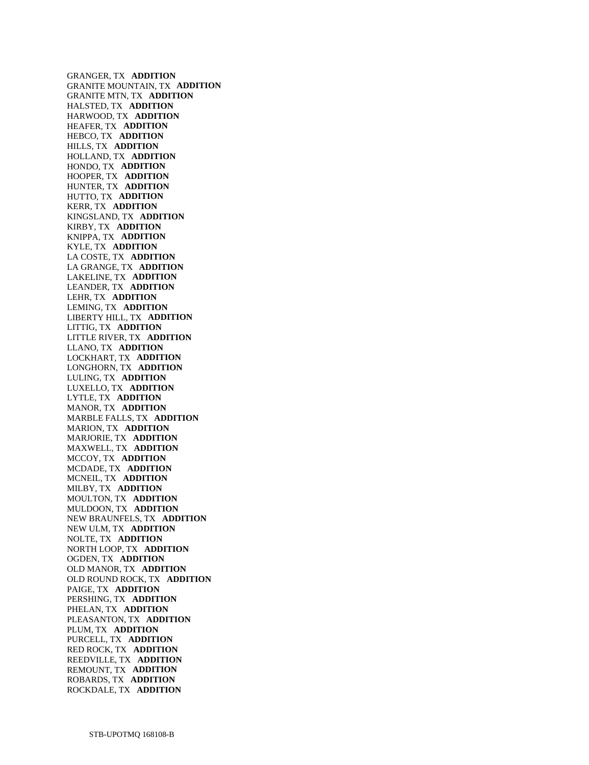GRANGER, TX **ADDITION**  GRANITE MOUNTAIN, TX **ADDITION**  GRANITE MTN, TX **ADDITION**  HALSTED, TX **ADDITION**  HARWOOD, TX **ADDITION**  HEAFER, TX **ADDITION**  HEBCO, TX **ADDITION**  HILLS, TX **ADDITION**  HOLLAND, TX **ADDITION**  HONDO, TX **ADDITION**  HOOPER, TX **ADDITION**  HUNTER, TX **ADDITION**  HUTTO, TX **ADDITION**  KERR, TX **ADDITION**  KINGSLAND, TX **ADDITION**  KIRBY, TX **ADDITION**  KNIPPA, TX **ADDITION**  KYLE, TX **ADDITION**  LA COSTE, TX **ADDITION**  LA GRANGE, TX **ADDITION**  LAKELINE, TX **ADDITION**  LEANDER, TX **ADDITION**  LEHR, TX **ADDITION**  LEMING, TX **ADDITION**  LIBERTY HILL, TX **ADDITION**  LITTIG, TX **ADDITION**  LITTLE RIVER, TX **ADDITION**  LLANO, TX **ADDITION**  LOCKHART, TX **ADDITION**  LONGHORN, TX **ADDITION**  LULING, TX **ADDITION**  LUXELLO, TX **ADDITION**  LYTLE, TX **ADDITION**  MANOR, TX **ADDITION**  MARBLE FALLS, TX **ADDITION**  MARION, TX **ADDITION**  MARJORIE, TX **ADDITION**  MAXWELL, TX **ADDITION**  MCCOY, TX **ADDITION**  MCDADE, TX **ADDITION**  MCNEIL, TX **ADDITION**  MILBY, TX **ADDITION**  MOULTON, TX **ADDITION**  MULDOON, TX **ADDITION**  NEW BRAUNFELS, TX **ADDITION**  NEW ULM, TX **ADDITION**  NOLTE, TX **ADDITION**  NORTH LOOP, TX **ADDITION**  OGDEN, TX **ADDITION**  OLD MANOR, TX **ADDITION**  OLD ROUND ROCK, TX **ADDITION**  PAIGE, TX **ADDITION**  PERSHING, TX **ADDITION**  PHELAN, TX **ADDITION**  PLEASANTON, TX **ADDITION**  PLUM, TX **ADDITION**  PURCELL, TX **ADDITION**  RED ROCK, TX **ADDITION**  REEDVILLE, TX **ADDITION**  REMOUNT, TX **ADDITION**  ROBARDS, TX **ADDITION**  ROCKDALE, TX **ADDITION**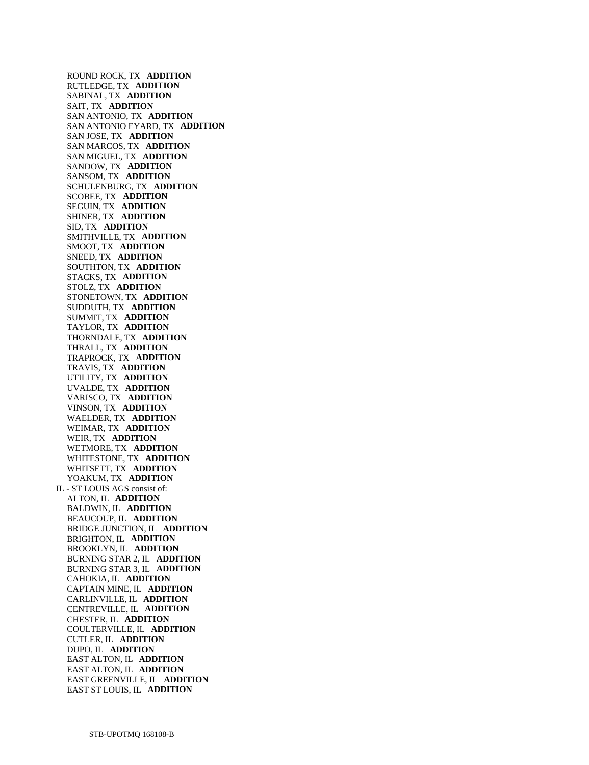ROUND ROCK, TX **ADDITION**  RUTLEDGE, TX **ADDITION**  SABINAL, TX **ADDITION**  SAIT, TX **ADDITION**  SAN ANTONIO, TX **ADDITION**  SAN ANTONIO EYARD, TX **ADDITION**  SAN JOSE, TX **ADDITION**  SAN MARCOS, TX **ADDITION**  SAN MIGUEL, TX **ADDITION**  SANDOW, TX **ADDITION**  SANSOM, TX **ADDITION**  SCHULENBURG, TX **ADDITION**  SCOBEE, TX **ADDITION**  SEGUIN, TX **ADDITION**  SHINER, TX **ADDITION**  SID, TX **ADDITION**  SMITHVILLE, TX **ADDITION**  SMOOT, TX **ADDITION**  SNEED, TX **ADDITION**  SOUTHTON, TX **ADDITION**  STACKS, TX **ADDITION**  STOLZ, TX **ADDITION**  STONETOWN, TX **ADDITION**  SUDDUTH, TX **ADDITION**  SUMMIT, TX **ADDITION**  TAYLOR, TX **ADDITION**  THORNDALE, TX **ADDITION**  THRALL, TX **ADDITION**  TRAPROCK, TX **ADDITION**  TRAVIS, TX **ADDITION**  UTILITY, TX **ADDITION**  UVALDE, TX **ADDITION**  VARISCO, TX **ADDITION**  VINSON, TX **ADDITION**  WAELDER, TX **ADDITION**  WEIMAR, TX **ADDITION**  WEIR, TX **ADDITION**  WETMORE, TX **ADDITION**  WHITESTONE, TX **ADDITION**  WHITSETT, TX **ADDITION**  YOAKUM, TX **ADDITION**  IL - ST LOUIS AGS consist of: ALTON, IL **ADDITION**  BALDWIN, IL **ADDITION**  BEAUCOUP, IL **ADDITION**  BRIDGE JUNCTION, IL **ADDITION**  BRIGHTON, IL **ADDITION**  BROOKLYN, IL **ADDITION**  BURNING STAR 2, IL **ADDITION**  BURNING STAR 3, IL **ADDITION**  CAHOKIA, IL **ADDITION**  CAPTAIN MINE, IL **ADDITION**  CARLINVILLE, IL **ADDITION**  CENTREVILLE, IL **ADDITION**  CHESTER, IL **ADDITION**  COULTERVILLE, IL **ADDITION**  CUTLER, IL **ADDITION**  DUPO, IL **ADDITION**  EAST ALTON, IL **ADDITION**  EAST ALTON, IL **ADDITION**  EAST GREENVILLE, IL **ADDITION**  EAST ST LOUIS, IL **ADDITION**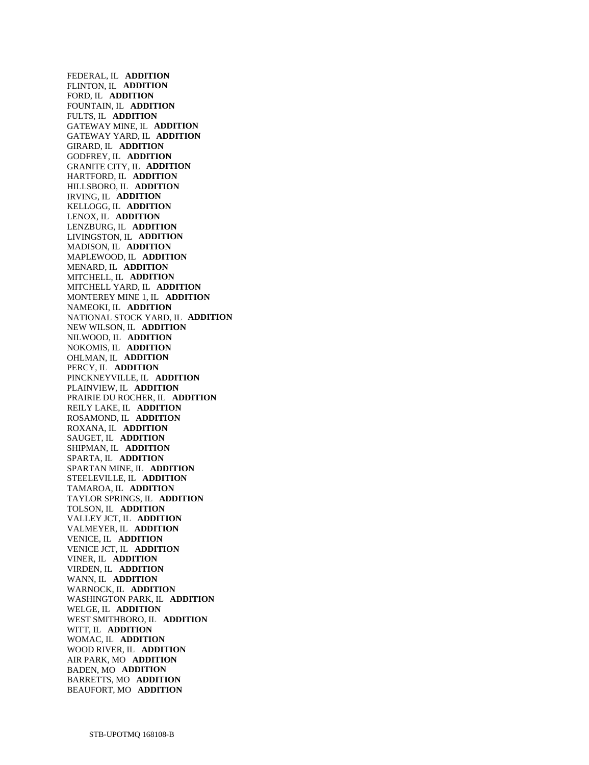FEDERAL, IL **ADDITION**  FLINTON, IL **ADDITION**  FORD, IL **ADDITION**  FOUNTAIN, IL **ADDITION**  FULTS, IL **ADDITION**  GATEWAY MINE, IL **ADDITION**  GATEWAY YARD, IL **ADDITION**  GIRARD, IL **ADDITION**  GODFREY, IL **ADDITION**  GRANITE CITY, IL **ADDITION**  HARTFORD, IL **ADDITION**  HILLSBORO, IL **ADDITION**  IRVING, IL **ADDITION**  KELLOGG, IL **ADDITION**  LENOX, IL **ADDITION**  LENZBURG, IL **ADDITION**  LIVINGSTON, IL **ADDITION**  MADISON, IL **ADDITION**  MAPLEWOOD, IL **ADDITION**  MENARD, IL **ADDITION**  MITCHELL, IL **ADDITION**  MITCHELL YARD, IL **ADDITION**  MONTEREY MINE 1, IL **ADDITION**  NAMEOKI, IL **ADDITION**  NATIONAL STOCK YARD, IL **ADDITION**  NEW WILSON, IL **ADDITION**  NILWOOD, IL **ADDITION**  NOKOMIS, IL **ADDITION**  OHLMAN, IL **ADDITION**  PERCY, IL **ADDITION**  PINCKNEYVILLE, IL **ADDITION**  PLAINVIEW, IL **ADDITION**  PRAIRIE DU ROCHER, IL **ADDITION**  REILY LAKE, IL **ADDITION**  ROSAMOND, IL **ADDITION**  ROXANA, IL **ADDITION**  SAUGET, IL **ADDITION**  SHIPMAN, IL **ADDITION**  SPARTA, IL **ADDITION**  SPARTAN MINE, IL **ADDITION**  STEELEVILLE, IL **ADDITION**  TAMAROA, IL **ADDITION**  TAYLOR SPRINGS, IL **ADDITION**  TOLSON, IL **ADDITION**  VALLEY JCT, IL **ADDITION**  VALMEYER, IL **ADDITION**  VENICE, IL **ADDITION**  VENICE JCT, IL **ADDITION**  VINER, IL **ADDITION**  VIRDEN, IL **ADDITION**  WANN, IL **ADDITION**  WARNOCK, IL **ADDITION**  WASHINGTON PARK, IL **ADDITION**  WELGE, IL **ADDITION**  WEST SMITHBORO, IL **ADDITION**  WITT, IL **ADDITION**  WOMAC, IL **ADDITION**  WOOD RIVER, IL **ADDITION**  AIR PARK, MO **ADDITION**  BADEN, MO **ADDITION**  BARRETTS, MO **ADDITION**  BEAUFORT, MO **ADDITION**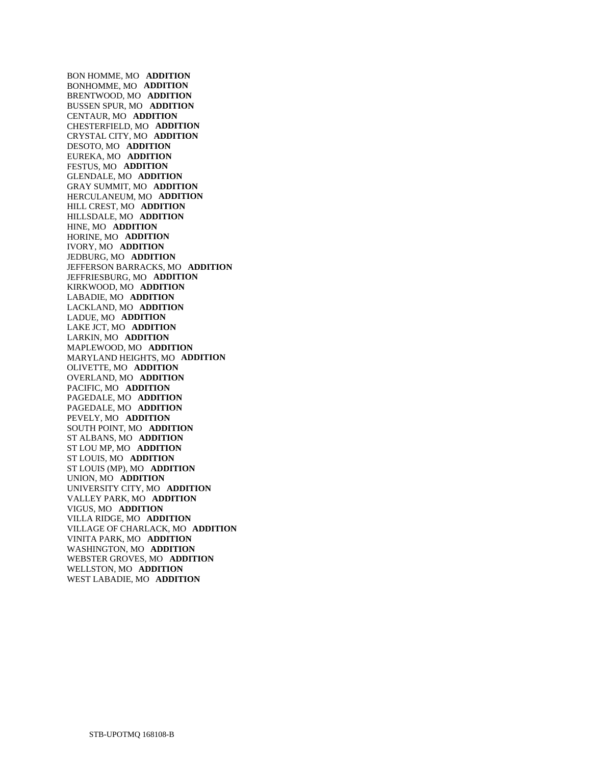BON HOMME, MO **ADDITION**  BONHOMME, MO **ADDITION**  BRENTWOOD, MO **ADDITION**  BUSSEN SPUR, MO **ADDITION**  CENTAUR, MO **ADDITION**  CHESTERFIELD, MO **ADDITION**  CRYSTAL CITY, MO **ADDITION**  DESOTO, MO **ADDITION**  EUREKA, MO **ADDITION**  FESTUS, MO **ADDITION**  GLENDALE, MO **ADDITION**  GRAY SUMMIT, MO **ADDITION**  HERCULANEUM, MO **ADDITION**  HILL CREST, MO **ADDITION**  HILLSDALE, MO **ADDITION**  HINE, MO **ADDITION**  HORINE, MO **ADDITION**  IVORY, MO **ADDITION**  JEDBURG, MO **ADDITION**  JEFFERSON BARRACKS, MO **ADDITION**  JEFFRIESBURG, MO **ADDITION**  KIRKWOOD, MO **ADDITION**  LABADIE, MO **ADDITION**  LACKLAND, MO **ADDITION**  LADUE, MO **ADDITION**  LAKE JCT, MO **ADDITION**  LARKIN, MO **ADDITION**  MAPLEWOOD, MO **ADDITION**  MARYLAND HEIGHTS, MO **ADDITION**  OLIVETTE, MO **ADDITION**  OVERLAND, MO **ADDITION**  PACIFIC, MO **ADDITION**  PAGEDALE, MO **ADDITION**  PAGEDALE, MO **ADDITION**  PEVELY, MO **ADDITION**  SOUTH POINT, MO **ADDITION**  ST ALBANS, MO **ADDITION**  ST LOU MP, MO **ADDITION**  ST LOUIS, MO **ADDITION**  ST LOUIS (MP), MO **ADDITION**  UNION, MO **ADDITION**  UNIVERSITY CITY, MO **ADDITION**  VALLEY PARK, MO **ADDITION**  VIGUS, MO **ADDITION**  VILLA RIDGE, MO **ADDITION**  VILLAGE OF CHARLACK, MO **ADDITION**  VINITA PARK, MO **ADDITION**  WASHINGTON, MO **ADDITION**  WEBSTER GROVES, MO **ADDITION**  WELLSTON, MO **ADDITION**  WEST LABADIE, MO **ADDITION**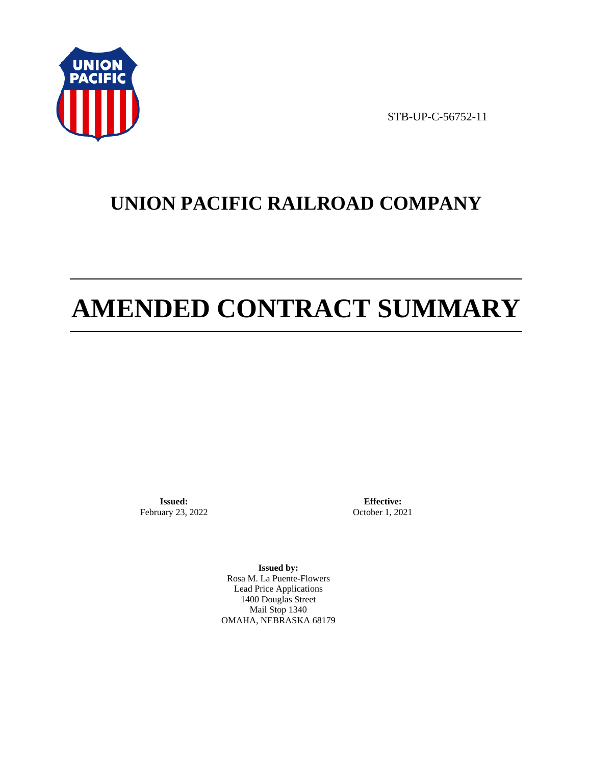

STB-UP-C-56752-11

# **UNION PACIFIC RAILROAD COMPANY**

# **AMENDED CONTRACT SUMMARY**

**Issued:**  February 23, 2022

**Effective:** October 1, 2021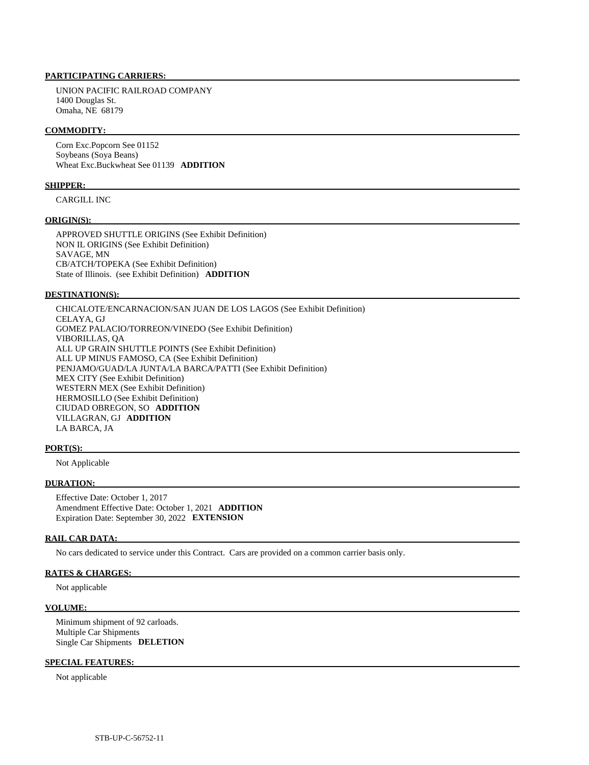UNION PACIFIC RAILROAD COMPANY 1400 Douglas St. Omaha, NE 68179

### **COMMODITY:**

 Corn Exc.Popcorn See 01152 Soybeans (Soya Beans) Wheat Exc.Buckwheat See 01139 **ADDITION** 

#### **SHIPPER:**

CARGILL INC

#### **ORIGIN(S):**

 APPROVED SHUTTLE ORIGINS (See Exhibit Definition) NON IL ORIGINS (See Exhibit Definition) SAVAGE, MN CB/ATCH/TOPEKA (See Exhibit Definition) State of Illinois. (see Exhibit Definition) **ADDITION** 

#### **DESTINATION(S):**

 CHICALOTE/ENCARNACION/SAN JUAN DE LOS LAGOS (See Exhibit Definition) CELAYA, GJ GOMEZ PALACIO/TORREON/VINEDO (See Exhibit Definition) VIBORILLAS, QA ALL UP GRAIN SHUTTLE POINTS (See Exhibit Definition) ALL UP MINUS FAMOSO, CA (See Exhibit Definition) PENJAMO/GUAD/LA JUNTA/LA BARCA/PATTI (See Exhibit Definition) MEX CITY (See Exhibit Definition) WESTERN MEX (See Exhibit Definition) HERMOSILLO (See Exhibit Definition) CIUDAD OBREGON, SO **ADDITION**  VILLAGRAN, GJ **ADDITION**  LA BARCA, JA

#### **PORT(S):**

Not Applicable

# **DURATION:**

 Effective Date: October 1, 2017 Amendment Effective Date: October 1, 2021 **ADDITION**  Expiration Date: September 30, 2022 **EXTENSION** 

#### **RAIL CAR DATA:**

No cars dedicated to service under this Contract. Cars are provided on a common carrier basis only.

#### **RATES & CHARGES:**

Not applicable

#### **VOLUME:**

 Minimum shipment of 92 carloads. Multiple Car Shipments Single Car Shipments **DELETION** 

#### **SPECIAL FEATURES:**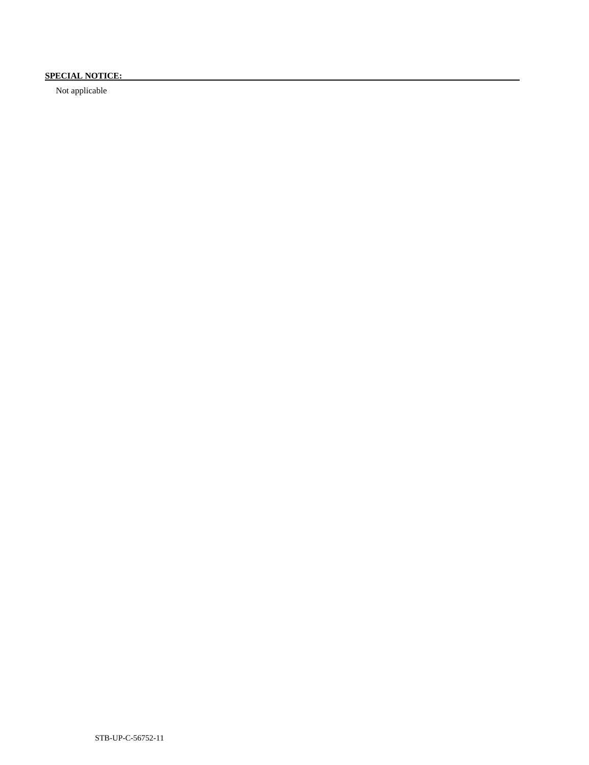# **SPECIAL NOTICE:**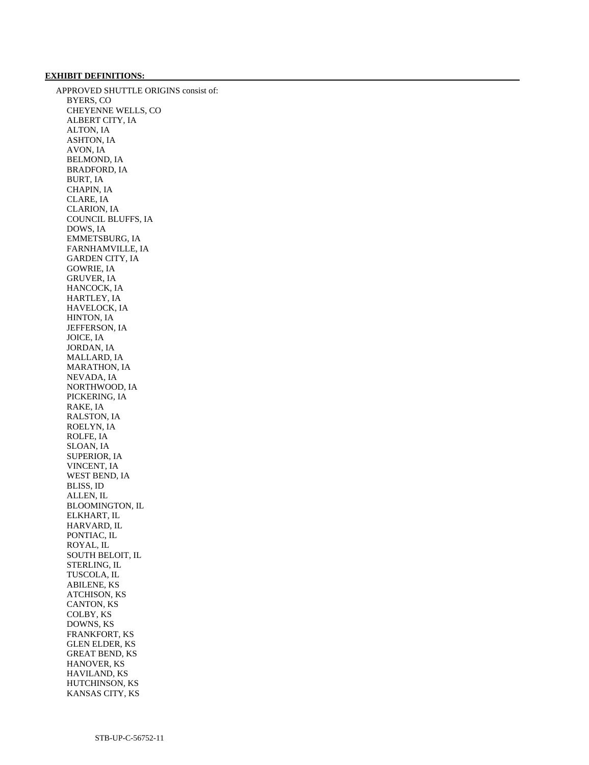### **EXHIBIT DEFINITIONS:**

 APPROVED SHUTTLE ORIGINS consist of: BYERS, CO CHEYENNE WELLS, CO ALBERT CITY, IA ALTON, IA ASHTON, IA AVON, IA BELMOND, IA BRADFORD, IA BURT, IA CHAPIN, IA CLARE, IA CLARION, IA COUNCIL BLUFFS, IA DOWS, IA EMMETSBURG, IA FARNHAMVILLE, IA GARDEN CITY, IA GOWRIE, IA GRUVER, IA HANCOCK, IA HARTLEY, IA HAVELOCK, IA HINTON, IA JEFFERSON, IA JOICE, IA JORDAN, IA MALLARD, IA MARATHON, IA NEVADA, IA NORTHWOOD, IA PICKERING, IA RAKE, IA RALSTON, IA ROELYN, IA ROLFE, IA SLOAN, IA SUPERIOR, IA VINCENT, IA WEST BEND, IA BLISS, ID ALLEN, IL BLOOMINGTON, IL ELKHART, IL HARVARD, IL PONTIAC, IL ROYAL, IL SOUTH BELOIT, IL STERLING, IL TUSCOLA, IL ABILENE, KS ATCHISON, KS CANTON, KS COLBY, KS DOWNS, KS FRANKFORT, KS GLEN ELDER, KS GREAT BEND, KS HANOVER, KS HAVILAND, KS HUTCHINSON, KS KANSAS CITY, KS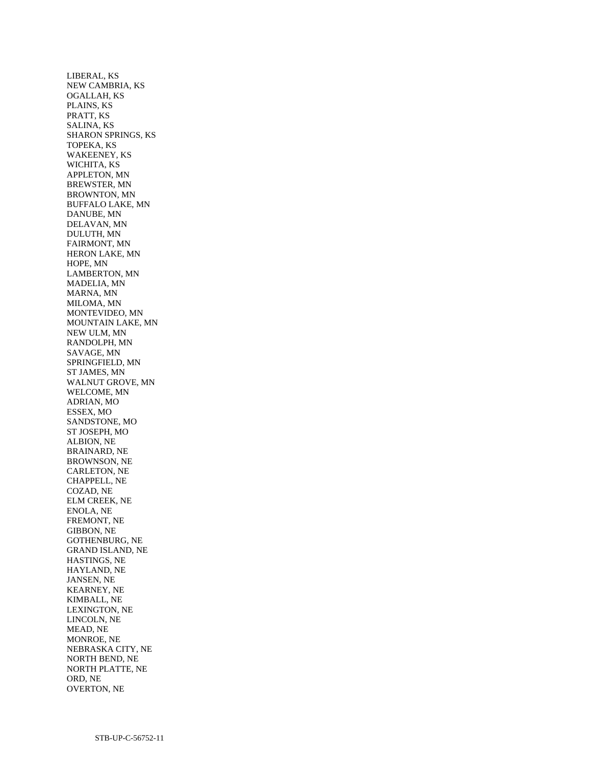LIBERAL, KS NEW CAMBRIA, KS OGALLAH, KS PLAINS, KS PRATT, KS SALINA, KS SHARON SPRINGS, KS TOPEKA, KS WAKEENEY, KS WICHITA, KS APPLETON, MN BREWSTER, MN BROWNTON, MN BUFFALO LAKE, MN DANUBE, MN DELAVAN, MN DULUTH, MN FAIRMONT, MN HERON LAKE, MN HOPE, MN LAMBERTON, MN MADELIA, MN MARNA, MN MILOMA, MN MONTEVIDEO, MN MOUNTAIN LAKE, MN NEW ULM, MN RANDOLPH, MN SAVAGE, MN SPRINGFIELD, MN ST JAMES, MN WALNUT GROVE, MN WELCOME, MN ADRIAN, MO ESSEX, MO SANDSTONE, MO ST JOSEPH, MO ALBION, NE BRAINARD, NE BROWNSON, NE CARLETON, NE CHAPPELL, NE COZAD, NE ELM CREEK, NE ENOLA, NE FREMONT, NE GIBBON, NE GOTHENBURG, NE GRAND ISLAND, NE HASTINGS, NE HAYLAND, NE JANSEN, NE KEARNEY, NE KIMBALL, NE LEXINGTON, NE LINCOLN, NE MEAD, NE MONROE, NE NEBRASKA CITY, NE NORTH BEND, NE NORTH PLATTE, NE ORD, NE OVERTON, NE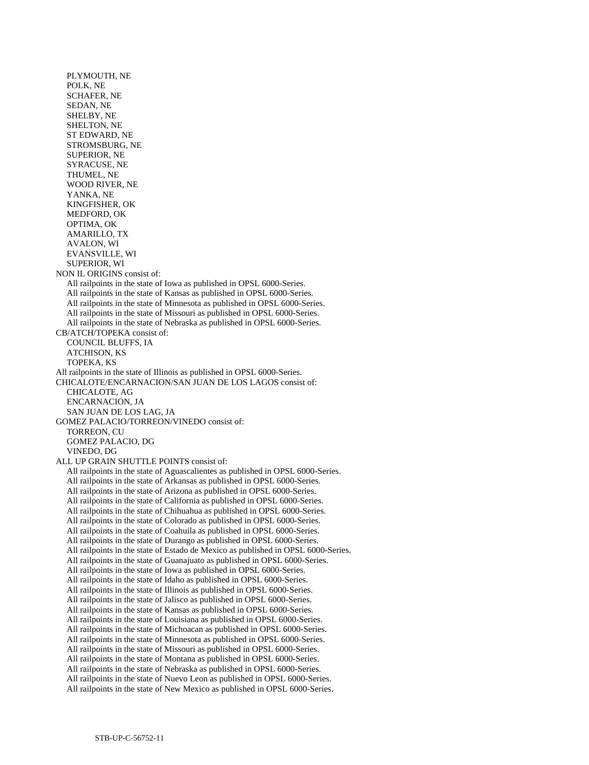PLYMOUTH, NE POLK, NE SCHAFER, NE SEDAN, NE SHELBY, NE SHELTON, NE ST EDWARD, NE STROMSBURG, NE SUPERIOR, NE SYRACUSE, NE THUMEL, NE WOOD RIVER, NE YANKA, NE KINGFISHER, OK MEDFORD, OK OPTIMA, OK AMARILLO, TX AVALON, WI EVANSVILLE, WI SUPERIOR, WI NON IL ORIGINS consist of: All railpoints in the state of Iowa as published in OPSL 6000-Series. All railpoints in the state of Kansas as published in OPSL 6000-Series. All railpoints in the state of Minnesota as published in OPSL 6000-Series. All railpoints in the state of Missouri as published in OPSL 6000-Series. All railpoints in the state of Nebraska as published in OPSL 6000-Series. CB/ATCH/TOPEKA consist of: COUNCIL BLUFFS, IA ATCHISON, KS TOPEKA, KS All railpoints in the state of Illinois as published in OPSL 6000-Series. CHICALOTE/ENCARNACION/SAN JUAN DE LOS LAGOS consist of: CHICALOTE, AG ENCARNACION, JA SAN JUAN DE LOS LAG, JA GOMEZ PALACIO/TORREON/VINEDO consist of: TORREON, CU GOMEZ PALACIO, DG VINEDO, DG ALL UP GRAIN SHUTTLE POINTS consist of: All railpoints in the state of Aguascalientes as published in OPSL 6000-Series. All railpoints in the state of Arkansas as published in OPSL 6000-Series. All railpoints in the state of Arizona as published in OPSL 6000-Series. All railpoints in the state of California as published in OPSL 6000-Series. All railpoints in the state of Chihuahua as published in OPSL 6000-Series. All railpoints in the state of Colorado as published in OPSL 6000-Series. All railpoints in the state of Coahuila as published in OPSL 6000-Series. All railpoints in the state of Durango as published in OPSL 6000-Series. All railpoints in the state of Estado de Mexico as published in OPSL 6000-Series. All railpoints in the state of Guanajuato as published in OPSL 6000-Series. All railpoints in the state of Iowa as published in OPSL 6000-Series. All railpoints in the state of Idaho as published in OPSL 6000-Series. All railpoints in the state of Illinois as published in OPSL 6000-Series. All railpoints in the state of Jalisco as published in OPSL 6000-Series. All railpoints in the state of Kansas as published in OPSL 6000-Series. All railpoints in the state of Louisiana as published in OPSL 6000-Series. All railpoints in the state of Michoacan as published in OPSL 6000-Series. All railpoints in the state of Minnesota as published in OPSL 6000-Series. All railpoints in the state of Missouri as published in OPSL 6000-Series. All railpoints in the state of Montana as published in OPSL 6000-Series. All railpoints in the state of Nebraska as published in OPSL 6000-Series. All railpoints in the state of Nuevo Leon as published in OPSL 6000-Series. All railpoints in the state of New Mexico as published in OPSL 6000-Series.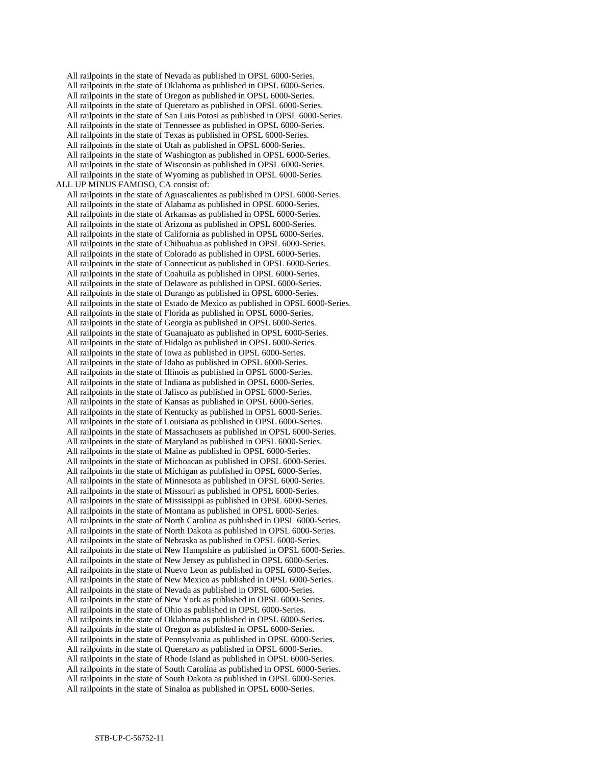All railpoints in the state of Nevada as published in OPSL 6000-Series. All railpoints in the state of Oklahoma as published in OPSL 6000-Series. All railpoints in the state of Oregon as published in OPSL 6000-Series. All railpoints in the state of Queretaro as published in OPSL 6000-Series. All railpoints in the state of San Luis Potosi as published in OPSL 6000-Series. All railpoints in the state of Tennessee as published in OPSL 6000-Series. All railpoints in the state of Texas as published in OPSL 6000-Series. All railpoints in the state of Utah as published in OPSL 6000-Series. All railpoints in the state of Washington as published in OPSL 6000-Series. All railpoints in the state of Wisconsin as published in OPSL 6000-Series. All railpoints in the state of Wyoming as published in OPSL 6000-Series. ALL UP MINUS FAMOSO, CA consist of: All railpoints in the state of Aguascalientes as published in OPSL 6000-Series. All railpoints in the state of Alabama as published in OPSL 6000-Series. All railpoints in the state of Arkansas as published in OPSL 6000-Series. All railpoints in the state of Arizona as published in OPSL 6000-Series. All railpoints in the state of California as published in OPSL 6000-Series. All railpoints in the state of Chihuahua as published in OPSL 6000-Series. All railpoints in the state of Colorado as published in OPSL 6000-Series. All railpoints in the state of Connecticut as published in OPSL 6000-Series. All railpoints in the state of Coahuila as published in OPSL 6000-Series. All railpoints in the state of Delaware as published in OPSL 6000-Series. All railpoints in the state of Durango as published in OPSL 6000-Series. All railpoints in the state of Estado de Mexico as published in OPSL 6000-Series. All railpoints in the state of Florida as published in OPSL 6000-Series. All railpoints in the state of Georgia as published in OPSL 6000-Series. All railpoints in the state of Guanajuato as published in OPSL 6000-Series. All railpoints in the state of Hidalgo as published in OPSL 6000-Series. All railpoints in the state of Iowa as published in OPSL 6000-Series. All railpoints in the state of Idaho as published in OPSL 6000-Series. All railpoints in the state of Illinois as published in OPSL 6000-Series. All railpoints in the state of Indiana as published in OPSL 6000-Series. All railpoints in the state of Jalisco as published in OPSL 6000-Series. All railpoints in the state of Kansas as published in OPSL 6000-Series. All railpoints in the state of Kentucky as published in OPSL 6000-Series. All railpoints in the state of Louisiana as published in OPSL 6000-Series. All railpoints in the state of Massachusets as published in OPSL 6000-Series. All railpoints in the state of Maryland as published in OPSL 6000-Series. All railpoints in the state of Maine as published in OPSL 6000-Series. All railpoints in the state of Michoacan as published in OPSL 6000-Series. All railpoints in the state of Michigan as published in OPSL 6000-Series. All railpoints in the state of Minnesota as published in OPSL 6000-Series. All railpoints in the state of Missouri as published in OPSL 6000-Series. All railpoints in the state of Mississippi as published in OPSL 6000-Series. All railpoints in the state of Montana as published in OPSL 6000-Series. All railpoints in the state of North Carolina as published in OPSL 6000-Series. All railpoints in the state of North Dakota as published in OPSL 6000-Series. All railpoints in the state of Nebraska as published in OPSL 6000-Series. All railpoints in the state of New Hampshire as published in OPSL 6000-Series. All railpoints in the state of New Jersey as published in OPSL 6000-Series. All railpoints in the state of Nuevo Leon as published in OPSL 6000-Series. All railpoints in the state of New Mexico as published in OPSL 6000-Series. All railpoints in the state of Nevada as published in OPSL 6000-Series. All railpoints in the state of New York as published in OPSL 6000-Series. All railpoints in the state of Ohio as published in OPSL 6000-Series. All railpoints in the state of Oklahoma as published in OPSL 6000-Series. All railpoints in the state of Oregon as published in OPSL 6000-Series. All railpoints in the state of Pennsylvania as published in OPSL 6000-Series. All railpoints in the state of Queretaro as published in OPSL 6000-Series. All railpoints in the state of Rhode Island as published in OPSL 6000-Series. All railpoints in the state of South Carolina as published in OPSL 6000-Series. All railpoints in the state of South Dakota as published in OPSL 6000-Series. All railpoints in the state of Sinaloa as published in OPSL 6000-Series.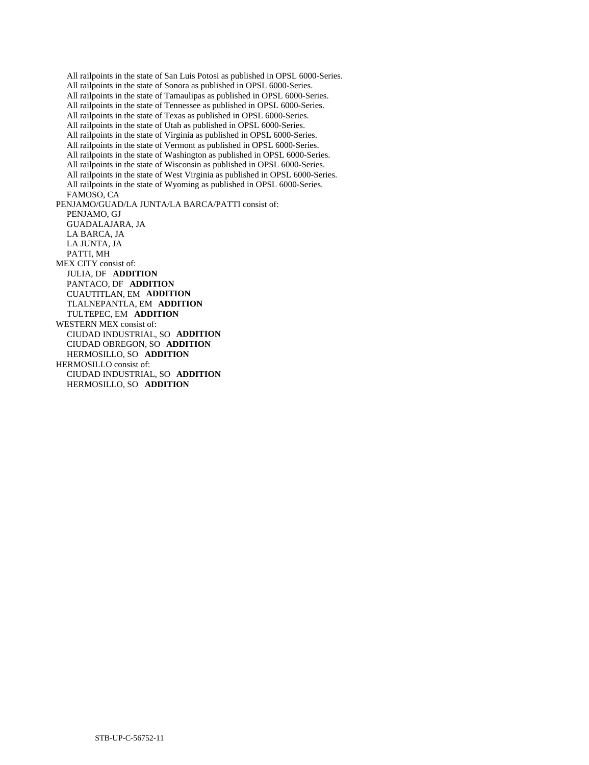All railpoints in the state of San Luis Potosi as published in OPSL 6000-Series. All railpoints in the state of Sonora as published in OPSL 6000-Series. All railpoints in the state of Tamaulipas as published in OPSL 6000-Series. All railpoints in the state of Tennessee as published in OPSL 6000-Series. All railpoints in the state of Texas as published in OPSL 6000-Series. All railpoints in the state of Utah as published in OPSL 6000-Series. All railpoints in the state of Virginia as published in OPSL 6000-Series. All railpoints in the state of Vermont as published in OPSL 6000-Series. All railpoints in the state of Washington as published in OPSL 6000-Series. All railpoints in the state of Wisconsin as published in OPSL 6000-Series. All railpoints in the state of West Virginia as published in OPSL 6000-Series. All railpoints in the state of Wyoming as published in OPSL 6000-Series. FAMOSO, CA PENJAMO/GUAD/LA JUNTA/LA BARCA/PATTI consist of: PENJAMO, GJ GUADALAJARA, JA LA BARCA, JA LA JUNTA, JA PATTI, MH MEX CITY consist of: JULIA, DF **ADDITION**  PANTACO, DF **ADDITION**  CUAUTITLAN, EM **ADDITION**  TLALNEPANTLA, EM **ADDITION**  TULTEPEC, EM **ADDITION**  WESTERN MEX consist of: CIUDAD INDUSTRIAL, SO **ADDITION**  CIUDAD OBREGON, SO **ADDITION**  HERMOSILLO, SO **ADDITION**  HERMOSILLO consist of: CIUDAD INDUSTRIAL, SO **ADDITION**  HERMOSILLO, SO **ADDITION**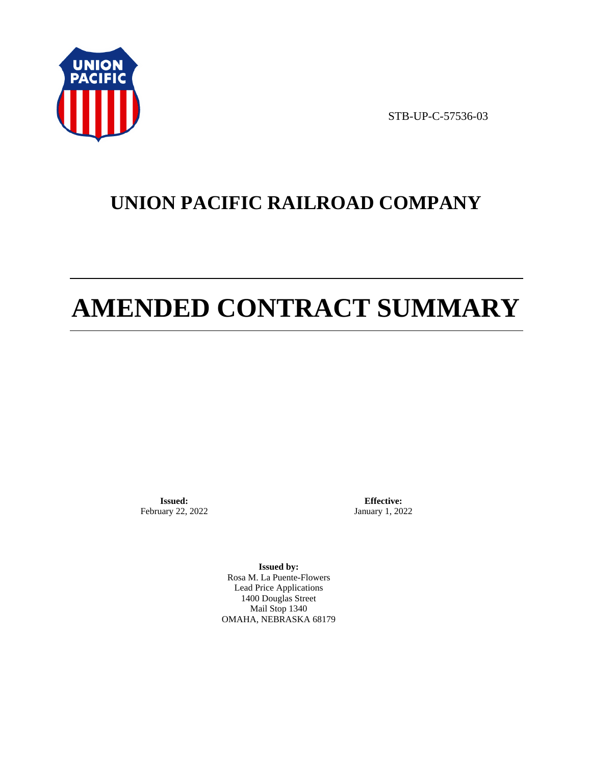

STB-UP-C-57536-03

# **UNION PACIFIC RAILROAD COMPANY**

# **AMENDED CONTRACT SUMMARY**

**Issued:**  February 22, 2022

**Effective:** January 1, 2022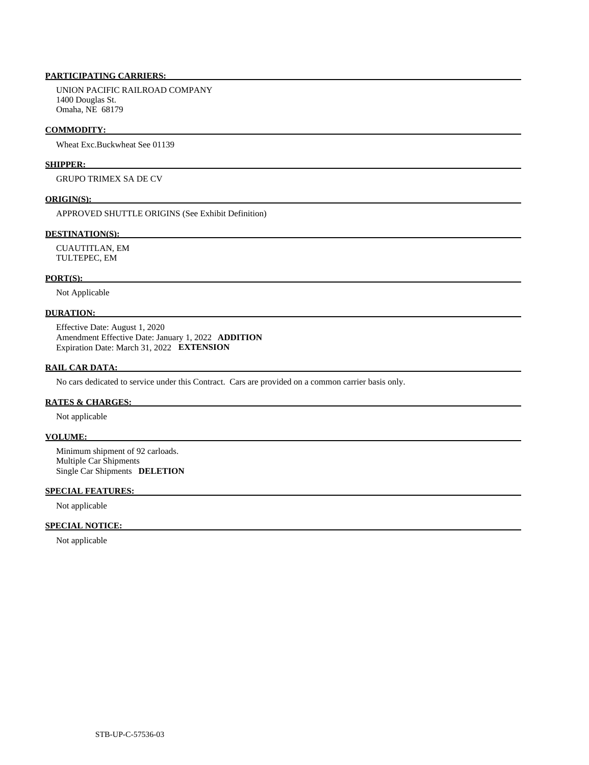# **PARTICIPATING CARRIERS:**

 UNION PACIFIC RAILROAD COMPANY 1400 Douglas St. Omaha, NE 68179

#### **COMMODITY:**

Wheat Exc.Buckwheat See 01139

### **SHIPPER:**

GRUPO TRIMEX SA DE CV

#### **ORIGIN(S):**

APPROVED SHUTTLE ORIGINS (See Exhibit Definition)

## **DESTINATION(S):**

 CUAUTITLAN, EM TULTEPEC, EM

#### **PORT(S):**

Not Applicable

# **DURATION:**

 Effective Date: August 1, 2020 Amendment Effective Date: January 1, 2022 **ADDITION**  Expiration Date: March 31, 2022 **EXTENSION** 

#### **RAIL CAR DATA:**

No cars dedicated to service under this Contract. Cars are provided on a common carrier basis only.

#### **RATES & CHARGES:**

Not applicable

#### **VOLUME:**

 Minimum shipment of 92 carloads. Multiple Car Shipments Single Car Shipments **DELETION** 

# **SPECIAL FEATURES:**

Not applicable

#### **SPECIAL NOTICE:**

Not applicable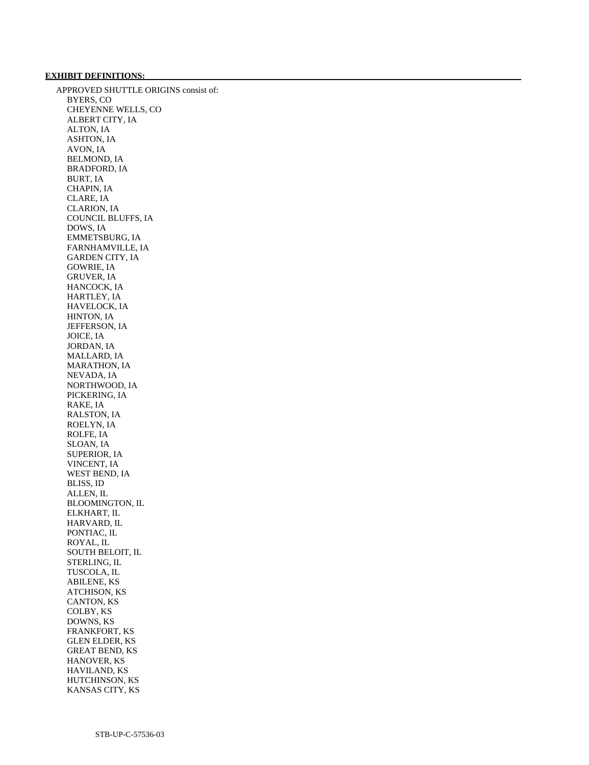# **EXHIBIT DEFINITIONS:**

 APPROVED SHUTTLE ORIGINS consist of: BYERS, CO CHEYENNE WELLS, CO ALBERT CITY, IA ALTON, IA ASHTON, IA AVON, IA BELMOND, IA BRADFORD, IA BURT, IA CHAPIN, IA CLARE, IA CLARION, IA COUNCIL BLUFFS, IA DOWS, IA EMMETSBURG, IA FARNHAMVILLE, IA GARDEN CITY, IA GOWRIE, IA GRUVER, IA HANCOCK, IA HARTLEY, IA HAVELOCK, IA HINTON, IA JEFFERSON, IA JOICE, IA JORDAN, IA MALLARD, IA MARATHON, IA NEVADA, IA NORTHWOOD, IA PICKERING, IA RAKE, IA RALSTON, IA ROELYN, IA ROLFE, IA SLOAN, IA SUPERIOR, IA VINCENT, IA WEST BEND, IA BLISS, ID ALLEN, IL BLOOMINGTON, IL ELKHART, IL HARVARD, IL PONTIAC, IL ROYAL, IL SOUTH BELOIT, IL STERLING, IL TUSCOLA, IL ABILENE, KS ATCHISON, KS CANTON, KS COLBY, KS DOWNS, KS FRANKFORT, KS GLEN ELDER, KS GREAT BEND, KS HANOVER, KS HAVILAND, KS HUTCHINSON, KS KANSAS CITY, KS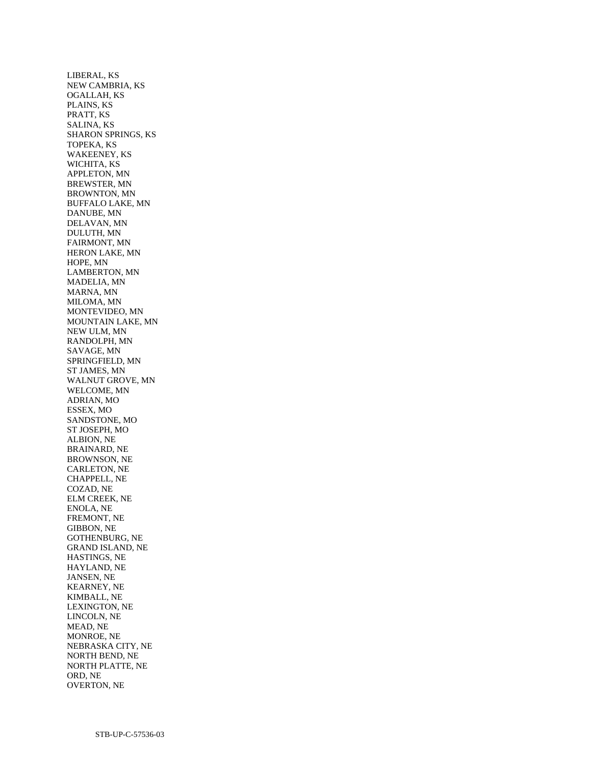LIBERAL, KS NEW CAMBRIA, KS OGALLAH, KS PLAINS, KS PRATT, KS SALINA, KS SHARON SPRINGS, KS TOPEKA, KS WAKEENEY, KS WICHITA, KS APPLETON, MN BREWSTER, MN BROWNTON, MN BUFFALO LAKE, MN DANUBE, MN DELAVAN, MN DULUTH, MN FAIRMONT, MN HERON LAKE, MN HOPE, MN LAMBERTON, MN MADELIA, MN MARNA, MN MILOMA, MN MONTEVIDEO, MN MOUNTAIN LAKE, MN NEW ULM, MN RANDOLPH, MN SAVAGE, MN SPRINGFIELD, MN ST JAMES, MN WALNUT GROVE, MN WELCOME, MN ADRIAN, MO ESSEX, MO SANDSTONE, MO ST JOSEPH, MO ALBION, NE BRAINARD, NE BROWNSON, NE CARLETON, NE CHAPPELL, NE COZAD, NE ELM CREEK, NE ENOLA, NE FREMONT, NE GIBBON, NE GOTHENBURG, NE GRAND ISLAND, NE HASTINGS, NE HAYLAND, NE JANSEN, NE KEARNEY, NE KIMBALL, NE LEXINGTON, NE LINCOLN, NE MEAD, NE MONROE, NE NEBRASKA CITY, NE NORTH BEND, NE NORTH PLATTE, NE ORD, NE OVERTON, NE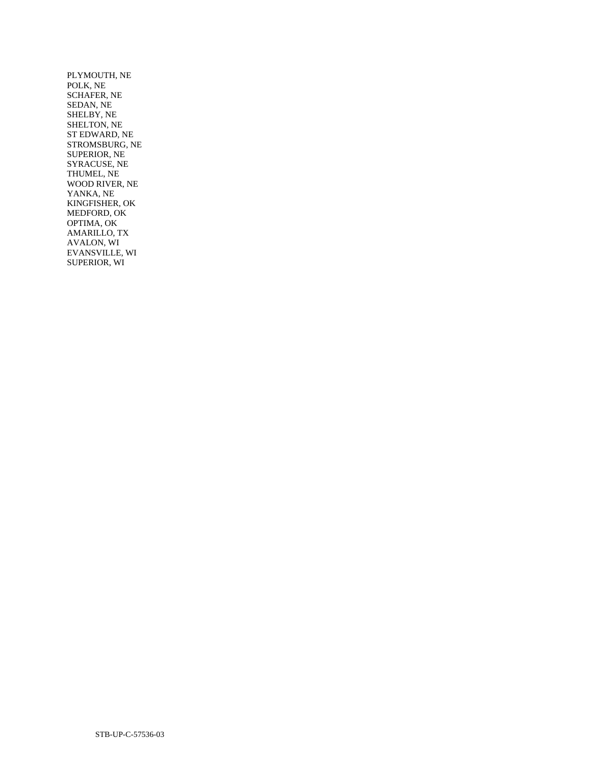PLYMOUTH, NE POLK, NE SCHAFER, NE SEDAN, NE SHELBY, NE SHELTON, NE ST EDWARD, NE STROMSBURG, NE SUPERIOR, NE SYRACUSE, NE THUMEL, NE WOOD RIVER, NE YANKA, NE KINGFISHER, OK MEDFORD, OK OPTIMA, OK AMARILLO, TX AVALON, WI EVANSVILLE, WI SUPERIOR, WI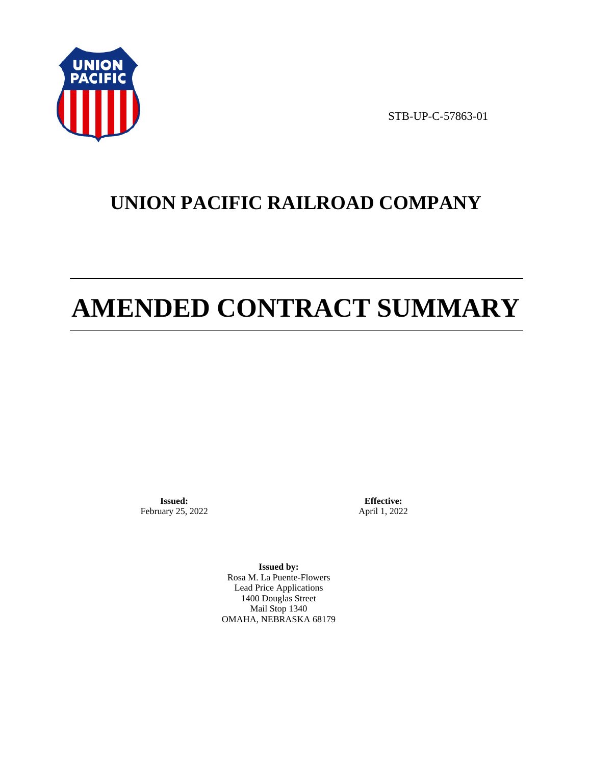

STB-UP-C-57863-01

# **UNION PACIFIC RAILROAD COMPANY**

# **AMENDED CONTRACT SUMMARY**

**Issued:**  February 25, 2022

**Effective:** April 1, 2022

**Issued by:**  Rosa M. La Puente-Flowers Lead Price Applications 1400 Douglas Street Mail Stop 1340 OMAHA, NEBRASKA 68179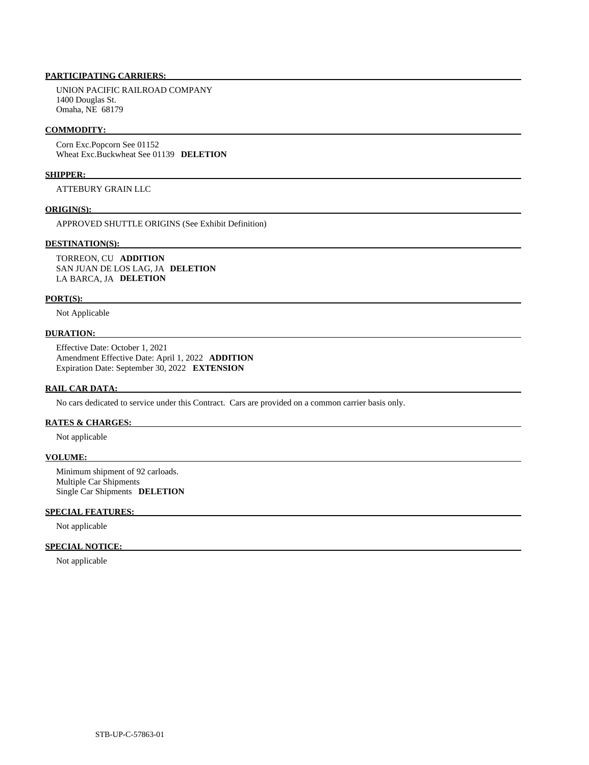# **PARTICIPATING CARRIERS:**

 UNION PACIFIC RAILROAD COMPANY 1400 Douglas St. Omaha, NE 68179

#### **COMMODITY:**

 Corn Exc.Popcorn See 01152 Wheat Exc.Buckwheat See 01139 **DELETION** 

#### **SHIPPER:**

ATTEBURY GRAIN LLC

## **ORIGIN(S):**

APPROVED SHUTTLE ORIGINS (See Exhibit Definition)

#### **DESTINATION(S):**

 TORREON, CU **ADDITION**  SAN JUAN DE LOS LAG, JA **DELETION**  LA BARCA, JA **DELETION** 

#### **PORT(S):**

Not Applicable

## **DURATION:**

 Effective Date: October 1, 2021 Amendment Effective Date: April 1, 2022 **ADDITION**  Expiration Date: September 30, 2022 **EXTENSION** 

#### **RAIL CAR DATA:**

No cars dedicated to service under this Contract. Cars are provided on a common carrier basis only.

# **RATES & CHARGES:**

Not applicable

#### **VOLUME:**

 Minimum shipment of 92 carloads. Multiple Car Shipments Single Car Shipments **DELETION** 

# **SPECIAL FEATURES:**

Not applicable

## **SPECIAL NOTICE:**

Not applicable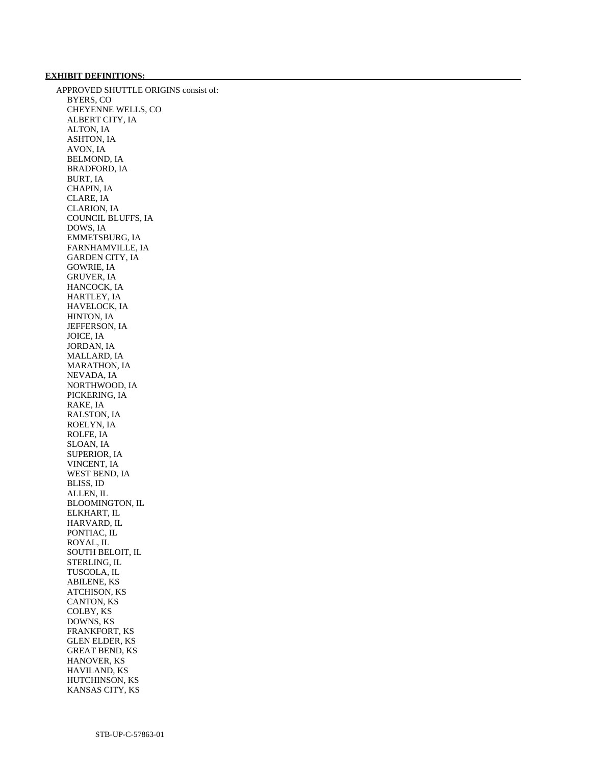## **EXHIBIT DEFINITIONS:**

 APPROVED SHUTTLE ORIGINS consist of: BYERS, CO CHEYENNE WELLS, CO ALBERT CITY, IA ALTON, IA ASHTON, IA AVON, IA BELMOND, IA BRADFORD, IA BURT, IA CHAPIN, IA CLARE, IA CLARION, IA COUNCIL BLUFFS, IA DOWS, IA EMMETSBURG, IA FARNHAMVILLE, IA GARDEN CITY, IA GOWRIE, IA GRUVER, IA HANCOCK, IA HARTLEY, IA HAVELOCK, IA HINTON, IA JEFFERSON, IA JOICE, IA JORDAN, IA MALLARD, IA MARATHON, IA NEVADA, IA NORTHWOOD, IA PICKERING, IA RAKE, IA RALSTON, IA ROELYN, IA ROLFE, IA SLOAN, IA SUPERIOR, IA VINCENT, IA WEST BEND, IA BLISS, ID ALLEN, IL BLOOMINGTON, IL ELKHART, IL HARVARD, IL PONTIAC, IL ROYAL, IL SOUTH BELOIT, IL STERLING, IL TUSCOLA, IL ABILENE, KS ATCHISON, KS CANTON, KS COLBY, KS DOWNS, KS FRANKFORT, KS GLEN ELDER, KS GREAT BEND, KS HANOVER, KS HAVILAND, KS HUTCHINSON, KS KANSAS CITY, KS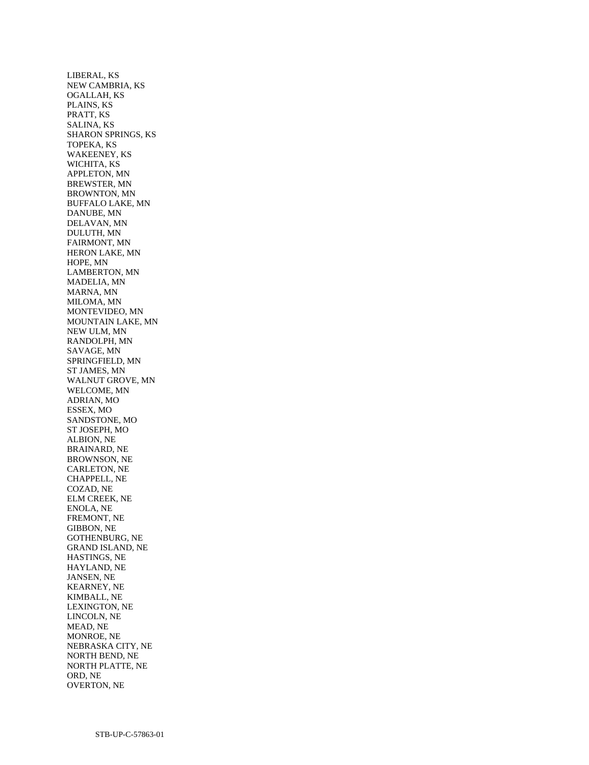LIBERAL, KS NEW CAMBRIA, KS OGALLAH, KS PLAINS, KS PRATT, KS SALINA, KS SHARON SPRINGS, KS TOPEKA, KS WAKEENEY, KS WICHITA, KS APPLETON, MN BREWSTER, MN BROWNTON, MN BUFFALO LAKE, MN DANUBE, MN DELAVAN, MN DULUTH, MN FAIRMONT, MN HERON LAKE, MN HOPE, MN LAMBERTON, MN MADELIA, MN MARNA, MN MILOMA, MN MONTEVIDEO, MN MOUNTAIN LAKE, MN NEW ULM, MN RANDOLPH, MN SAVAGE, MN SPRINGFIELD, MN ST JAMES, MN WALNUT GROVE, MN WELCOME, MN ADRIAN, MO ESSEX, MO SANDSTONE, MO ST JOSEPH, MO ALBION, NE BRAINARD, NE BROWNSON, NE CARLETON, NE CHAPPELL, NE COZAD, NE ELM CREEK, NE ENOLA, NE FREMONT, NE GIBBON, NE GOTHENBURG, NE GRAND ISLAND, NE HASTINGS, NE HAYLAND, NE JANSEN, NE KEARNEY, NE KIMBALL, NE LEXINGTON, NE LINCOLN, NE MEAD, NE MONROE, NE NEBRASKA CITY, NE NORTH BEND, NE NORTH PLATTE, NE ORD, NE OVERTON, NE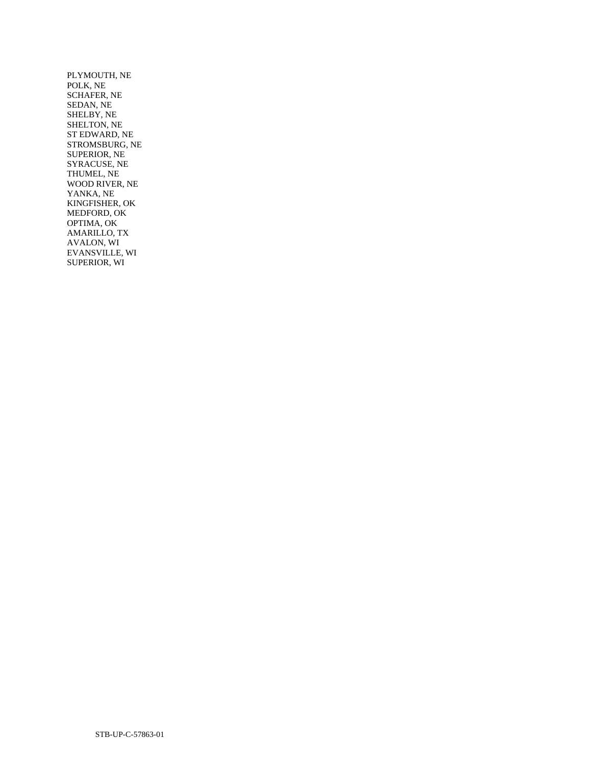PLYMOUTH, NE POLK, NE SCHAFER, NE SEDAN, NE SHELBY, NE SHELTON, NE ST EDWARD, NE STROMSBURG, NE SUPERIOR, NE SYRACUSE, NE THUMEL, NE WOOD RIVER, NE YANKA, NE KINGFISHER, OK MEDFORD, OK OPTIMA, OK AMARILLO, TX AVALON, WI EVANSVILLE, WI SUPERIOR, WI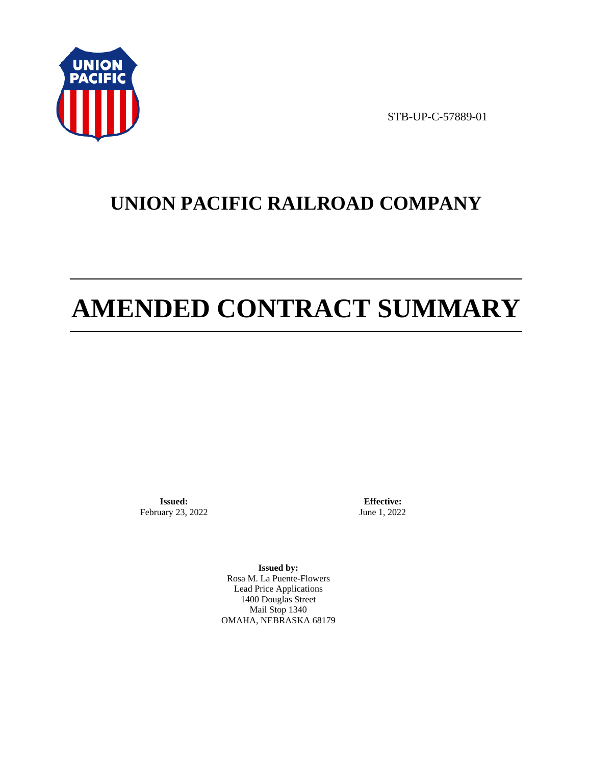

STB-UP-C-57889-01

# **UNION PACIFIC RAILROAD COMPANY**

# **AMENDED CONTRACT SUMMARY**

**Issued:**  February 23, 2022

**Effective:** June 1, 2022

**Issued by:**  Rosa M. La Puente-Flowers Lead Price Applications 1400 Douglas Street Mail Stop 1340 OMAHA, NEBRASKA 68179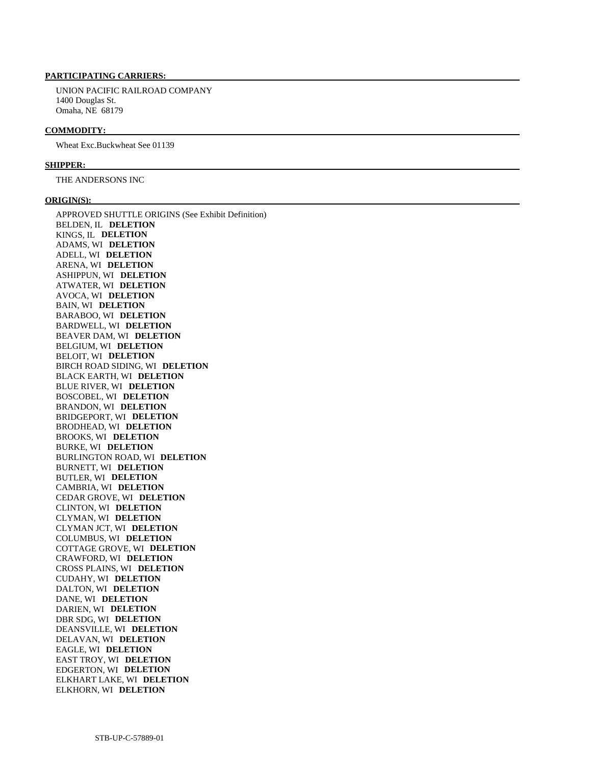#### **PARTICIPATING CARRIERS:**

 UNION PACIFIC RAILROAD COMPANY 1400 Douglas St. Omaha, NE 68179

## **COMMODITY:**

Wheat Exc.Buckwheat See 01139

#### **SHIPPER:**

THE ANDERSONS INC

#### **ORIGIN(S):**

 APPROVED SHUTTLE ORIGINS (See Exhibit Definition) BELDEN, IL **DELETION**  KINGS, IL **DELETION**  ADAMS, WI **DELETION**  ADELL, WI **DELETION**  ARENA, WI **DELETION**  ASHIPPUN, WI **DELETION**  ATWATER, WI **DELETION**  AVOCA, WI **DELETION**  BAIN, WI **DELETION**  BARABOO, WI **DELETION**  BARDWELL, WI **DELETION**  BEAVER DAM, WI **DELETION**  BELGIUM, WI **DELETION**  BELOIT, WI **DELETION**  BIRCH ROAD SIDING, WI **DELETION**  BLACK EARTH, WI **DELETION**  BLUE RIVER, WI **DELETION**  BOSCOBEL, WI **DELETION**  BRANDON, WI **DELETION**  BRIDGEPORT, WI **DELETION**  BRODHEAD, WI **DELETION**  BROOKS, WI **DELETION**  BURKE, WI **DELETION**  BURLINGTON ROAD, WI **DELETION**  BURNETT, WI **DELETION**  BUTLER, WI **DELETION**  CAMBRIA, WI **DELETION**  CEDAR GROVE, WI **DELETION**  CLINTON, WI **DELETION**  CLYMAN, WI **DELETION**  CLYMAN JCT, WI **DELETION**  COLUMBUS, WI **DELETION**  COTTAGE GROVE, WI **DELETION**  CRAWFORD, WI **DELETION**  CROSS PLAINS, WI **DELETION**  CUDAHY, WI **DELETION**  DALTON, WI **DELETION**  DANE, WI **DELETION**  DARIEN, WI **DELETION**  DBR SDG, WI **DELETION**  DEANSVILLE, WI **DELETION**  DELAVAN, WI **DELETION**  EAGLE, WI **DELETION**  EAST TROY, WI **DELETION**  EDGERTON, WI **DELETION**  ELKHART LAKE, WI **DELETION**  ELKHORN, WI **DELETION**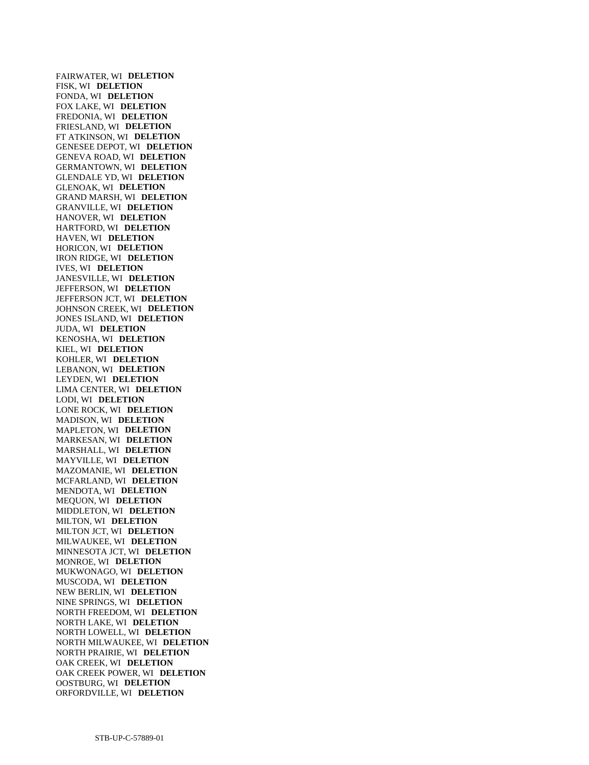FAIRWATER, WI **DELETION**  FISK, WI **DELETION**  FONDA, WI **DELETION**  FOX LAKE, WI **DELETION**  FREDONIA, WI **DELETION**  FRIESLAND, WI **DELETION**  FT ATKINSON, WI **DELETION**  GENESEE DEPOT, WI **DELETION**  GENEVA ROAD, WI **DELETION**  GERMANTOWN, WI **DELETION**  GLENDALE YD, WI **DELETION**  GLENOAK, WI **DELETION**  GRAND MARSH, WI **DELETION**  GRANVILLE, WI **DELETION**  HANOVER, WI **DELETION**  HARTFORD, WI **DELETION**  HAVEN, WI **DELETION**  HORICON, WI **DELETION**  IRON RIDGE, WI **DELETION**  IVES, WI **DELETION**  JANESVILLE, WI **DELETION**  JEFFERSON, WI **DELETION**  JEFFERSON JCT, WI **DELETION**  JOHNSON CREEK, WI **DELETION**  JONES ISLAND, WI **DELETION**  JUDA, WI **DELETION**  KENOSHA, WI **DELETION**  KIEL, WI **DELETION**  KOHLER, WI **DELETION**  LEBANON, WI **DELETION**  LEYDEN, WI **DELETION**  LIMA CENTER, WI **DELETION**  LODI, WI **DELETION**  LONE ROCK, WI **DELETION**  MADISON, WI **DELETION**  MAPLETON, WI **DELETION**  MARKESAN, WI **DELETION**  MARSHALL, WI **DELETION**  MAYVILLE, WI **DELETION**  MAZOMANIE, WI **DELETION**  MCFARLAND, WI **DELETION**  MENDOTA, WI **DELETION**  MEQUON, WI **DELETION**  MIDDLETON, WI **DELETION**  MILTON, WI **DELETION**  MILTON JCT, WI **DELETION**  MILWAUKEE, WI **DELETION**  MINNESOTA JCT, WI **DELETION**  MONROE, WI **DELETION**  MUKWONAGO, WI **DELETION**  MUSCODA, WI **DELETION**  NEW BERLIN, WI **DELETION**  NINE SPRINGS, WI **DELETION**  NORTH FREEDOM, WI **DELETION**  NORTH LAKE, WI **DELETION**  NORTH LOWELL, WI **DELETION**  NORTH MILWAUKEE, WI **DELETION**  NORTH PRAIRIE, WI **DELETION**  OAK CREEK, WI **DELETION**  OAK CREEK POWER, WI **DELETION**  OOSTBURG, WI **DELETION**  ORFORDVILLE, WI **DELETION**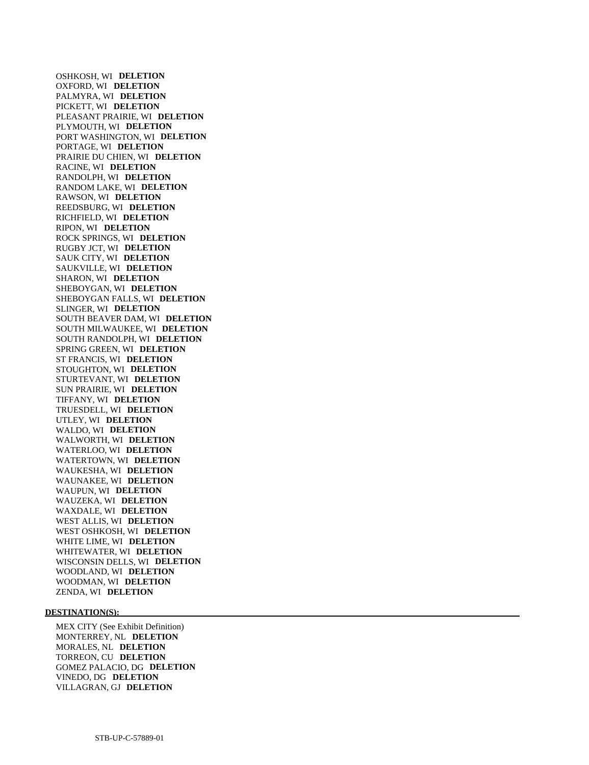OSHKOSH, WI **DELETION**  OXFORD, WI **DELETION**  PALMYRA, WI **DELETION**  PICKETT, WI **DELETION**  PLEASANT PRAIRIE, WI **DELETION**  PLYMOUTH, WI **DELETION**  PORT WASHINGTON, WI **DELETION**  PORTAGE, WI **DELETION**  PRAIRIE DU CHIEN, WI **DELETION**  RACINE, WI **DELETION**  RANDOLPH, WI **DELETION**  RANDOM LAKE, WI **DELETION**  RAWSON, WI **DELETION**  REEDSBURG, WI **DELETION**  RICHFIELD, WI **DELETION**  RIPON, WI **DELETION**  ROCK SPRINGS, WI **DELETION**  RUGBY JCT, WI **DELETION**  SAUK CITY, WI **DELETION**  SAUKVILLE, WI **DELETION**  SHARON, WI **DELETION**  SHEBOYGAN, WI **DELETION**  SHEBOYGAN FALLS, WI **DELETION**  SLINGER, WI **DELETION**  SOUTH BEAVER DAM, WI **DELETION**  SOUTH MILWAUKEE, WI **DELETION**  SOUTH RANDOLPH, WI **DELETION**  SPRING GREEN, WI **DELETION**  ST FRANCIS, WI **DELETION**  STOUGHTON, WI **DELETION**  STURTEVANT, WI **DELETION**  SUN PRAIRIE, WI **DELETION**  TIFFANY, WI **DELETION**  TRUESDELL, WI **DELETION**  UTLEY, WI **DELETION**  WALDO, WI **DELETION**  WALWORTH, WI **DELETION**  WATERLOO, WI **DELETION**  WATERTOWN, WI **DELETION**  WAUKESHA, WI **DELETION**  WAUNAKEE, WI **DELETION**  WAUPUN, WI **DELETION**  WAUZEKA, WI **DELETION**  WAXDALE, WI **DELETION**  WEST ALLIS, WI **DELETION**  WEST OSHKOSH, WI **DELETION**  WHITE LIME, WI **DELETION**  WHITEWATER, WI **DELETION**  WISCONSIN DELLS, WI **DELETION**  WOODLAND, WI **DELETION**  WOODMAN, WI **DELETION**  ZENDA, WI **DELETION** 

#### **DESTINATION(S):**

 MEX CITY (See Exhibit Definition) MONTERREY, NL **DELETION**  MORALES, NL **DELETION**  TORREON, CU **DELETION**  GOMEZ PALACIO, DG **DELETION**  VINEDO, DG **DELETION**  VILLAGRAN, GJ **DELETION**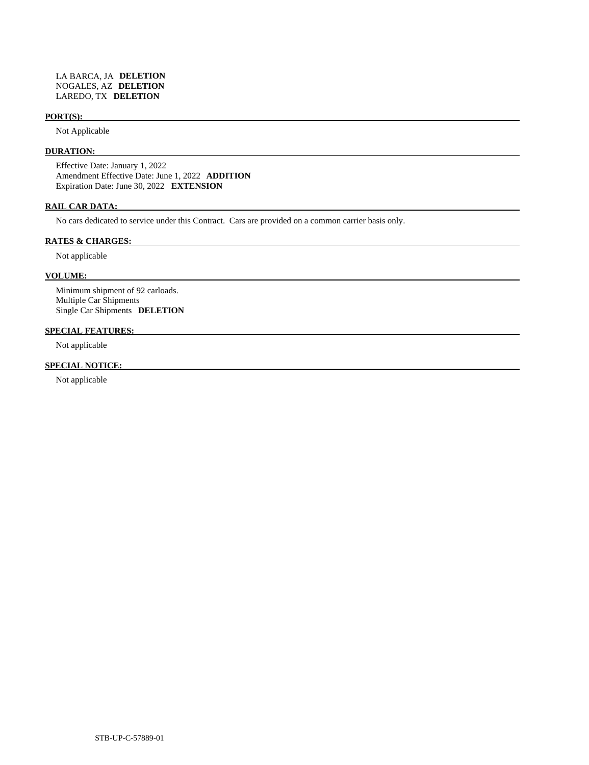#### **PORT(S):**

Not Applicable

# **DURATION:**

 Effective Date: January 1, 2022 Amendment Effective Date: June 1, 2022 **ADDITION**  Expiration Date: June 30, 2022 **EXTENSION** 

# **RAIL CAR DATA:**

No cars dedicated to service under this Contract. Cars are provided on a common carrier basis only.

#### **RATES & CHARGES:**

Not applicable

#### **VOLUME:**

 Minimum shipment of 92 carloads. Multiple Car Shipments Single Car Shipments **DELETION** 

# **SPECIAL FEATURES:**

Not applicable

# **SPECIAL NOTICE:**

Not applicable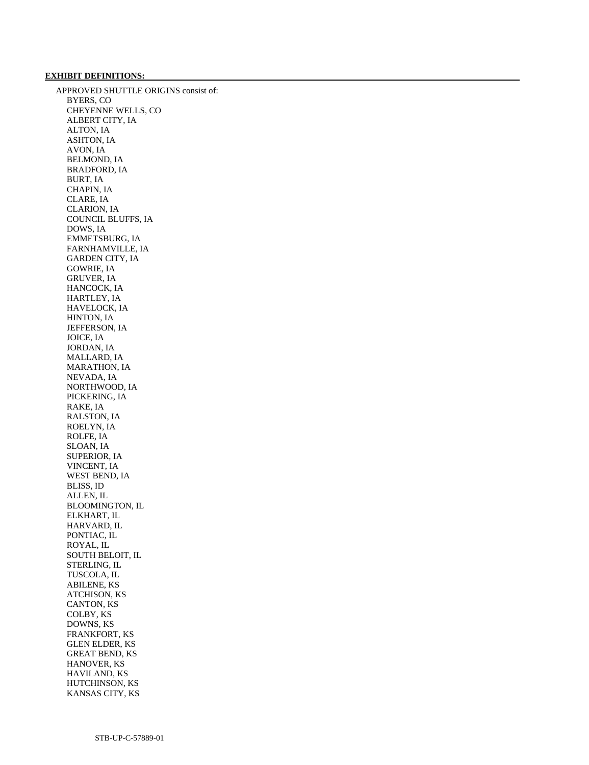## **EXHIBIT DEFINITIONS:**

 APPROVED SHUTTLE ORIGINS consist of: BYERS, CO CHEYENNE WELLS, CO ALBERT CITY, IA ALTON, IA ASHTON, IA AVON, IA BELMOND, IA BRADFORD, IA BURT, IA CHAPIN, IA CLARE, IA CLARION, IA COUNCIL BLUFFS, IA DOWS, IA EMMETSBURG, IA FARNHAMVILLE, IA GARDEN CITY, IA GOWRIE, IA GRUVER, IA HANCOCK, IA HARTLEY, IA HAVELOCK, IA HINTON, IA JEFFERSON, IA JOICE, IA JORDAN, IA MALLARD, IA MARATHON, IA NEVADA, IA NORTHWOOD, IA PICKERING, IA RAKE, IA RALSTON, IA ROELYN, IA ROLFE, IA SLOAN, IA SUPERIOR, IA VINCENT, IA WEST BEND, IA BLISS, ID ALLEN, IL BLOOMINGTON, IL ELKHART, IL HARVARD, IL PONTIAC, IL ROYAL, IL SOUTH BELOIT, IL STERLING, IL TUSCOLA, IL ABILENE, KS ATCHISON, KS CANTON, KS COLBY, KS DOWNS, KS FRANKFORT, KS GLEN ELDER, KS GREAT BEND, KS HANOVER, KS HAVILAND, KS HUTCHINSON, KS KANSAS CITY, KS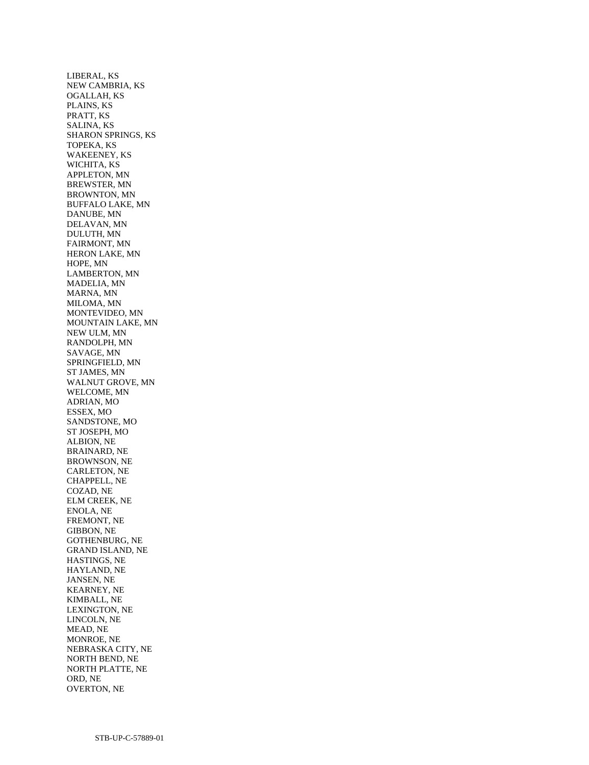LIBERAL, KS NEW CAMBRIA, KS OGALLAH, KS PLAINS, KS PRATT, KS SALINA, KS SHARON SPRINGS, KS TOPEKA, KS WAKEENEY, KS WICHITA, KS APPLETON, MN BREWSTER, MN BROWNTON, MN BUFFALO LAKE, MN DANUBE, MN DELAVAN, MN DULUTH, MN FAIRMONT, MN HERON LAKE, MN HOPE, MN LAMBERTON, MN MADELIA, MN MARNA, MN MILOMA, MN MONTEVIDEO, MN MOUNTAIN LAKE, MN NEW ULM, MN RANDOLPH, MN SAVAGE, MN SPRINGFIELD, MN ST JAMES, MN WALNUT GROVE, MN WELCOME, MN ADRIAN, MO ESSEX, MO SANDSTONE, MO ST JOSEPH, MO ALBION, NE BRAINARD, NE BROWNSON, NE CARLETON, NE CHAPPELL, NE COZAD, NE ELM CREEK, NE ENOLA, NE FREMONT, NE GIBBON, NE GOTHENBURG, NE GRAND ISLAND, NE HASTINGS, NE HAYLAND, NE JANSEN, NE KEARNEY, NE KIMBALL, NE LEXINGTON, NE LINCOLN, NE MEAD, NE MONROE, NE NEBRASKA CITY, NE NORTH BEND, NE NORTH PLATTE, NE ORD, NE OVERTON, NE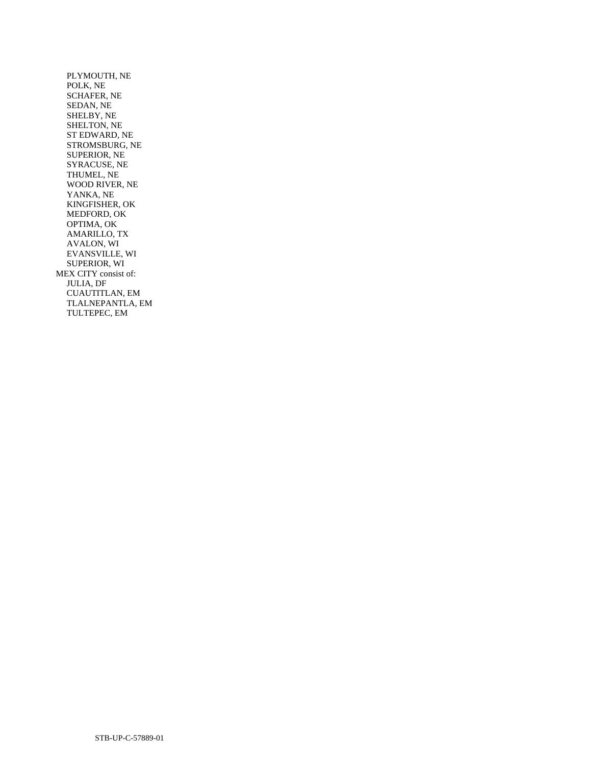PLYMOUTH, NE POLK, NE SCHAFER, NE SEDAN, NE SHELBY, NE SHELTON, NE ST EDWARD, NE STROMSBURG, NE SUPERIOR, NE SYRACUSE, NE THUMEL, NE WOOD RIVER, NE YANKA, NE KINGFISHER, OK MEDFORD, OK OPTIMA, OK AMARILLO, TX AVALON, WI EVANSVILLE, WI SUPERIOR, WI MEX CITY consist of: JULIA, DF CUAUTITLAN, EM TLALNEPANTLA, EM TULTEPEC, EM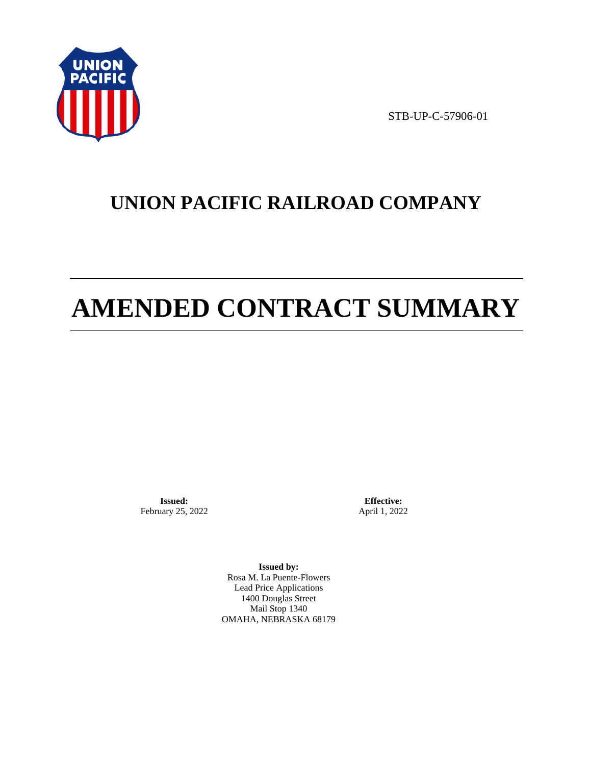

STB-UP-C-57906-01

# **UNION PACIFIC RAILROAD COMPANY**

# **AMENDED CONTRACT SUMMARY**

**Issued:**  February 25, 2022

**Effective:** April 1, 2022

**Issued by:**  Rosa M. La Puente-Flowers Lead Price Applications 1400 Douglas Street Mail Stop 1340 OMAHA, NEBRASKA 68179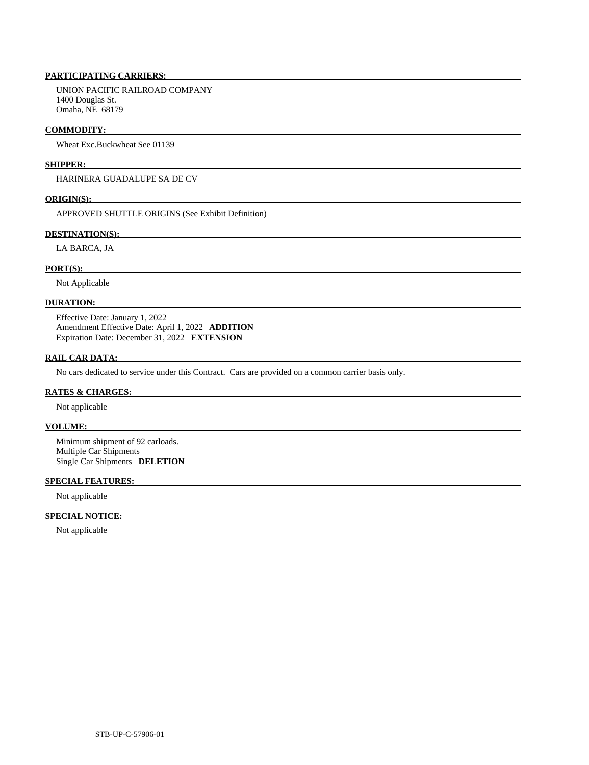# **PARTICIPATING CARRIERS:**

 UNION PACIFIC RAILROAD COMPANY 1400 Douglas St. Omaha, NE 68179

#### **COMMODITY:**

Wheat Exc.Buckwheat See 01139

## **SHIPPER:**

HARINERA GUADALUPE SA DE CV

#### **ORIGIN(S):**

APPROVED SHUTTLE ORIGINS (See Exhibit Definition)

## **DESTINATION(S):**

LA BARCA, JA

### **PORT(S):**

Not Applicable

## **DURATION:**

 Effective Date: January 1, 2022 Amendment Effective Date: April 1, 2022 **ADDITION**  Expiration Date: December 31, 2022 **EXTENSION** 

# **RAIL CAR DATA:**

No cars dedicated to service under this Contract. Cars are provided on a common carrier basis only.

### **RATES & CHARGES:**

Not applicable

# **VOLUME:**

 Minimum shipment of 92 carloads. Multiple Car Shipments Single Car Shipments **DELETION** 

## **SPECIAL FEATURES:**

Not applicable

# **SPECIAL NOTICE:**

Not applicable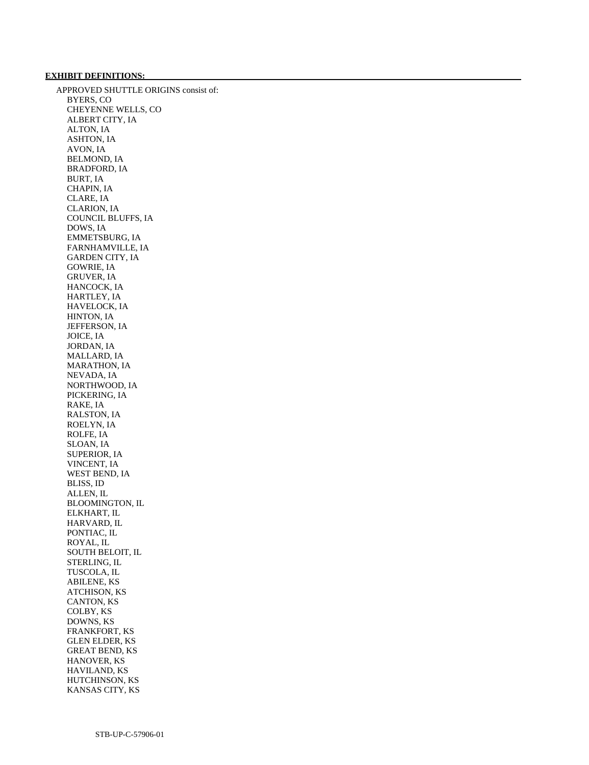## **EXHIBIT DEFINITIONS:**

 APPROVED SHUTTLE ORIGINS consist of: BYERS, CO CHEYENNE WELLS, CO ALBERT CITY, IA ALTON, IA ASHTON, IA AVON, IA BELMOND, IA BRADFORD, IA BURT, IA CHAPIN, IA CLARE, IA CLARION, IA COUNCIL BLUFFS, IA DOWS, IA EMMETSBURG, IA FARNHAMVILLE, IA GARDEN CITY, IA GOWRIE, IA GRUVER, IA HANCOCK, IA HARTLEY, IA HAVELOCK, IA HINTON, IA JEFFERSON, IA JOICE, IA JORDAN, IA MALLARD, IA MARATHON, IA NEVADA, IA NORTHWOOD, IA PICKERING, IA RAKE, IA RALSTON, IA ROELYN, IA ROLFE, IA SLOAN, IA SUPERIOR, IA VINCENT, IA WEST BEND, IA BLISS, ID ALLEN, IL BLOOMINGTON, IL ELKHART, IL HARVARD, IL PONTIAC, IL ROYAL, IL SOUTH BELOIT, IL STERLING, IL TUSCOLA, IL ABILENE, KS ATCHISON, KS CANTON, KS COLBY, KS DOWNS, KS FRANKFORT, KS GLEN ELDER, KS GREAT BEND, KS HANOVER, KS HAVILAND, KS HUTCHINSON, KS KANSAS CITY, KS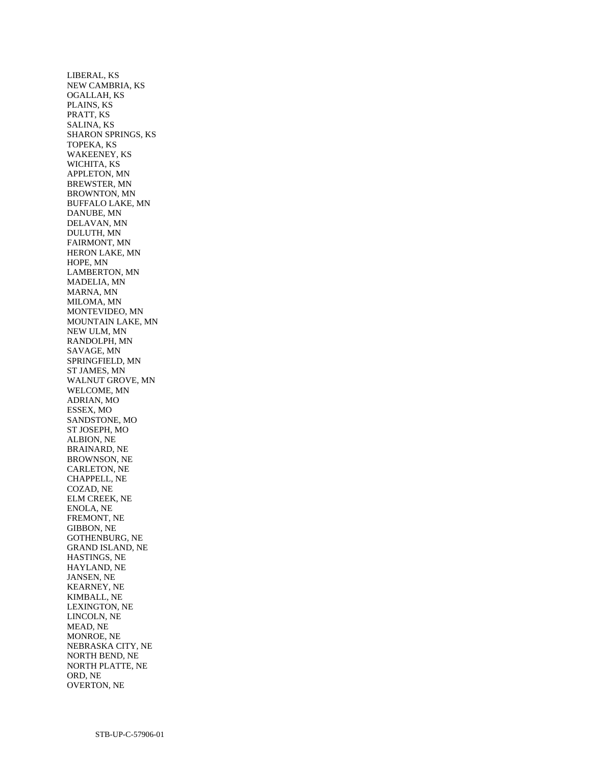LIBERAL, KS NEW CAMBRIA, KS OGALLAH, KS PLAINS, KS PRATT, KS SALINA, KS SHARON SPRINGS, KS TOPEKA, KS WAKEENEY, KS WICHITA, KS APPLETON, MN BREWSTER, MN BROWNTON, MN BUFFALO LAKE, MN DANUBE, MN DELAVAN, MN DULUTH, MN FAIRMONT, MN HERON LAKE, MN HOPE, MN LAMBERTON, MN MADELIA, MN MARNA, MN MILOMA, MN MONTEVIDEO, MN MOUNTAIN LAKE, MN NEW ULM, MN RANDOLPH, MN SAVAGE, MN SPRINGFIELD, MN ST JAMES, MN WALNUT GROVE, MN WELCOME, MN ADRIAN, MO ESSEX, MO SANDSTONE, MO ST JOSEPH, MO ALBION, NE BRAINARD, NE BROWNSON, NE CARLETON, NE CHAPPELL, NE COZAD, NE ELM CREEK, NE ENOLA, NE FREMONT, NE GIBBON, NE GOTHENBURG, NE GRAND ISLAND, NE HASTINGS, NE HAYLAND, NE JANSEN, NE KEARNEY, NE KIMBALL, NE LEXINGTON, NE LINCOLN, NE MEAD, NE MONROE, NE NEBRASKA CITY, NE NORTH BEND, NE NORTH PLATTE, NE ORD, NE OVERTON, NE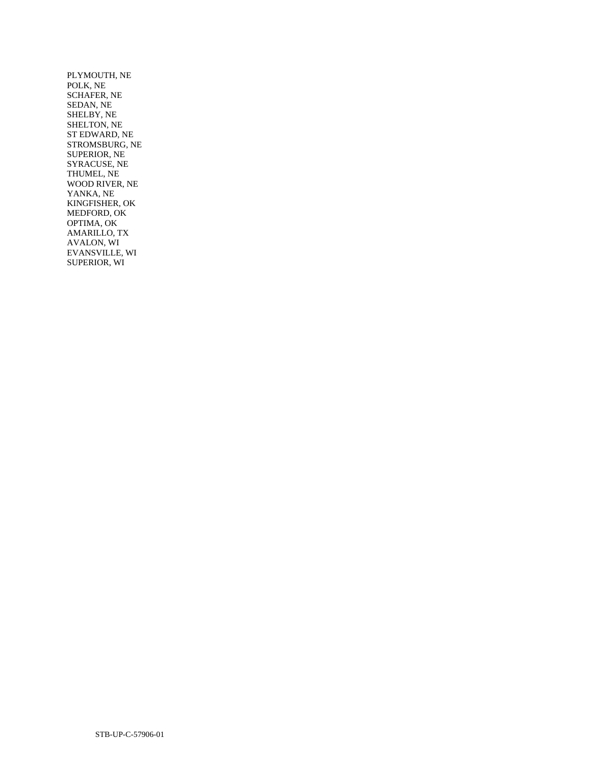PLYMOUTH, NE POLK, NE SCHAFER, NE SEDAN, NE SHELBY, NE SHELTON, NE ST EDWARD, NE STROMSBURG, NE SUPERIOR, NE SYRACUSE, NE THUMEL, NE WOOD RIVER, NE YANKA, NE KINGFISHER, OK MEDFORD, OK OPTIMA, OK AMARILLO, TX AVALON, WI EVANSVILLE, WI SUPERIOR, WI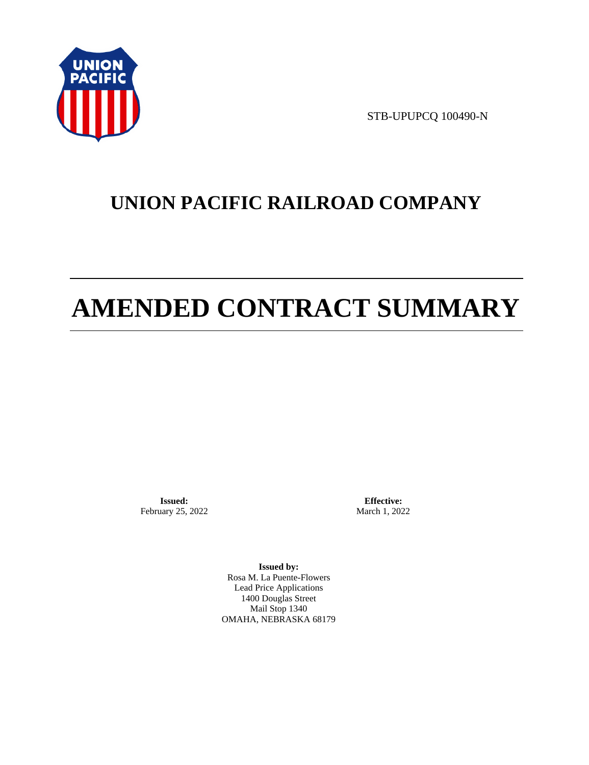

STB-UPUPCQ 100490-N

# **UNION PACIFIC RAILROAD COMPANY**

# **AMENDED CONTRACT SUMMARY**

**Issued:**  February 25, 2022

**Effective:** March 1, 2022

**Issued by:**  Rosa M. La Puente-Flowers Lead Price Applications 1400 Douglas Street Mail Stop 1340 OMAHA, NEBRASKA 68179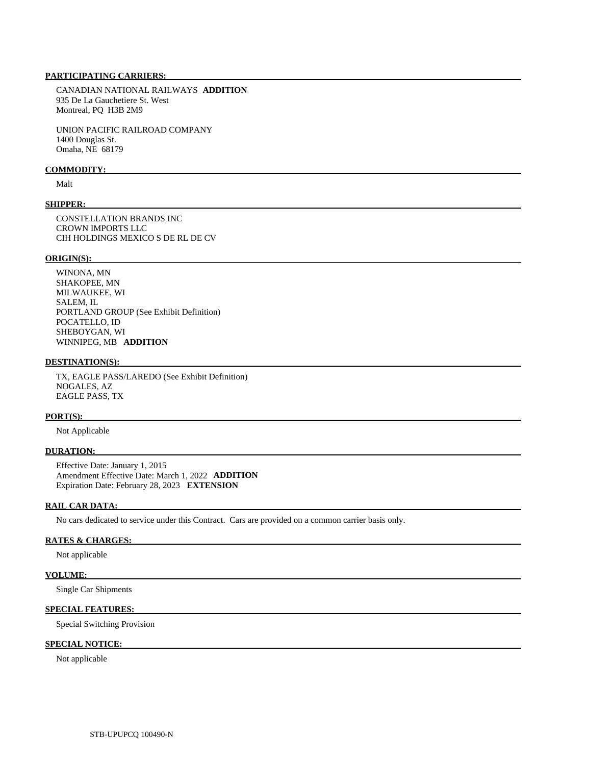# **PARTICIPATING CARRIERS:**

 CANADIAN NATIONAL RAILWAYS **ADDITION**  935 De La Gauchetiere St. West Montreal, PQ H3B 2M9

 UNION PACIFIC RAILROAD COMPANY 1400 Douglas St. Omaha, NE 68179

#### **COMMODITY:**

Malt

#### **SHIPPER:**

 CONSTELLATION BRANDS INC CROWN IMPORTS LLC CIH HOLDINGS MEXICO S DE RL DE CV

#### **ORIGIN(S):**

 WINONA, MN SHAKOPEE, MN MILWAUKEE, WI SALEM, IL PORTLAND GROUP (See Exhibit Definition) POCATELLO, ID SHEBOYGAN, WI WINNIPEG, MB **ADDITION** 

#### **DESTINATION(S):**

 TX, EAGLE PASS/LAREDO (See Exhibit Definition) NOGALES, AZ EAGLE PASS, TX

# **PORT(S):**

Not Applicable

#### **DURATION:**

 Effective Date: January 1, 2015 Amendment Effective Date: March 1, 2022 **ADDITION**  Expiration Date: February 28, 2023 **EXTENSION** 

#### **RAIL CAR DATA:**

No cars dedicated to service under this Contract. Cars are provided on a common carrier basis only.

#### **RATES & CHARGES:**

Not applicable

# **VOLUME:**

Single Car Shipments

# **SPECIAL FEATURES:**

Special Switching Provision

# **SPECIAL NOTICE:**

Not applicable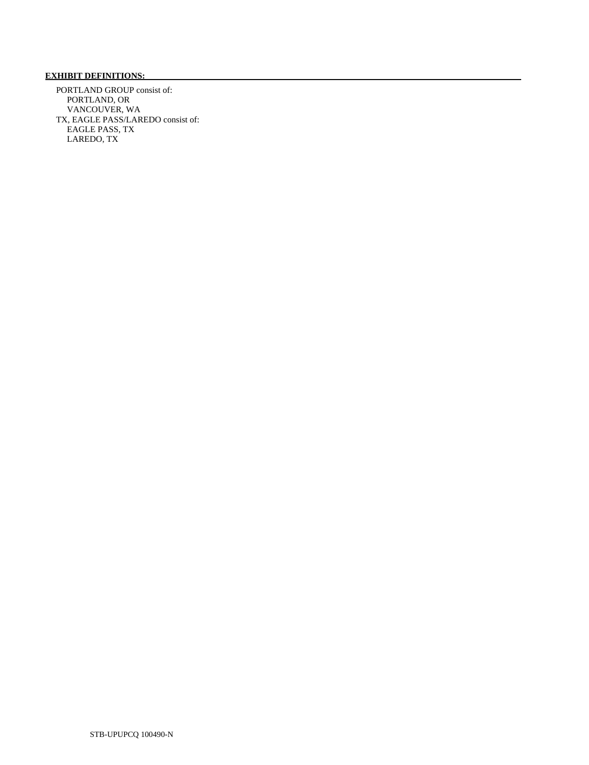# **EXHIBIT DEFINITIONS:**

 PORTLAND GROUP consist of: PORTLAND, OR VANCOUVER, WA TX, EAGLE PASS/LAREDO consist of: EAGLE PASS, TX LAREDO, TX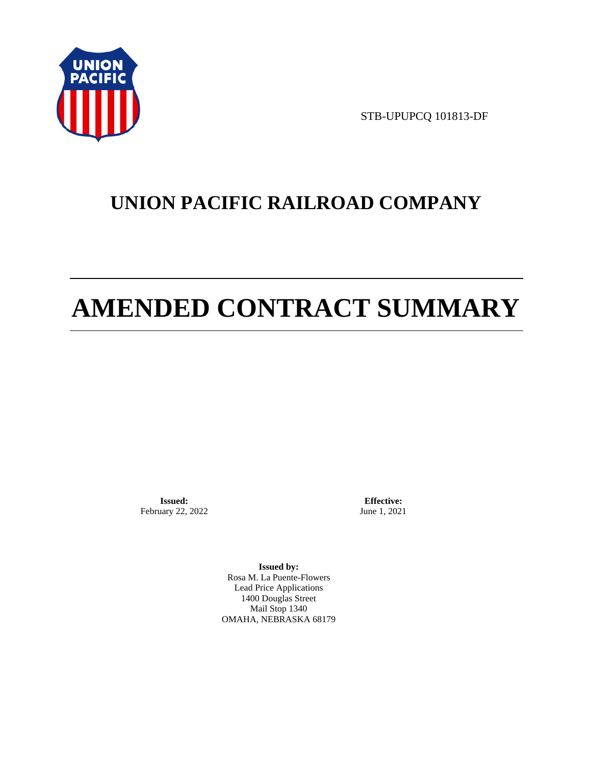

STB-UPUPCQ 101813-DF

# **UNION PACIFIC RAILROAD COMPANY**

# **AMENDED CONTRACT SUMMARY**

**Issued:**  February 22, 2022

**Effective:** June 1, 2021

**Issued by:**  Rosa M. La Puente-Flowers Lead Price Applications 1400 Douglas Street Mail Stop 1340 OMAHA, NEBRASKA 68179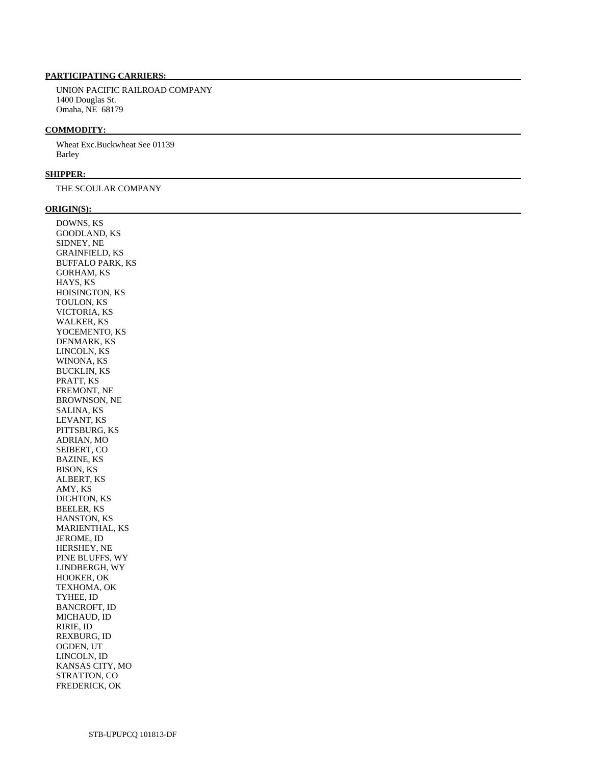# **PARTICIPATING CARRIERS:**

 UNION PACIFIC RAILROAD COMPANY 1400 Douglas St. Omaha, NE 68179

#### **COMMODITY:**

 Wheat Exc.Buckwheat See 01139 Barley

#### **SHIPPER:**

THE SCOULAR COMPANY

#### **ORIGIN(S):**

 DOWNS, KS GOODLAND, KS SIDNEY, NE GRAINFIELD, KS BUFFALO PARK, KS GORHAM, KS HAYS, KS HOISINGTON, KS TOULON, KS VICTORIA, KS WALKER, KS YOCEMENTO, KS DENMARK, KS LINCOLN, KS WINONA, KS BUCKLIN, KS PRATT, KS FREMONT, NE BROWNSON, NE SALINA, KS LEVANT, KS PITTSBURG, KS ADRIAN, MO SEIBERT, CO BAZINE, KS BISON, KS ALBERT, KS AMY, KS DIGHTON, KS BEELER, KS HANSTON, KS MARIENTHAL, KS JEROME, ID HERSHEY, NE PINE BLUFFS, WY LINDBERGH, WY HOOKER, OK TEXHOMA, OK TYHEE, ID BANCROFT, ID MICHAUD, ID RIRIE, ID REXBURG, ID OGDEN, UT LINCOLN, ID KANSAS CITY, MO STRATTON, CO FREDERICK, OK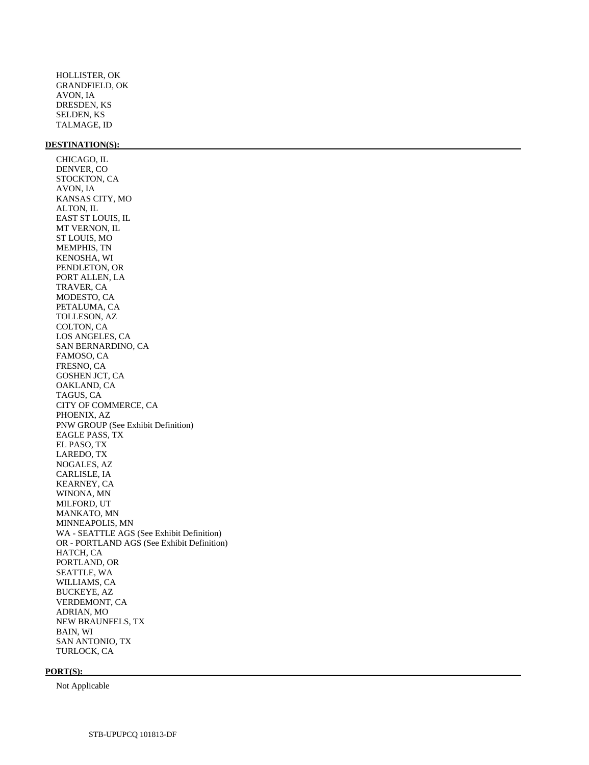HOLLISTER, OK GRANDFIELD, OK AVON, IA DRESDEN, KS SELDEN, KS TALMAGE, ID

#### **DESTINATION(S):**

 CHICAGO, IL DENVER, CO STOCKTON, CA AVON, IA KANSAS CITY, MO ALTON, IL EAST ST LOUIS, IL MT VERNON, IL ST LOUIS, MO MEMPHIS, TN KENOSHA, WI PENDLETON, OR PORT ALLEN, LA TRAVER, CA MODESTO, CA PETALUMA, CA TOLLESON, AZ COLTON, CA LOS ANGELES, CA SAN BERNARDINO, CA FAMOSO, CA FRESNO, CA GOSHEN JCT, CA OAKLAND, CA TAGUS, CA CITY OF COMMERCE, CA PHOENIX, AZ PNW GROUP (See Exhibit Definition) EAGLE PASS, TX EL PASO, TX LAREDO, TX NOGALES, AZ CARLISLE, IA KEARNEY, CA WINONA, MN MILFORD, UT MANKATO, MN MINNEAPOLIS, MN WA - SEATTLE AGS (See Exhibit Definition) OR - PORTLAND AGS (See Exhibit Definition) HATCH, CA PORTLAND, OR SEATTLE, WA WILLIAMS, CA BUCKEYE, AZ VERDEMONT, CA ADRIAN, MO NEW BRAUNFELS, TX BAIN, WI SAN ANTONIO, TX TURLOCK, CA

#### **PORT(S):**

Not Applicable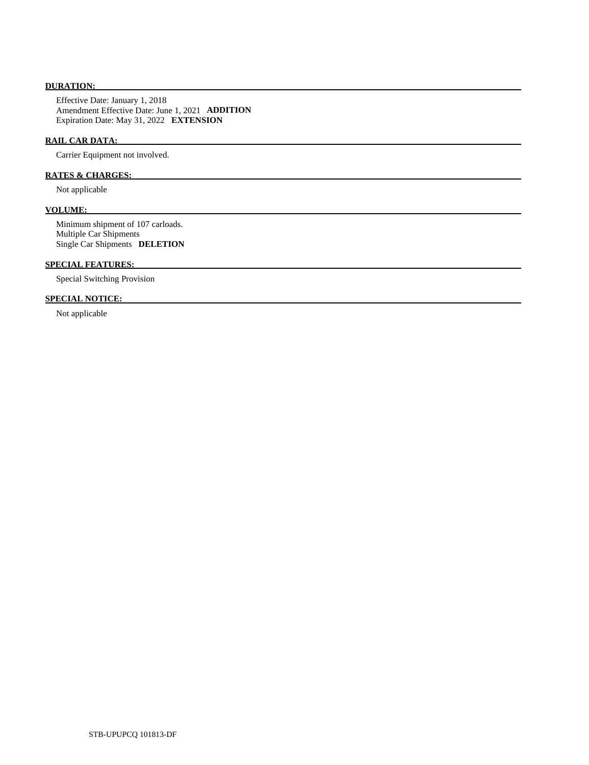# **DURATION:**

 Effective Date: January 1, 2018 Amendment Effective Date: June 1, 2021 **ADDITION**  Expiration Date: May 31, 2022 **EXTENSION** 

# **RAIL CAR DATA:**

Carrier Equipment not involved.

# **RATES & CHARGES:**

Not applicable

# **VOLUME:**

 Minimum shipment of 107 carloads. Multiple Car Shipments Single Car Shipments **DELETION** 

# **SPECIAL FEATURES:**

Special Switching Provision

# **SPECIAL NOTICE:**

Not applicable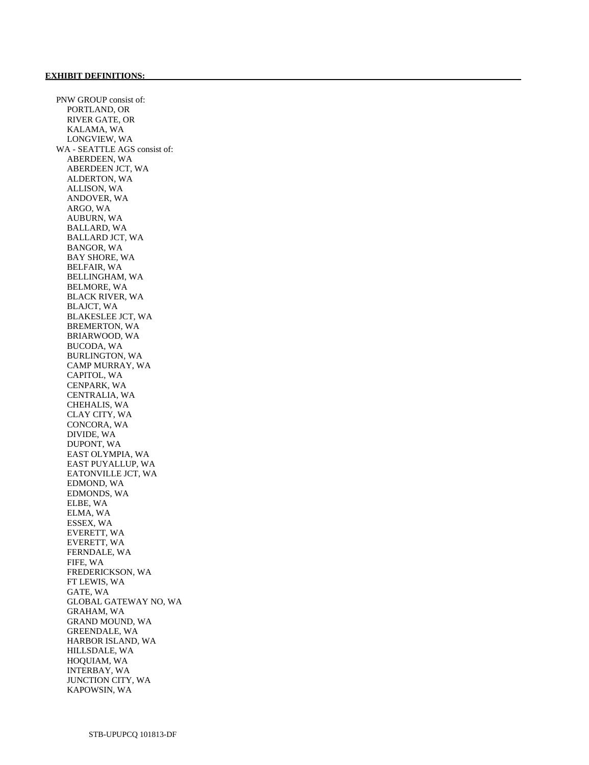PNW GROUP consist of: PORTLAND, OR RIVER GATE, OR KALAMA, WA LONGVIEW, WA WA - SEATTLE AGS consist of: ABERDEEN, WA ABERDEEN JCT, WA ALDERTON, WA ALLISON, WA ANDOVER, WA ARGO, WA AUBURN, WA BALLARD, WA BALLARD JCT, WA BANGOR, WA BAY SHORE, WA BELFAIR, WA BELLINGHAM, WA BELMORE, WA BLACK RIVER, WA BLAJCT, WA BLAKESLEE JCT, WA BREMERTON, WA BRIARWOOD, WA BUCODA, WA BURLINGTON, WA CAMP MURRAY, WA CAPITOL, WA CENPARK, WA CENTRALIA, WA CHEHALIS, WA CLAY CITY, WA CONCORA, WA DIVIDE, WA DUPONT, WA EAST OLYMPIA, WA EAST PUYALLUP, WA EATONVILLE JCT, WA EDMOND, WA EDMONDS, WA ELBE, WA ELMA, WA ESSEX, WA EVERETT, WA EVERETT, WA FERNDALE, WA FIFE, WA FREDERICKSON, WA FT LEWIS, WA GATE, WA GLOBAL GATEWAY NO, WA GRAHAM, WA GRAND MOUND, WA GREENDALE, WA HARBOR ISLAND, WA HILLSDALE, WA HOQUIAM, WA INTERBAY, WA JUNCTION CITY, WA KAPOWSIN, WA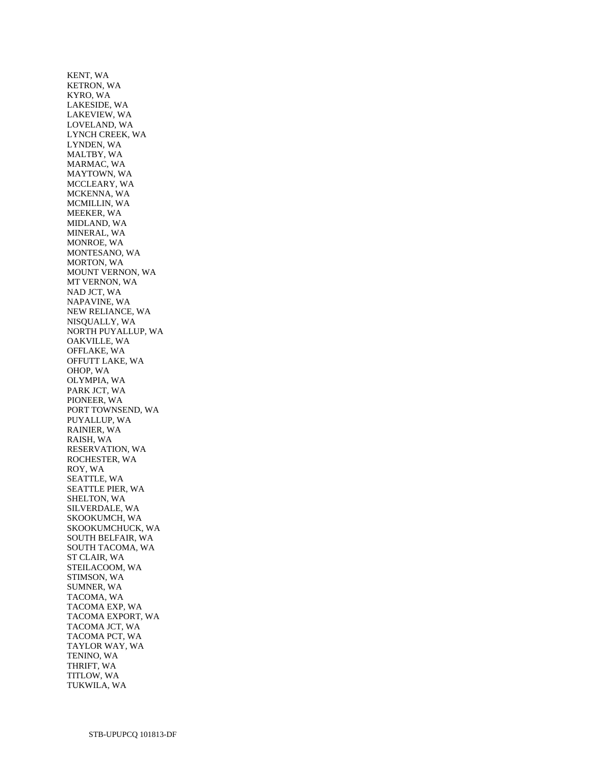KENT, WA KETRON, WA KYRO, WA LAKESIDE, WA LAKEVIEW, WA LOVELAND, WA LYNCH CREEK, WA LYNDEN, WA MALTBY, WA MARMAC, WA MAYTOWN, WA MCCLEARY, WA MCKENNA, WA MCMILLIN, WA MEEKER, WA MIDLAND, WA MINERAL, WA MONROE, WA MONTESANO, WA MORTON, WA MOUNT VERNON, WA MT VERNON, WA NAD JCT, WA NAPAVINE, WA NEW RELIANCE, WA NISQUALLY, WA NORTH PUYALLUP, WA OAKVILLE, WA OFFLAKE, WA OFFUTT LAKE, WA OHOP, WA OLYMPIA, WA PARK JCT, WA PIONEER, WA PORT TOWNSEND, WA PUYALLUP, WA RAINIER, WA RAISH, WA RESERVATION, WA ROCHESTER, WA ROY, WA SEATTLE, WA SEATTLE PIER, WA SHELTON, WA SILVERDALE, WA SKOOKUMCH, WA SKOOKUMCHUCK, WA SOUTH BELFAIR, WA SOUTH TACOMA, WA ST CLAIR, WA STEILACOOM, WA STIMSON, WA SUMNER, WA TACOMA, WA TACOMA EXP, WA TACOMA EXPORT, WA TACOMA JCT, WA TACOMA PCT, WA TAYLOR WAY, WA TENINO, WA THRIFT, WA TITLOW, WA TUKWILA, WA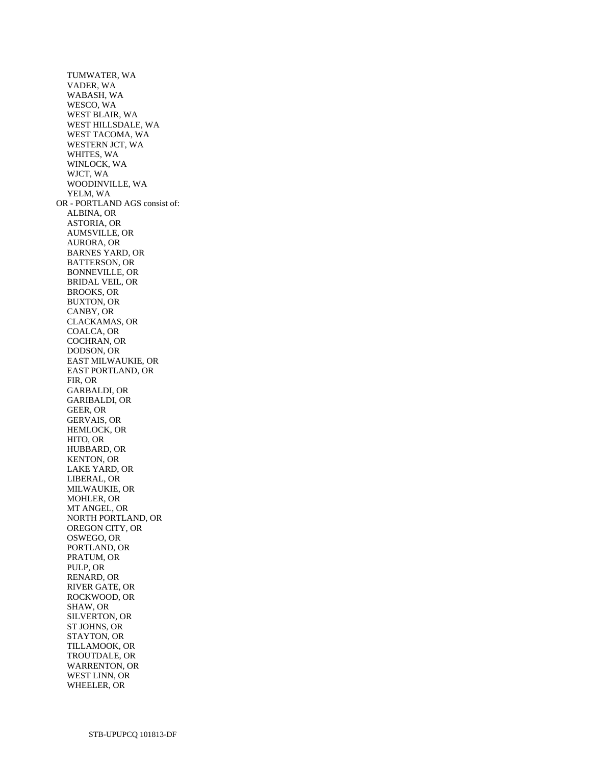TUMWATER, WA VADER, WA WABASH, WA WESCO, WA WEST BLAIR, WA WEST HILLSDALE, WA WEST TACOMA, WA WESTERN JCT, WA WHITES, WA WINLOCK, WA WJCT, WA WOODINVILLE, WA YELM, WA OR - PORTLAND AGS consist of: ALBINA, OR ASTORIA, OR AUMSVILLE, OR AURORA, OR BARNES YARD, OR BATTERSON, OR BONNEVILLE, OR BRIDAL VEIL, OR BROOKS, OR BUXTON, OR CANBY, OR CLACKAMAS, OR COALCA, OR COCHRAN, OR DODSON, OR EAST MILWAUKIE, OR EAST PORTLAND, OR FIR, OR GARBALDI, OR GARIBALDI, OR GEER, OR GERVAIS, OR HEMLOCK, OR HITO, OR HUBBARD, OR KENTON, OR LAKE YARD, OR LIBERAL, OR MILWAUKIE, OR MOHLER, OR MT ANGEL, OR NORTH PORTLAND, OR OREGON CITY, OR OSWEGO, OR PORTLAND, OR PRATUM, OR PULP, OR RENARD, OR RIVER GATE, OR ROCKWOOD, OR SHAW, OR SILVERTON, OR ST JOHNS, OR STAYTON, OR TILLAMOOK, OR TROUTDALE, OR WARRENTON, OR WEST LINN, OR WHEELER, OR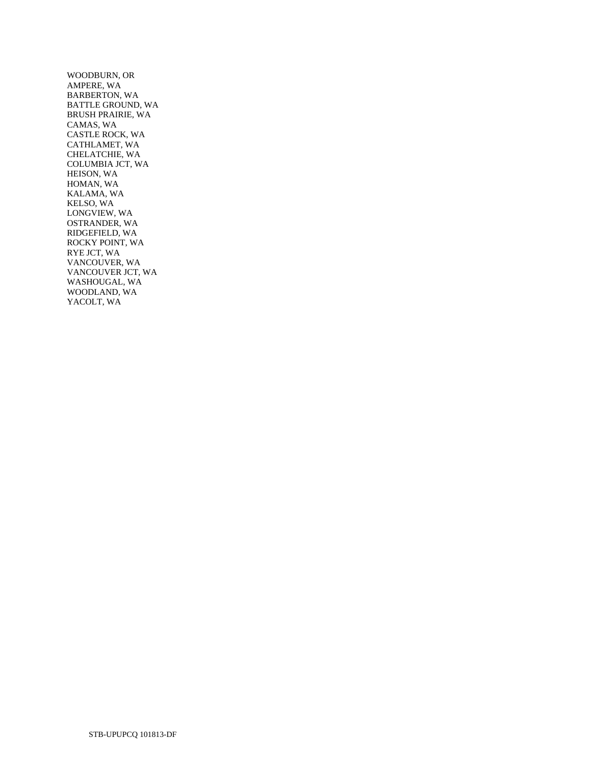WOODBURN, OR AMPERE, WA BARBERTON, WA BATTLE GROUND, WA BRUSH PRAIRIE, WA CAMAS, WA CASTLE ROCK, WA CATHLAMET, WA CHELATCHIE, WA COLUMBIA JCT, WA HEISON, WA HOMAN, WA KALAMA, WA KELSO, WA LONGVIEW, WA OSTRANDER, WA RIDGEFIELD, WA ROCKY POINT, WA RYE JCT, WA VANCOUVER, WA VANCOUVER JCT, WA WASHOUGAL, WA WOODLAND, WA YACOLT, WA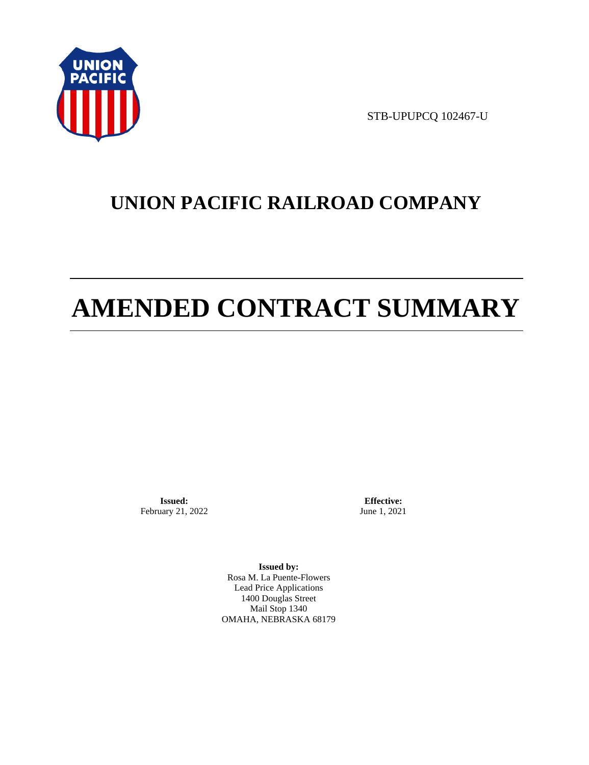

STB-UPUPCQ 102467-U

# **UNION PACIFIC RAILROAD COMPANY**

# **AMENDED CONTRACT SUMMARY**

**Issued:**  February 21, 2022

**Effective:** June 1, 2021

**Issued by:**  Rosa M. La Puente-Flowers Lead Price Applications 1400 Douglas Street Mail Stop 1340 OMAHA, NEBRASKA 68179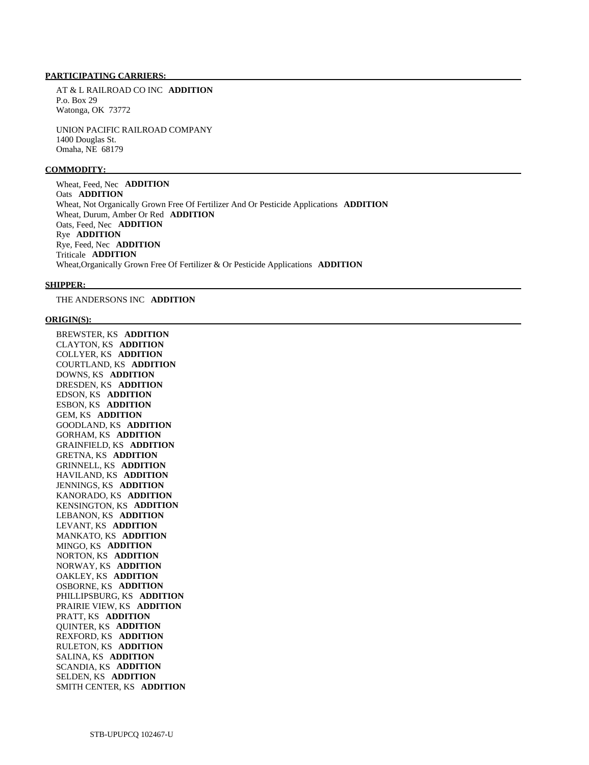#### **PARTICIPATING CARRIERS:**

 AT & L RAILROAD CO INC **ADDITION**  P.o. Box 29 Watonga, OK 73772

 UNION PACIFIC RAILROAD COMPANY 1400 Douglas St. Omaha, NE 68179

#### **COMMODITY:**

 Wheat, Feed, Nec **ADDITION**  Oats **ADDITION**  Wheat, Not Organically Grown Free Of Fertilizer And Or Pesticide Applications **ADDITION**  Wheat, Durum, Amber Or Red **ADDITION**  Oats, Feed, Nec **ADDITION**  Rye **ADDITION**  Rye, Feed, Nec **ADDITION**  Triticale **ADDITION**  Wheat,Organically Grown Free Of Fertilizer & Or Pesticide Applications **ADDITION** 

#### **SHIPPER:**

THE ANDERSONS INC **ADDITION** 

#### **ORIGIN(S):**

 BREWSTER, KS **ADDITION**  CLAYTON, KS **ADDITION**  COLLYER, KS **ADDITION**  COURTLAND, KS **ADDITION**  DOWNS, KS **ADDITION**  DRESDEN, KS **ADDITION**  EDSON, KS **ADDITION**  ESBON, KS **ADDITION**  GEM, KS **ADDITION**  GOODLAND, KS **ADDITION**  GORHAM, KS **ADDITION**  GRAINFIELD, KS **ADDITION**  GRETNA, KS **ADDITION**  GRINNELL, KS **ADDITION**  HAVILAND, KS **ADDITION**  JENNINGS, KS **ADDITION**  KANORADO, KS **ADDITION**  KENSINGTON, KS **ADDITION**  LEBANON, KS **ADDITION**  LEVANT, KS **ADDITION**  MANKATO, KS **ADDITION**  MINGO, KS **ADDITION**  NORTON, KS **ADDITION**  NORWAY, KS **ADDITION**  OAKLEY, KS **ADDITION**  OSBORNE, KS **ADDITION**  PHILLIPSBURG, KS **ADDITION**  PRAIRIE VIEW, KS **ADDITION**  PRATT, KS **ADDITION**  QUINTER, KS **ADDITION**  REXFORD, KS **ADDITION**  RULETON, KS **ADDITION**  SALINA, KS **ADDITION**  SCANDIA, KS **ADDITION**  SELDEN, KS **ADDITION**  SMITH CENTER, KS **ADDITION**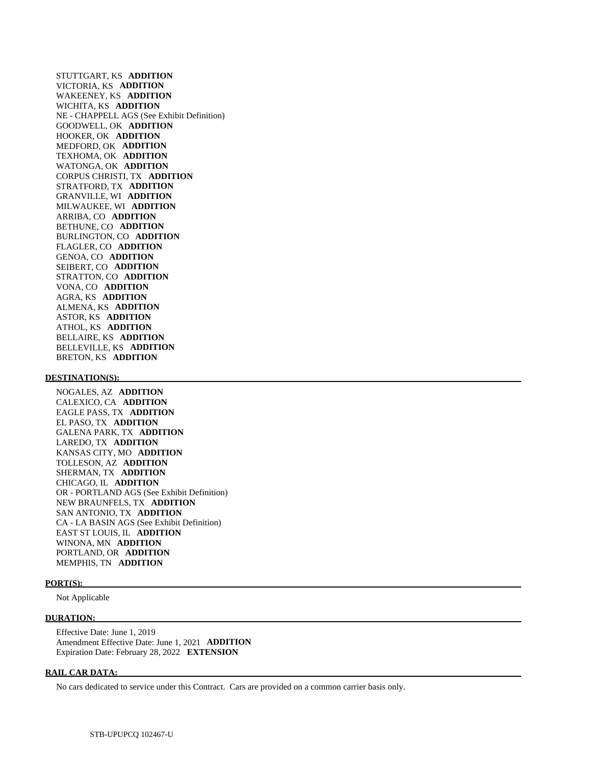STUTTGART, KS **ADDITION**  VICTORIA, KS **ADDITION**  WAKEENEY, KS **ADDITION**  WICHITA, KS **ADDITION**  NE - CHAPPELL AGS (See Exhibit Definition) GOODWELL, OK **ADDITION**  HOOKER, OK **ADDITION**  MEDFORD, OK **ADDITION**  TEXHOMA, OK **ADDITION**  WATONGA, OK **ADDITION**  CORPUS CHRISTI, TX **ADDITION**  STRATFORD, TX **ADDITION**  GRANVILLE, WI **ADDITION**  MILWAUKEE, WI **ADDITION**  ARRIBA, CO **ADDITION**  BETHUNE, CO **ADDITION**  BURLINGTON, CO **ADDITION**  FLAGLER, CO **ADDITION**  GENOA, CO **ADDITION**  SEIBERT, CO **ADDITION**  STRATTON, CO **ADDITION**  VONA, CO **ADDITION**  AGRA, KS **ADDITION**  ALMENA, KS **ADDITION**  ASTOR, KS **ADDITION**  ATHOL, KS **ADDITION**  BELLAIRE, KS **ADDITION**  BELLEVILLE, KS **ADDITION**  BRETON, KS **ADDITION** 

#### **DESTINATION(S):**

 NOGALES, AZ **ADDITION**  CALEXICO, CA **ADDITION**  EAGLE PASS, TX **ADDITION**  EL PASO, TX **ADDITION**  GALENA PARK, TX **ADDITION**  LAREDO, TX **ADDITION**  KANSAS CITY, MO **ADDITION**  TOLLESON, AZ **ADDITION**  SHERMAN, TX **ADDITION**  CHICAGO, IL **ADDITION**  OR - PORTLAND AGS (See Exhibit Definition) NEW BRAUNFELS, TX **ADDITION**  SAN ANTONIO, TX **ADDITION**  CA - LA BASIN AGS (See Exhibit Definition) EAST ST LOUIS, IL **ADDITION**  WINONA, MN **ADDITION**  PORTLAND, OR **ADDITION**  MEMPHIS, TN **ADDITION** 

#### **PORT(S):**

Not Applicable

#### **DURATION:**

 Effective Date: June 1, 2019 Amendment Effective Date: June 1, 2021 **ADDITION**  Expiration Date: February 28, 2022 **EXTENSION** 

#### **RAIL CAR DATA:**

No cars dedicated to service under this Contract. Cars are provided on a common carrier basis only.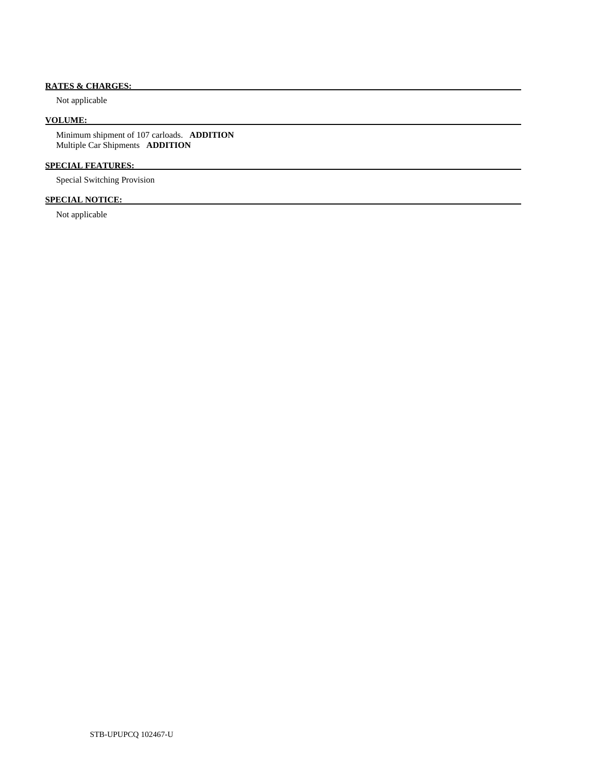# **RATES & CHARGES:**

Not applicable

## **VOLUME:**

 Minimum shipment of 107 carloads. **ADDITION**  Multiple Car Shipments **ADDITION** 

# **SPECIAL FEATURES:**

Special Switching Provision

## **SPECIAL NOTICE:**

Not applicable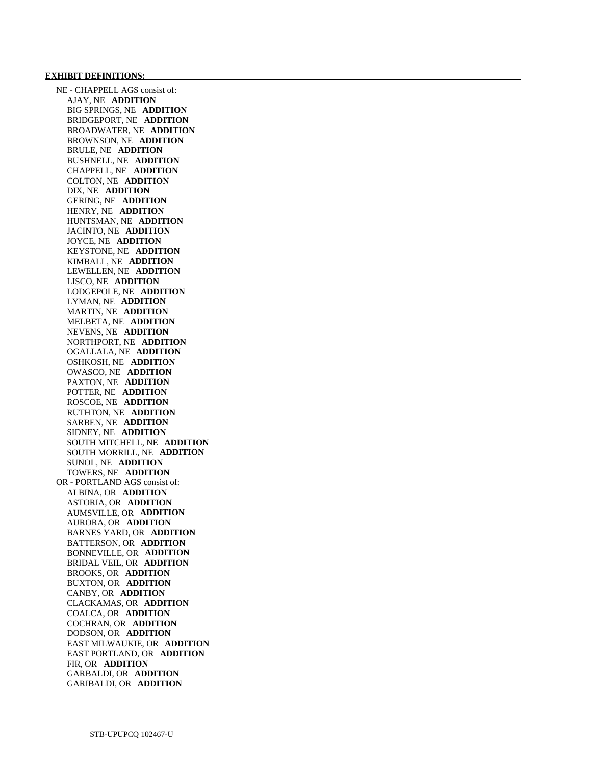#### **EXHIBIT DEFINITIONS:**

 NE - CHAPPELL AGS consist of: AJAY, NE **ADDITION**  BIG SPRINGS, NE **ADDITION**  BRIDGEPORT, NE **ADDITION**  BROADWATER, NE **ADDITION**  BROWNSON, NE **ADDITION**  BRULE, NE **ADDITION**  BUSHNELL, NE **ADDITION**  CHAPPELL, NE **ADDITION**  COLTON, NE **ADDITION**  DIX, NE **ADDITION**  GERING, NE **ADDITION**  HENRY, NE **ADDITION**  HUNTSMAN, NE **ADDITION**  JACINTO, NE **ADDITION**  JOYCE, NE **ADDITION**  KEYSTONE, NE **ADDITION**  KIMBALL, NE **ADDITION**  LEWELLEN, NE **ADDITION**  LISCO, NE **ADDITION**  LODGEPOLE, NE **ADDITION**  LYMAN, NE **ADDITION**  MARTIN, NE **ADDITION**  MELBETA, NE **ADDITION**  NEVENS, NE **ADDITION**  NORTHPORT, NE **ADDITION**  OGALLALA, NE **ADDITION**  OSHKOSH, NE **ADDITION**  OWASCO, NE **ADDITION**  PAXTON, NE **ADDITION**  POTTER, NE **ADDITION**  ROSCOE, NE **ADDITION**  RUTHTON, NE **ADDITION**  SARBEN, NE **ADDITION**  SIDNEY, NE **ADDITION**  SOUTH MITCHELL, NE **ADDITION**  SOUTH MORRILL, NE **ADDITION**  SUNOL, NE **ADDITION**  TOWERS, NE **ADDITION**  OR - PORTLAND AGS consist of: ALBINA, OR **ADDITION**  ASTORIA, OR **ADDITION**  AUMSVILLE, OR **ADDITION**  AURORA, OR **ADDITION**  BARNES YARD, OR **ADDITION**  BATTERSON, OR **ADDITION**  BONNEVILLE, OR **ADDITION**  BRIDAL VEIL, OR **ADDITION**  BROOKS, OR **ADDITION**  BUXTON, OR **ADDITION**  CANBY, OR **ADDITION**  CLACKAMAS, OR **ADDITION**  COALCA, OR **ADDITION**  COCHRAN, OR **ADDITION**  DODSON, OR **ADDITION**  EAST MILWAUKIE, OR **ADDITION**  EAST PORTLAND, OR **ADDITION**  FIR, OR **ADDITION**  GARBALDI, OR **ADDITION**  GARIBALDI, OR **ADDITION**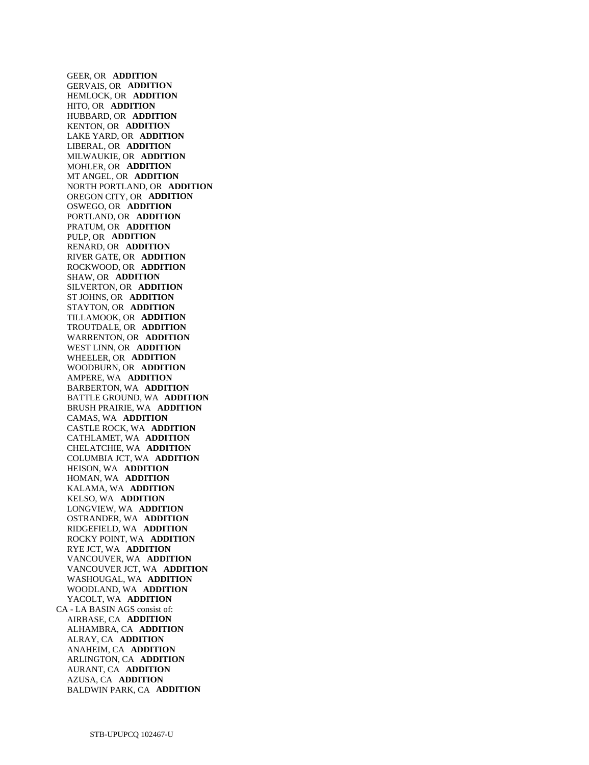GEER, OR **ADDITION**  GERVAIS, OR **ADDITION**  HEMLOCK, OR **ADDITION**  HITO, OR **ADDITION**  HUBBARD, OR **ADDITION**  KENTON, OR **ADDITION**  LAKE YARD, OR **ADDITION**  LIBERAL, OR **ADDITION**  MILWAUKIE, OR **ADDITION**  MOHLER, OR **ADDITION**  MT ANGEL, OR **ADDITION**  NORTH PORTLAND, OR **ADDITION**  OREGON CITY, OR **ADDITION**  OSWEGO, OR **ADDITION**  PORTLAND, OR **ADDITION**  PRATUM, OR **ADDITION**  PULP, OR **ADDITION**  RENARD, OR **ADDITION**  RIVER GATE, OR **ADDITION**  ROCKWOOD, OR **ADDITION**  SHAW, OR **ADDITION**  SILVERTON, OR **ADDITION**  ST JOHNS, OR **ADDITION**  STAYTON, OR **ADDITION**  TILLAMOOK, OR **ADDITION**  TROUTDALE, OR **ADDITION**  WARRENTON, OR **ADDITION**  WEST LINN, OR **ADDITION**  WHEELER, OR **ADDITION**  WOODBURN, OR **ADDITION**  AMPERE, WA **ADDITION**  BARBERTON, WA **ADDITION**  BATTLE GROUND, WA **ADDITION**  BRUSH PRAIRIE, WA **ADDITION**  CAMAS, WA **ADDITION**  CASTLE ROCK, WA **ADDITION**  CATHLAMET, WA **ADDITION**  CHELATCHIE, WA **ADDITION**  COLUMBIA JCT, WA **ADDITION**  HEISON, WA **ADDITION**  HOMAN, WA **ADDITION**  KALAMA, WA **ADDITION**  KELSO, WA **ADDITION**  LONGVIEW, WA **ADDITION**  OSTRANDER, WA **ADDITION**  RIDGEFIELD, WA **ADDITION**  ROCKY POINT, WA **ADDITION**  RYE JCT, WA **ADDITION**  VANCOUVER, WA **ADDITION**  VANCOUVER JCT, WA **ADDITION**  WASHOUGAL, WA **ADDITION**  WOODLAND, WA **ADDITION**  YACOLT, WA **ADDITION**  CA - LA BASIN AGS consist of: AIRBASE, CA **ADDITION**  ALHAMBRA, CA **ADDITION**  ALRAY, CA **ADDITION**  ANAHEIM, CA **ADDITION**  ARLINGTON, CA **ADDITION**  AURANT, CA **ADDITION**  AZUSA, CA **ADDITION**  BALDWIN PARK, CA **ADDITION**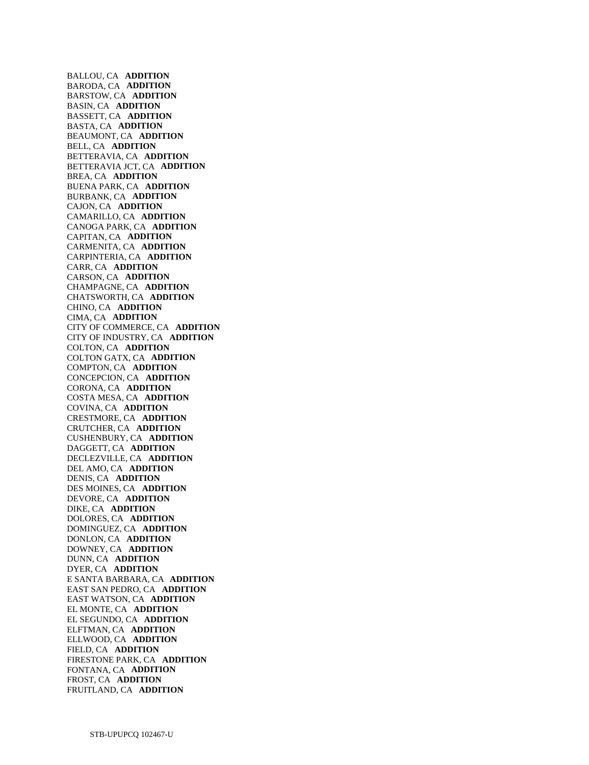BALLOU, CA **ADDITION**  BARODA, CA **ADDITION**  BARSTOW, CA **ADDITION**  BASIN, CA **ADDITION**  BASSETT, CA **ADDITION**  BASTA, CA **ADDITION**  BEAUMONT, CA **ADDITION**  BELL, CA **ADDITION**  BETTERAVIA, CA **ADDITION**  BETTERAVIA JCT, CA **ADDITION**  BREA, CA **ADDITION**  BUENA PARK, CA **ADDITION**  BURBANK, CA **ADDITION**  CAJON, CA **ADDITION**  CAMARILLO, CA **ADDITION**  CANOGA PARK, CA **ADDITION**  CAPITAN, CA **ADDITION**  CARMENITA, CA **ADDITION**  CARPINTERIA, CA **ADDITION**  CARR, CA **ADDITION**  CARSON, CA **ADDITION**  CHAMPAGNE, CA **ADDITION**  CHATSWORTH, CA **ADDITION**  CHINO, CA **ADDITION**  CIMA, CA **ADDITION**  CITY OF COMMERCE, CA **ADDITION**  CITY OF INDUSTRY, CA **ADDITION**  COLTON, CA **ADDITION**  COLTON GATX, CA **ADDITION**  COMPTON, CA **ADDITION**  CONCEPCION, CA **ADDITION**  CORONA, CA **ADDITION**  COSTA MESA, CA **ADDITION**  COVINA, CA **ADDITION**  CRESTMORE, CA **ADDITION**  CRUTCHER, CA **ADDITION**  CUSHENBURY, CA **ADDITION**  DAGGETT, CA **ADDITION**  DECLEZVILLE, CA **ADDITION**  DEL AMO, CA **ADDITION**  DENIS, CA **ADDITION**  DES MOINES, CA **ADDITION**  DEVORE, CA **ADDITION**  DIKE, CA **ADDITION**  DOLORES, CA **ADDITION**  DOMINGUEZ, CA **ADDITION**  DONLON, CA **ADDITION**  DOWNEY, CA **ADDITION**  DUNN, CA **ADDITION**  DYER, CA **ADDITION**  E SANTA BARBARA, CA **ADDITION**  EAST SAN PEDRO, CA **ADDITION**  EAST WATSON, CA **ADDITION**  EL MONTE, CA **ADDITION**  EL SEGUNDO, CA **ADDITION**  ELFTMAN, CA **ADDITION**  ELLWOOD, CA **ADDITION**  FIELD, CA **ADDITION**  FIRESTONE PARK, CA **ADDITION**  FONTANA, CA **ADDITION**  FROST, CA **ADDITION**  FRUITLAND, CA **ADDITION**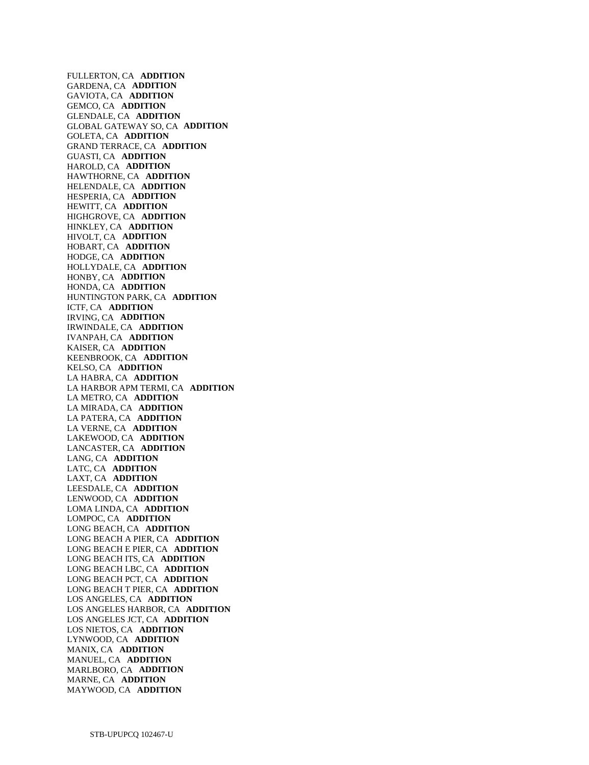FULLERTON, CA **ADDITION**  GARDENA, CA **ADDITION**  GAVIOTA, CA **ADDITION**  GEMCO, CA **ADDITION**  GLENDALE, CA **ADDITION**  GLOBAL GATEWAY SO, CA **ADDITION**  GOLETA, CA **ADDITION**  GRAND TERRACE, CA **ADDITION**  GUASTI, CA **ADDITION**  HAROLD, CA **ADDITION**  HAWTHORNE, CA **ADDITION**  HELENDALE, CA **ADDITION**  HESPERIA, CA **ADDITION**  HEWITT, CA **ADDITION**  HIGHGROVE, CA **ADDITION**  HINKLEY, CA **ADDITION**  HIVOLT, CA **ADDITION**  HOBART, CA **ADDITION**  HODGE, CA **ADDITION**  HOLLYDALE, CA **ADDITION**  HONBY, CA **ADDITION**  HONDA, CA **ADDITION**  HUNTINGTON PARK, CA **ADDITION**  ICTF, CA **ADDITION**  IRVING, CA **ADDITION**  IRWINDALE, CA **ADDITION**  IVANPAH, CA **ADDITION**  KAISER, CA **ADDITION**  KEENBROOK, CA **ADDITION**  KELSO, CA **ADDITION**  LA HABRA, CA **ADDITION**  LA HARBOR APM TERMI, CA **ADDITION**  LA METRO, CA **ADDITION**  LA MIRADA, CA **ADDITION**  LA PATERA, CA **ADDITION**  LA VERNE, CA **ADDITION**  LAKEWOOD, CA **ADDITION**  LANCASTER, CA **ADDITION**  LANG, CA **ADDITION**  LATC, CA **ADDITION**  LAXT, CA **ADDITION**  LEESDALE, CA **ADDITION**  LENWOOD, CA **ADDITION**  LOMA LINDA, CA **ADDITION**  LOMPOC, CA **ADDITION**  LONG BEACH, CA **ADDITION**  LONG BEACH A PIER, CA **ADDITION**  LONG BEACH E PIER, CA **ADDITION**  LONG BEACH ITS, CA **ADDITION**  LONG BEACH LBC, CA **ADDITION**  LONG BEACH PCT, CA **ADDITION**  LONG BEACH T PIER, CA **ADDITION**  LOS ANGELES, CA **ADDITION**  LOS ANGELES HARBOR, CA **ADDITION**  LOS ANGELES JCT, CA **ADDITION**  LOS NIETOS, CA **ADDITION**  LYNWOOD, CA **ADDITION**  MANIX, CA **ADDITION**  MANUEL, CA **ADDITION**  MARLBORO, CA **ADDITION**  MARNE, CA **ADDITION**  MAYWOOD, CA **ADDITION**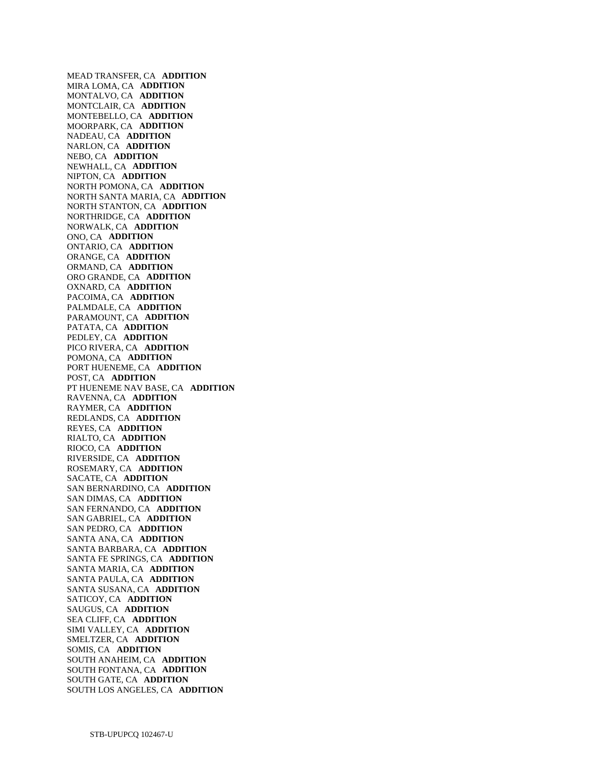MEAD TRANSFER, CA **ADDITION**  MIRA LOMA, CA **ADDITION**  MONTALVO, CA **ADDITION**  MONTCLAIR, CA **ADDITION**  MONTEBELLO, CA **ADDITION**  MOORPARK, CA **ADDITION**  NADEAU, CA **ADDITION**  NARLON, CA **ADDITION**  NEBO, CA **ADDITION**  NEWHALL, CA **ADDITION**  NIPTON, CA **ADDITION**  NORTH POMONA, CA **ADDITION**  NORTH SANTA MARIA, CA **ADDITION**  NORTH STANTON, CA **ADDITION**  NORTHRIDGE, CA **ADDITION**  NORWALK, CA **ADDITION**  ONO, CA **ADDITION**  ONTARIO, CA **ADDITION**  ORANGE, CA **ADDITION**  ORMAND, CA **ADDITION**  ORO GRANDE, CA **ADDITION**  OXNARD, CA **ADDITION**  PACOIMA, CA **ADDITION**  PALMDALE, CA **ADDITION**  PARAMOUNT, CA **ADDITION**  PATATA, CA **ADDITION**  PEDLEY, CA **ADDITION**  PICO RIVERA, CA **ADDITION**  POMONA, CA **ADDITION**  PORT HUENEME, CA **ADDITION**  POST, CA **ADDITION**  PT HUENEME NAV BASE, CA **ADDITION**  RAVENNA, CA **ADDITION**  RAYMER, CA **ADDITION**  REDLANDS, CA **ADDITION**  REYES, CA **ADDITION**  RIALTO, CA **ADDITION**  RIOCO, CA **ADDITION**  RIVERSIDE, CA **ADDITION**  ROSEMARY, CA **ADDITION**  SACATE, CA **ADDITION**  SAN BERNARDINO, CA **ADDITION**  SAN DIMAS, CA **ADDITION**  SAN FERNANDO, CA **ADDITION**  SAN GABRIEL, CA **ADDITION**  SAN PEDRO, CA **ADDITION**  SANTA ANA, CA **ADDITION**  SANTA BARBARA, CA **ADDITION**  SANTA FE SPRINGS, CA **ADDITION**  SANTA MARIA, CA **ADDITION**  SANTA PAULA, CA **ADDITION**  SANTA SUSANA, CA **ADDITION**  SATICOY, CA **ADDITION**  SAUGUS, CA **ADDITION**  SEA CLIFF, CA **ADDITION**  SIMI VALLEY, CA **ADDITION**  SMELTZER, CA **ADDITION**  SOMIS, CA **ADDITION**  SOUTH ANAHEIM, CA **ADDITION**  SOUTH FONTANA, CA **ADDITION**  SOUTH GATE, CA **ADDITION**  SOUTH LOS ANGELES, CA **ADDITION**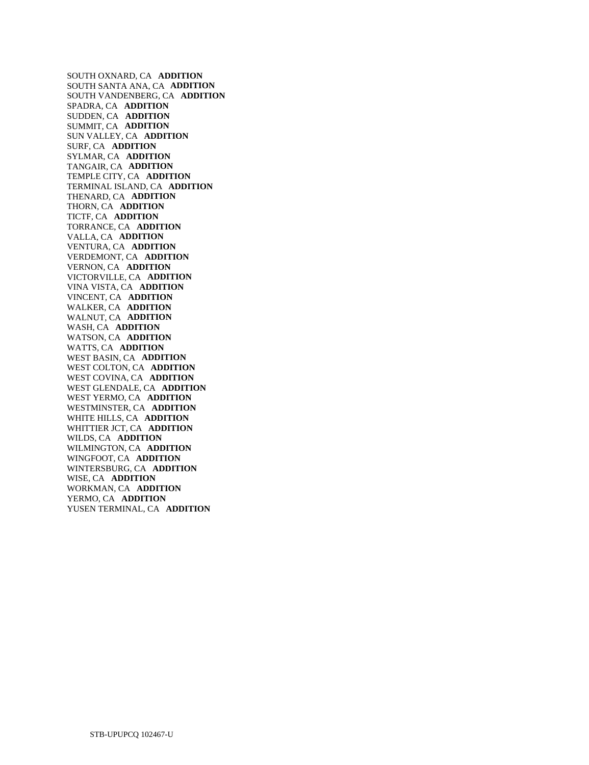SOUTH OXNARD, CA **ADDITION**  SOUTH SANTA ANA, CA **ADDITION**  SOUTH VANDENBERG, CA **ADDITION**  SPADRA, CA **ADDITION**  SUDDEN, CA **ADDITION**  SUMMIT, CA **ADDITION**  SUN VALLEY, CA **ADDITION**  SURF, CA **ADDITION**  SYLMAR, CA **ADDITION**  TANGAIR, CA **ADDITION**  TEMPLE CITY, CA **ADDITION**  TERMINAL ISLAND, CA **ADDITION**  THENARD, CA **ADDITION**  THORN, CA **ADDITION**  TICTF, CA **ADDITION**  TORRANCE, CA **ADDITION**  VALLA, CA **ADDITION**  VENTURA, CA **ADDITION**  VERDEMONT, CA **ADDITION**  VERNON, CA **ADDITION**  VICTORVILLE, CA **ADDITION**  VINA VISTA, CA **ADDITION**  VINCENT, CA **ADDITION**  WALKER, CA **ADDITION**  WALNUT, CA **ADDITION**  WASH, CA **ADDITION**  WATSON, CA **ADDITION**  WATTS, CA **ADDITION**  WEST BASIN, CA **ADDITION**  WEST COLTON, CA **ADDITION**  WEST COVINA, CA **ADDITION**  WEST GLENDALE, CA **ADDITION**  WEST YERMO, CA **ADDITION**  WESTMINSTER, CA **ADDITION**  WHITE HILLS, CA **ADDITION**  WHITTIER JCT, CA **ADDITION**  WILDS, CA **ADDITION**  WILMINGTON, CA **ADDITION**  WINGFOOT, CA **ADDITION**  WINTERSBURG, CA **ADDITION**  WISE, CA **ADDITION**  WORKMAN, CA **ADDITION**  YERMO, CA **ADDITION**  YUSEN TERMINAL, CA **ADDITION**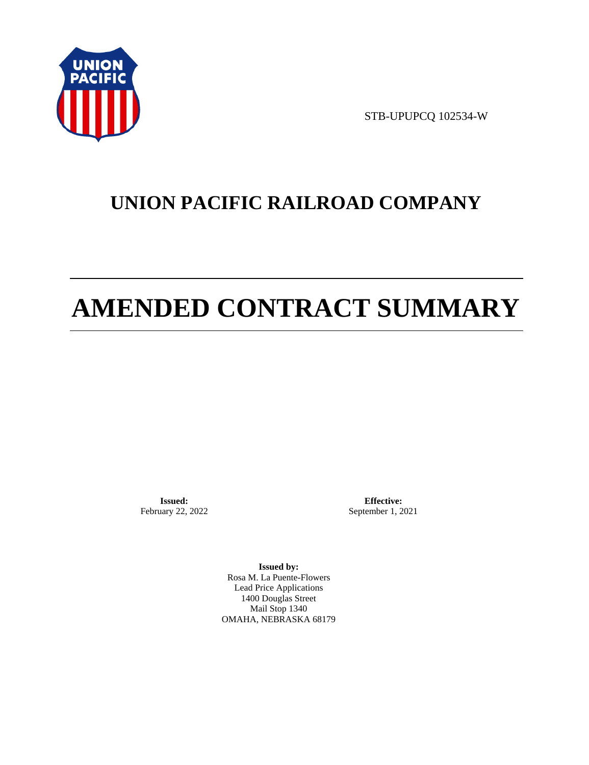

STB-UPUPCQ 102534-W

# **UNION PACIFIC RAILROAD COMPANY**

# **AMENDED CONTRACT SUMMARY**

**Issued:**  February 22, 2022

**Effective:** September 1, 2021

**Issued by:**  Rosa M. La Puente-Flowers Lead Price Applications 1400 Douglas Street Mail Stop 1340 OMAHA, NEBRASKA 68179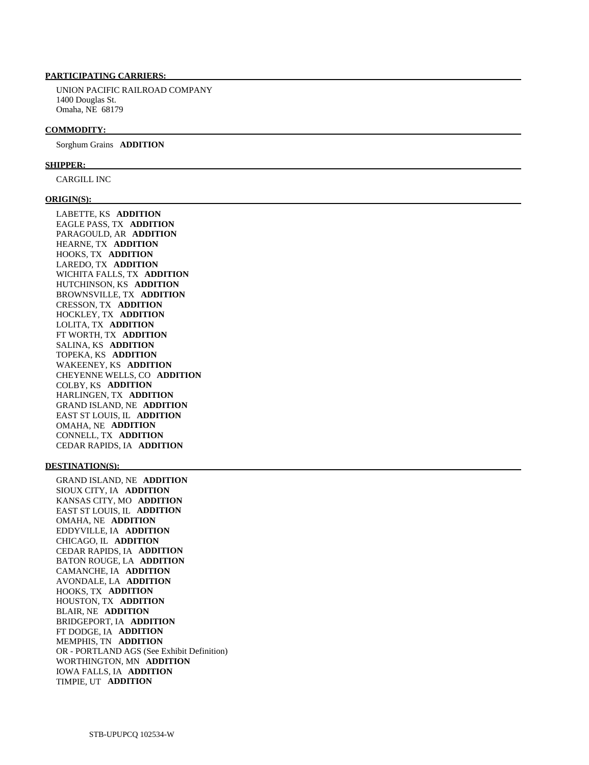### **PARTICIPATING CARRIERS:**

 UNION PACIFIC RAILROAD COMPANY 1400 Douglas St. Omaha, NE 68179

#### **COMMODITY:**

Sorghum Grains **ADDITION** 

#### **SHIPPER:**

CARGILL INC

#### **ORIGIN(S):**

 LABETTE, KS **ADDITION**  EAGLE PASS, TX **ADDITION**  PARAGOULD, AR **ADDITION**  HEARNE, TX **ADDITION**  HOOKS, TX **ADDITION**  LAREDO, TX **ADDITION**  WICHITA FALLS, TX **ADDITION**  HUTCHINSON, KS **ADDITION**  BROWNSVILLE, TX **ADDITION**  CRESSON, TX **ADDITION**  HOCKLEY, TX **ADDITION**  LOLITA, TX **ADDITION**  FT WORTH, TX **ADDITION**  SALINA, KS **ADDITION**  TOPEKA, KS **ADDITION**  WAKEENEY, KS **ADDITION**  CHEYENNE WELLS, CO **ADDITION**  COLBY, KS **ADDITION**  HARLINGEN, TX **ADDITION**  GRAND ISLAND, NE **ADDITION**  EAST ST LOUIS, IL **ADDITION**  OMAHA, NE **ADDITION**  CONNELL, TX **ADDITION**  CEDAR RAPIDS, IA **ADDITION** 

#### **DESTINATION(S):**

 GRAND ISLAND, NE **ADDITION**  SIOUX CITY, IA **ADDITION**  KANSAS CITY, MO **ADDITION**  EAST ST LOUIS, IL **ADDITION**  OMAHA, NE **ADDITION**  EDDYVILLE, IA **ADDITION**  CHICAGO, IL **ADDITION**  CEDAR RAPIDS, IA **ADDITION**  BATON ROUGE, LA **ADDITION**  CAMANCHE, IA **ADDITION**  AVONDALE, LA **ADDITION**  HOOKS, TX **ADDITION**  HOUSTON, TX **ADDITION**  BLAIR, NE **ADDITION**  BRIDGEPORT, IA **ADDITION**  FT DODGE, IA **ADDITION**  MEMPHIS, TN **ADDITION**  OR - PORTLAND AGS (See Exhibit Definition) WORTHINGTON, MN **ADDITION**  IOWA FALLS, IA **ADDITION**  TIMPIE, UT **ADDITION**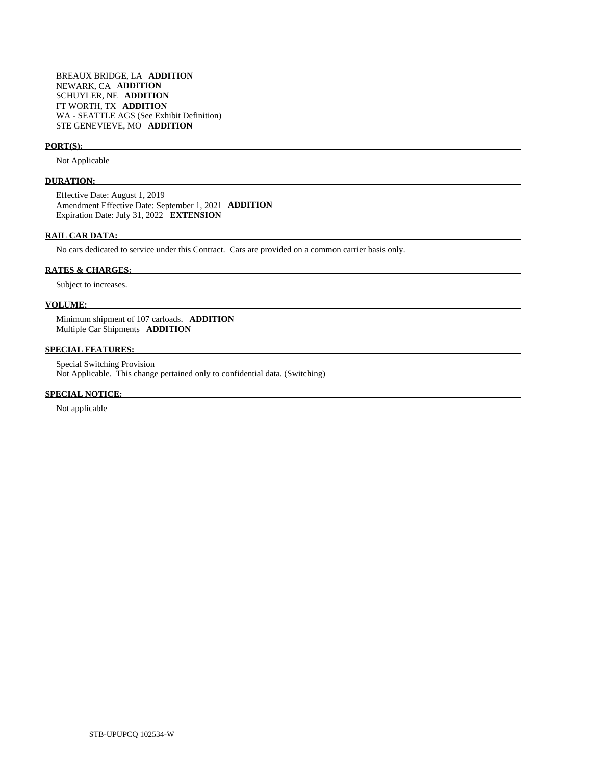#### **PORT(S):**

Not Applicable

#### **DURATION:**

 Effective Date: August 1, 2019 Amendment Effective Date: September 1, 2021 **ADDITION**  Expiration Date: July 31, 2022 **EXTENSION** 

#### **RAIL CAR DATA:**

No cars dedicated to service under this Contract. Cars are provided on a common carrier basis only.

#### **RATES & CHARGES:**

Subject to increases.

#### **VOLUME:**

 Minimum shipment of 107 carloads. **ADDITION**  Multiple Car Shipments **ADDITION** 

#### **SPECIAL FEATURES:**

 Special Switching Provision Not Applicable. This change pertained only to confidential data. (Switching)

#### **SPECIAL NOTICE:**

Not applicable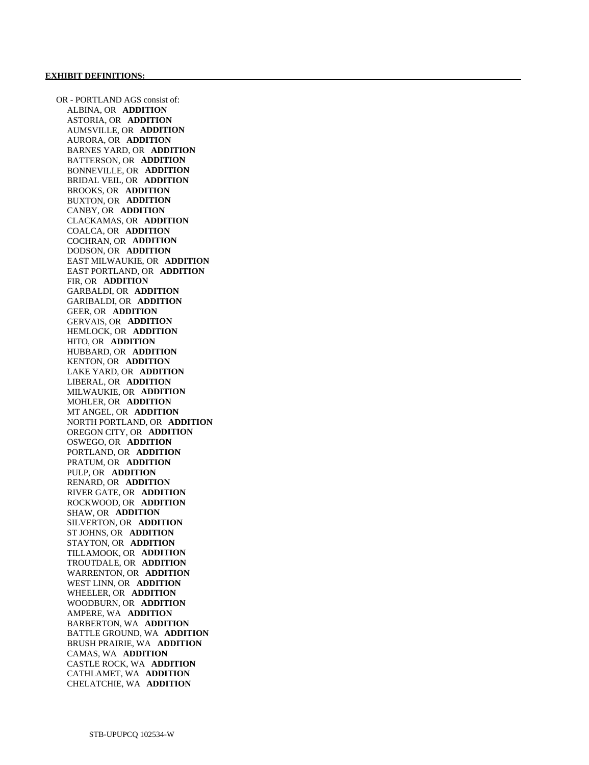OR - PORTLAND AGS consist of: ALBINA, OR **ADDITION**  ASTORIA, OR **ADDITION**  AUMSVILLE, OR **ADDITION**  AURORA, OR **ADDITION**  BARNES YARD, OR **ADDITION**  BATTERSON, OR **ADDITION**  BONNEVILLE, OR **ADDITION**  BRIDAL VEIL, OR **ADDITION**  BROOKS, OR **ADDITION**  BUXTON, OR **ADDITION**  CANBY, OR **ADDITION**  CLACKAMAS, OR **ADDITION**  COALCA, OR **ADDITION**  COCHRAN, OR **ADDITION**  DODSON, OR **ADDITION**  EAST MILWAUKIE, OR **ADDITION**  EAST PORTLAND, OR **ADDITION**  FIR, OR **ADDITION**  GARBALDI, OR **ADDITION**  GARIBALDI, OR **ADDITION**  GEER, OR **ADDITION**  GERVAIS, OR **ADDITION**  HEMLOCK, OR **ADDITION**  HITO, OR **ADDITION**  HUBBARD, OR **ADDITION**  KENTON, OR **ADDITION**  LAKE YARD, OR **ADDITION**  LIBERAL, OR **ADDITION**  MILWAUKIE, OR **ADDITION**  MOHLER, OR **ADDITION**  MT ANGEL, OR **ADDITION**  NORTH PORTLAND, OR **ADDITION**  OREGON CITY, OR **ADDITION**  OSWEGO, OR **ADDITION**  PORTLAND, OR **ADDITION**  PRATUM, OR **ADDITION**  PULP, OR **ADDITION**  RENARD, OR **ADDITION**  RIVER GATE, OR **ADDITION**  ROCKWOOD, OR **ADDITION**  SHAW, OR **ADDITION**  SILVERTON, OR **ADDITION**  ST JOHNS, OR **ADDITION**  STAYTON, OR **ADDITION**  TILLAMOOK, OR **ADDITION**  TROUTDALE, OR **ADDITION**  WARRENTON, OR **ADDITION**  WEST LINN, OR **ADDITION**  WHEELER, OR **ADDITION**  WOODBURN, OR **ADDITION**  AMPERE, WA **ADDITION**  BARBERTON, WA **ADDITION**  BATTLE GROUND, WA **ADDITION**  BRUSH PRAIRIE, WA **ADDITION**  CAMAS, WA **ADDITION**  CASTLE ROCK, WA **ADDITION**  CATHLAMET, WA **ADDITION**  CHELATCHIE, WA **ADDITION**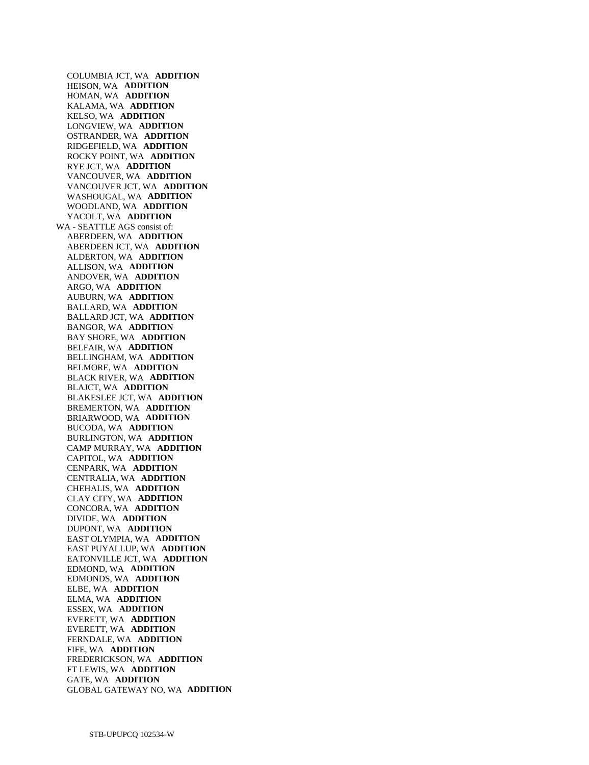COLUMBIA JCT, WA **ADDITION**  HEISON, WA **ADDITION**  HOMAN, WA **ADDITION**  KALAMA, WA **ADDITION**  KELSO, WA **ADDITION**  LONGVIEW, WA **ADDITION**  OSTRANDER, WA **ADDITION**  RIDGEFIELD, WA **ADDITION**  ROCKY POINT, WA **ADDITION**  RYE JCT, WA **ADDITION**  VANCOUVER, WA **ADDITION**  VANCOUVER JCT, WA **ADDITION**  WASHOUGAL, WA **ADDITION**  WOODLAND, WA **ADDITION**  YACOLT, WA **ADDITION**  WA - SEATTLE AGS consist of: ABERDEEN, WA **ADDITION**  ABERDEEN JCT, WA **ADDITION**  ALDERTON, WA **ADDITION**  ALLISON, WA **ADDITION**  ANDOVER, WA **ADDITION**  ARGO, WA **ADDITION**  AUBURN, WA **ADDITION**  BALLARD, WA **ADDITION**  BALLARD JCT, WA **ADDITION**  BANGOR, WA **ADDITION**  BAY SHORE, WA **ADDITION**  BELFAIR, WA **ADDITION**  BELLINGHAM, WA **ADDITION**  BELMORE, WA **ADDITION**  BLACK RIVER, WA **ADDITION**  BLAJCT, WA **ADDITION**  BLAKESLEE JCT, WA **ADDITION**  BREMERTON, WA **ADDITION**  BRIARWOOD, WA **ADDITION**  BUCODA, WA **ADDITION**  BURLINGTON, WA **ADDITION**  CAMP MURRAY, WA **ADDITION**  CAPITOL, WA **ADDITION**  CENPARK, WA **ADDITION**  CENTRALIA, WA **ADDITION**  CHEHALIS, WA **ADDITION**  CLAY CITY, WA **ADDITION**  CONCORA, WA **ADDITION**  DIVIDE, WA **ADDITION**  DUPONT, WA **ADDITION**  EAST OLYMPIA, WA **ADDITION**  EAST PUYALLUP, WA **ADDITION**  EATONVILLE JCT, WA **ADDITION**  EDMOND, WA **ADDITION**  EDMONDS, WA **ADDITION**  ELBE, WA **ADDITION**  ELMA, WA **ADDITION**  ESSEX, WA **ADDITION**  EVERETT, WA **ADDITION**  EVERETT, WA **ADDITION**  FERNDALE, WA **ADDITION**  FIFE, WA **ADDITION**  FREDERICKSON, WA **ADDITION**  FT LEWIS, WA **ADDITION**  GATE, WA **ADDITION**  GLOBAL GATEWAY NO, WA **ADDITION**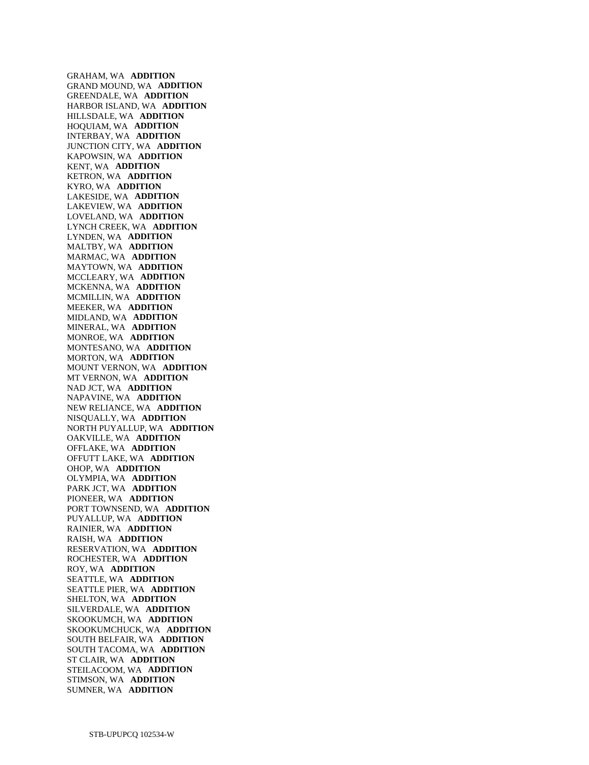GRAHAM, WA **ADDITION**  GRAND MOUND, WA **ADDITION**  GREENDALE, WA **ADDITION**  HARBOR ISLAND, WA **ADDITION**  HILLSDALE, WA **ADDITION**  HOQUIAM, WA **ADDITION**  INTERBAY, WA **ADDITION**  JUNCTION CITY, WA **ADDITION**  KAPOWSIN, WA **ADDITION**  KENT, WA **ADDITION**  KETRON, WA **ADDITION**  KYRO, WA **ADDITION**  LAKESIDE, WA **ADDITION**  LAKEVIEW, WA **ADDITION**  LOVELAND, WA **ADDITION**  LYNCH CREEK, WA **ADDITION**  LYNDEN, WA **ADDITION**  MALTBY, WA **ADDITION**  MARMAC, WA **ADDITION**  MAYTOWN, WA **ADDITION**  MCCLEARY, WA **ADDITION**  MCKENNA, WA **ADDITION**  MCMILLIN, WA **ADDITION**  MEEKER, WA **ADDITION**  MIDLAND, WA **ADDITION**  MINERAL, WA **ADDITION**  MONROE, WA **ADDITION**  MONTESANO, WA **ADDITION**  MORTON, WA **ADDITION**  MOUNT VERNON, WA **ADDITION**  MT VERNON, WA **ADDITION**  NAD JCT, WA **ADDITION**  NAPAVINE, WA **ADDITION**  NEW RELIANCE, WA **ADDITION**  NISQUALLY, WA **ADDITION**  NORTH PUYALLUP, WA **ADDITION**  OAKVILLE, WA **ADDITION**  OFFLAKE, WA **ADDITION**  OFFUTT LAKE, WA **ADDITION**  OHOP, WA **ADDITION**  OLYMPIA, WA **ADDITION**  PARK JCT, WA **ADDITION**  PIONEER, WA **ADDITION**  PORT TOWNSEND, WA **ADDITION**  PUYALLUP, WA **ADDITION**  RAINIER, WA **ADDITION**  RAISH, WA **ADDITION**  RESERVATION, WA **ADDITION**  ROCHESTER, WA **ADDITION**  ROY, WA **ADDITION**  SEATTLE, WA **ADDITION**  SEATTLE PIER, WA **ADDITION**  SHELTON, WA **ADDITION**  SILVERDALE, WA **ADDITION**  SKOOKUMCH, WA **ADDITION**  SKOOKUMCHUCK, WA **ADDITION**  SOUTH BELFAIR, WA **ADDITION**  SOUTH TACOMA, WA **ADDITION**  ST CLAIR, WA **ADDITION**  STEILACOOM, WA **ADDITION**  STIMSON, WA **ADDITION**  SUMNER, WA **ADDITION**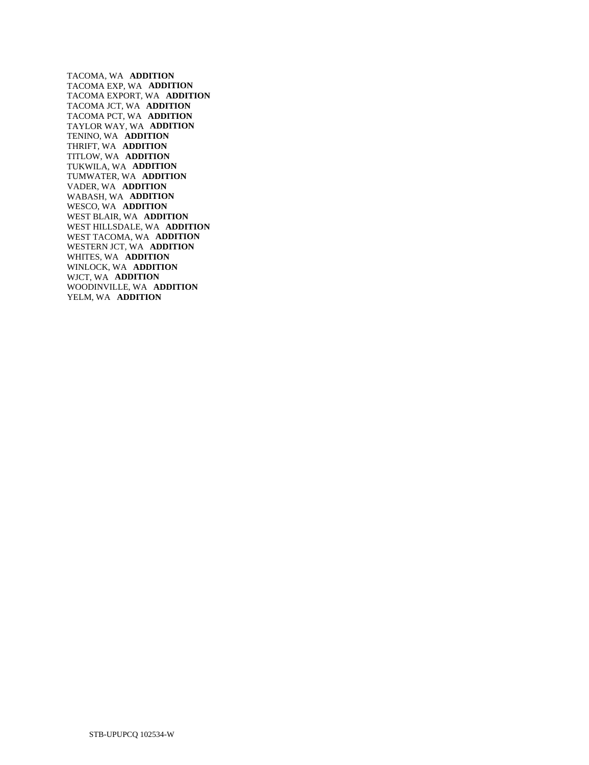TACOMA, WA **ADDITION**  TACOMA EXP, WA **ADDITION**  TACOMA EXPORT, WA **ADDITION**  TACOMA JCT, WA **ADDITION**  TACOMA PCT, WA **ADDITION**  TAYLOR WAY, WA **ADDITION**  TENINO, WA **ADDITION**  THRIFT, WA **ADDITION**  TITLOW, WA **ADDITION**  TUKWILA, WA **ADDITION**  TUMWATER, WA **ADDITION**  VADER, WA **ADDITION**  WABASH, WA **ADDITION**  WESCO, WA **ADDITION**  WEST BLAIR, WA **ADDITION**  WEST HILLSDALE, WA **ADDITION**  WEST TACOMA, WA **ADDITION**  WESTERN JCT, WA **ADDITION**  WHITES, WA **ADDITION**  WINLOCK, WA **ADDITION**  WJCT, WA **ADDITION**  WOODINVILLE, WA **ADDITION**  YELM, WA **ADDITION**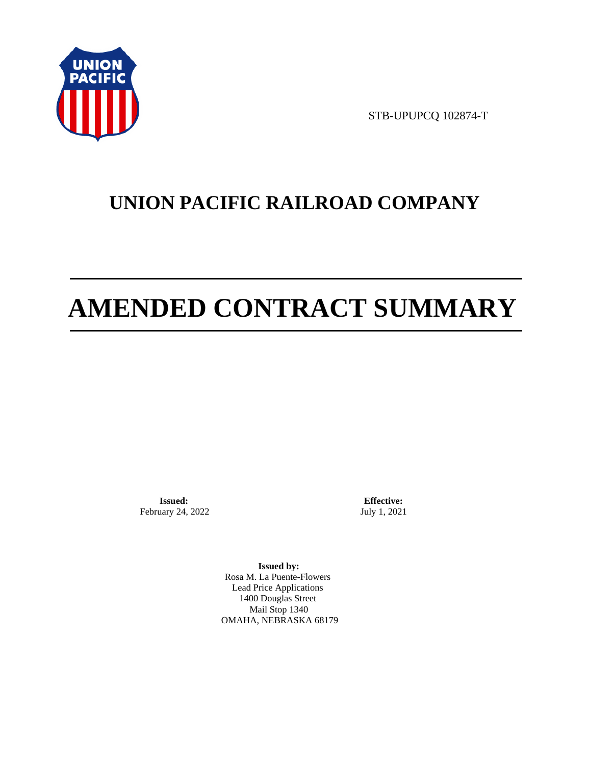

STB-UPUPCQ 102874-T

# **UNION PACIFIC RAILROAD COMPANY**

# **AMENDED CONTRACT SUMMARY**

**Issued:**  February 24, 2022

**Effective:** July 1, 2021

**Issued by:**  Rosa M. La Puente-Flowers Lead Price Applications 1400 Douglas Street Mail Stop 1340 OMAHA, NEBRASKA 68179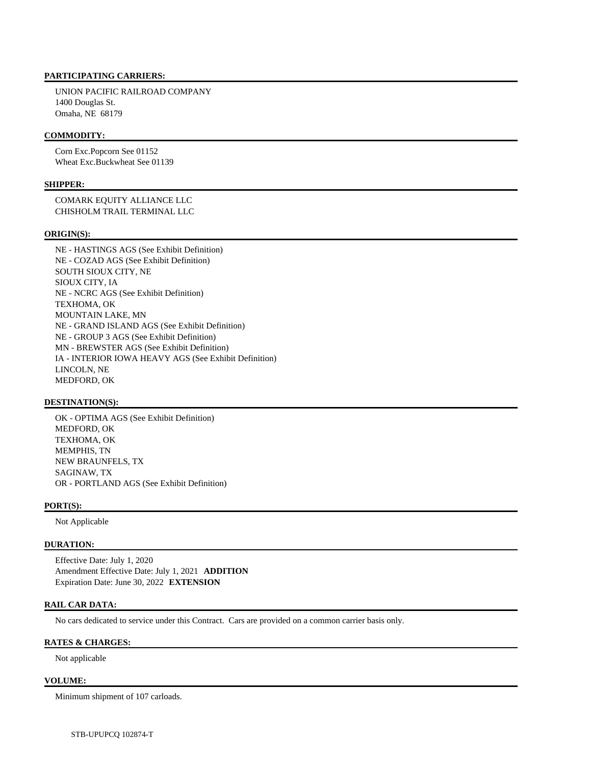#### **PARTICIPATING CARRIERS:**

 UNION PACIFIC RAILROAD COMPANY 1400 Douglas St. Omaha, NE 68179

#### **COMMODITY:**

 Corn Exc.Popcorn See 01152 Wheat Exc.Buckwheat See 01139

#### **SHIPPER:**

 COMARK EQUITY ALLIANCE LLC CHISHOLM TRAIL TERMINAL LLC

#### **ORIGIN(S):**

 NE - HASTINGS AGS (See Exhibit Definition) NE - COZAD AGS (See Exhibit Definition) SOUTH SIOUX CITY, NE SIOUX CITY, IA NE - NCRC AGS (See Exhibit Definition) TEXHOMA, OK MOUNTAIN LAKE, MN NE - GRAND ISLAND AGS (See Exhibit Definition) NE - GROUP 3 AGS (See Exhibit Definition) MN - BREWSTER AGS (See Exhibit Definition) IA - INTERIOR IOWA HEAVY AGS (See Exhibit Definition) LINCOLN, NE MEDFORD, OK

#### **DESTINATION(S):**

 OK - OPTIMA AGS (See Exhibit Definition) MEDFORD, OK TEXHOMA, OK MEMPHIS, TN NEW BRAUNFELS, TX SAGINAW, TX OR - PORTLAND AGS (See Exhibit Definition)

#### **PORT(S):**

Not Applicable

#### **DURATION:**

 Effective Date: July 1, 2020 Amendment Effective Date: July 1, 2021 **ADDITION**  Expiration Date: June 30, 2022 **EXTENSION** 

#### **RAIL CAR DATA:**

No cars dedicated to service under this Contract. Cars are provided on a common carrier basis only.

#### **RATES & CHARGES:**

Not applicable

#### **VOLUME:**

Minimum shipment of 107 carloads.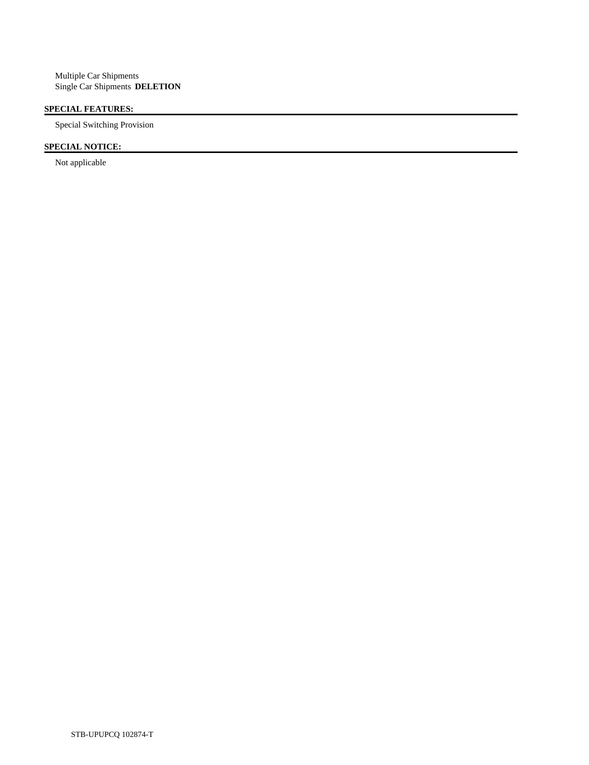# **SPECIAL FEATURES:**

Special Switching Provision

# **SPECIAL NOTICE:**

Not applicable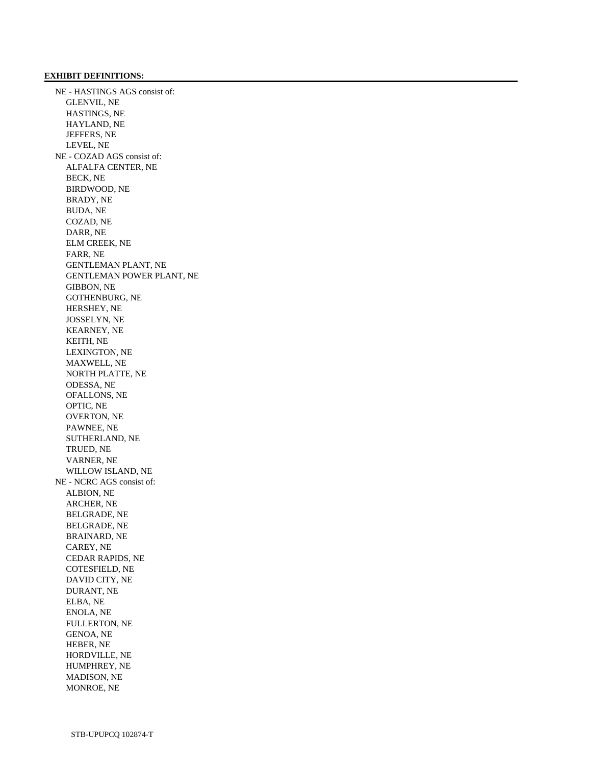## **EXHIBIT DEFINITIONS:**

 NE - HASTINGS AGS consist of: GLENVIL, NE HASTINGS, NE HAYLAND, NE JEFFERS, NE LEVEL, NE NE - COZAD AGS consist of: ALFALFA CENTER, NE BECK, NE BIRDWOOD, NE BRADY, NE BUDA, NE COZAD, NE DARR, NE ELM CREEK, NE FARR, NE GENTLEMAN PLANT, NE GENTLEMAN POWER PLANT, NE GIBBON, NE GOTHENBURG, NE HERSHEY, NE JOSSELYN, NE KEARNEY, NE KEITH, NE LEXINGTON, NE MAXWELL, NE NORTH PLATTE, NE ODESSA, NE OFALLONS, NE OPTIC, NE OVERTON, NE PAWNEE, NE SUTHERLAND, NE TRUED, NE VARNER, NE WILLOW ISLAND, NE NE - NCRC AGS consist of: ALBION, NE ARCHER, NE BELGRADE, NE BELGRADE, NE BRAINARD, NE CAREY, NE CEDAR RAPIDS, NE COTESFIELD, NE DAVID CITY, NE DURANT, NE ELBA, NE ENOLA, NE FULLERTON, NE GENOA, NE HEBER, NE HORDVILLE, NE HUMPHREY, NE MADISON, NE MONROE, NE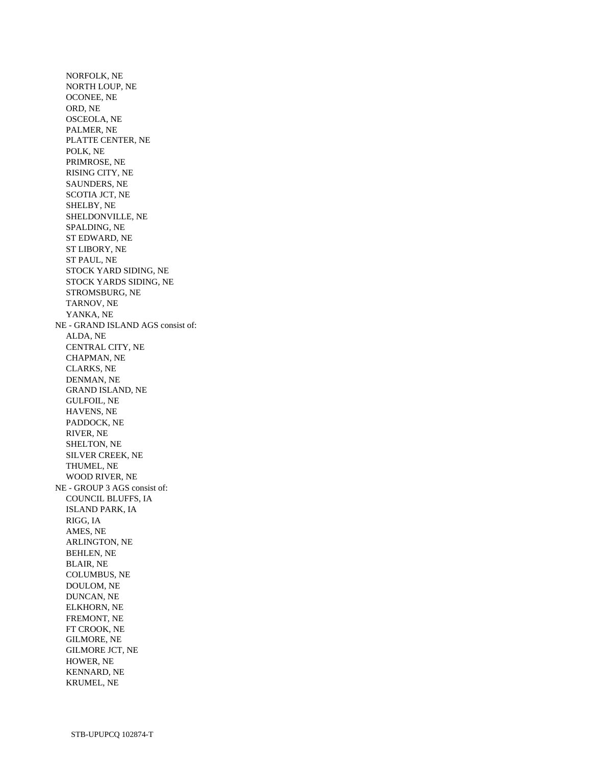NORFOLK, NE NORTH LOUP, NE OCONEE, NE ORD, NE OSCEOLA, NE PALMER, NE PLATTE CENTER, NE POLK, NE PRIMROSE, NE RISING CITY, NE SAUNDERS, NE SCOTIA JCT, NE SHELBY, NE SHELDONVILLE, NE SPALDING, NE ST EDWARD, NE ST LIBORY, NE ST PAUL, NE STOCK YARD SIDING, NE STOCK YARDS SIDING, NE STROMSBURG, NE TARNOV, NE YANKA, NE NE - GRAND ISLAND AGS consist of: ALDA, NE CENTRAL CITY, NE CHAPMAN, NE CLARKS, NE DENMAN, NE GRAND ISLAND, NE GULFOIL, NE HAVENS, NE PADDOCK, NE RIVER, NE SHELTON, NE SILVER CREEK, NE THUMEL, NE WOOD RIVER, NE NE - GROUP 3 AGS consist of: COUNCIL BLUFFS, IA ISLAND PARK, IA RIGG, IA AMES, NE ARLINGTON, NE BEHLEN, NE BLAIR, NE COLUMBUS, NE DOULOM, NE DUNCAN, NE ELKHORN, NE FREMONT, NE FT CROOK, NE GILMORE, NE GILMORE JCT, NE HOWER, NE KENNARD, NE KRUMEL, NE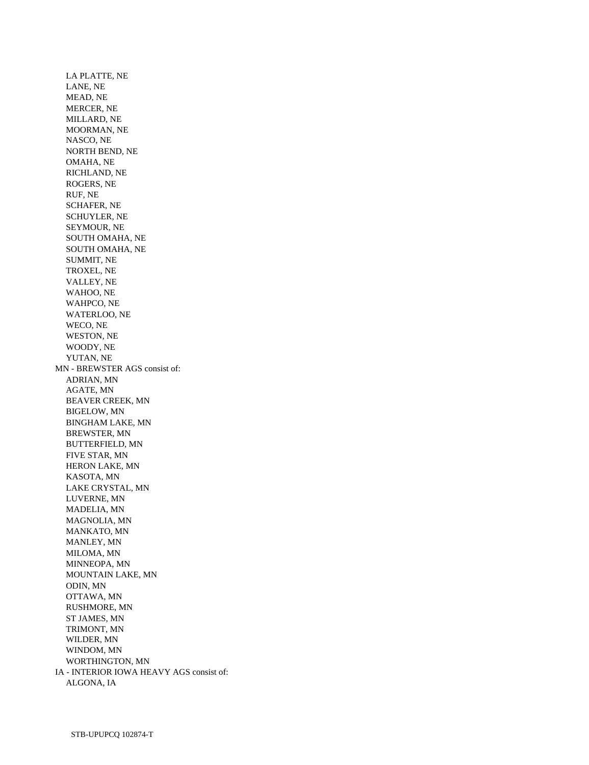LA PLATTE, NE LANE, NE MEAD, NE MERCER, NE MILLARD, NE MOORMAN, NE NASCO, NE NORTH BEND, NE OMAHA, NE RICHLAND, NE ROGERS, NE RUF, NE SCHAFER, NE SCHUYLER, NE SEYMOUR, NE SOUTH OMAHA, NE SOUTH OMAHA, NE SUMMIT, NE TROXEL, NE VALLEY, NE WAHOO, NE WAHPCO, NE WATERLOO, NE WECO, NE WESTON, NE WOODY, NE YUTAN, NE MN - BREWSTER AGS consist of: ADRIAN, MN AGATE, MN BEAVER CREEK, MN BIGELOW, MN BINGHAM LAKE, MN BREWSTER, MN BUTTERFIELD, MN FIVE STAR, MN HERON LAKE, MN KASOTA, MN LAKE CRYSTAL, MN LUVERNE, MN MADELIA, MN MAGNOLIA, MN MANKATO, MN MANLEY, MN MILOMA, MN MINNEOPA, MN MOUNTAIN LAKE, MN ODIN, MN OTTAWA, MN RUSHMORE, MN ST JAMES, MN TRIMONT, MN WILDER, MN WINDOM, MN WORTHINGTON, MN IA - INTERIOR IOWA HEAVY AGS consist of: ALGONA, IA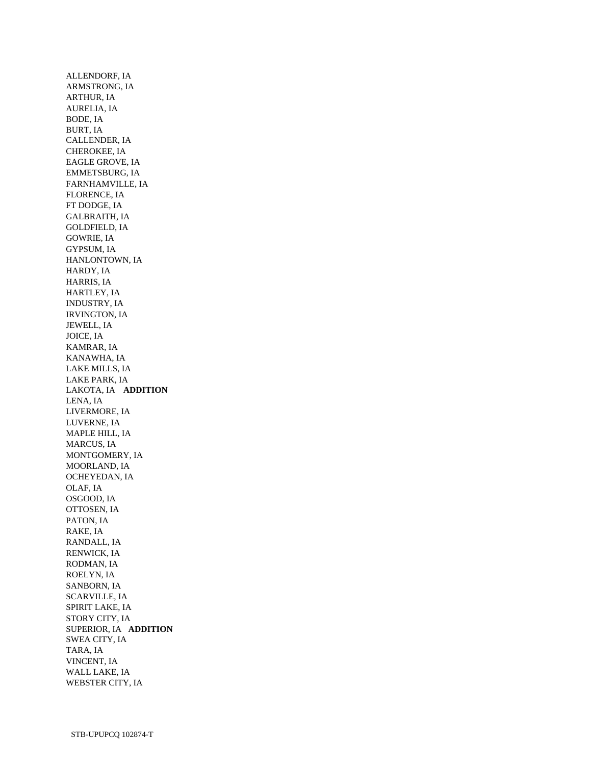ALLENDORF, IA ARMSTRONG, IA ARTHUR, IA AURELIA, IA BODE, IA BURT, IA CALLENDER, IA CHEROKEE, IA EAGLE GROVE, IA EMMETSBURG, IA FARNHAMVILLE, IA FLORENCE, IA FT DODGE, IA GALBRAITH, IA GOLDFIELD, IA GOWRIE, IA GYPSUM, IA HANLONTOWN, IA HARDY, IA HARRIS, IA HARTLEY, IA INDUSTRY, IA IRVINGTON, IA JEWELL, IA JOICE, IA KAMRAR, IA KANAWHA, IA LAKE MILLS, IA LAKE PARK, IA LAKOTA, IA **ADDITION**  LENA, IA LIVERMORE, IA LUVERNE, IA MAPLE HILL, IA MARCUS, IA MONTGOMERY, IA MOORLAND, IA OCHEYEDAN, IA OLAF, IA OSGOOD, IA OTTOSEN, IA PATON, IA RAKE, IA RANDALL, IA RENWICK, IA RODMAN, IA ROELYN, IA SANBORN, IA SCARVILLE, IA SPIRIT LAKE, IA STORY CITY, IA SUPERIOR, IA **ADDITION**  SWEA CITY, IA TARA, IA VINCENT, IA WALL LAKE, IA WEBSTER CITY, IA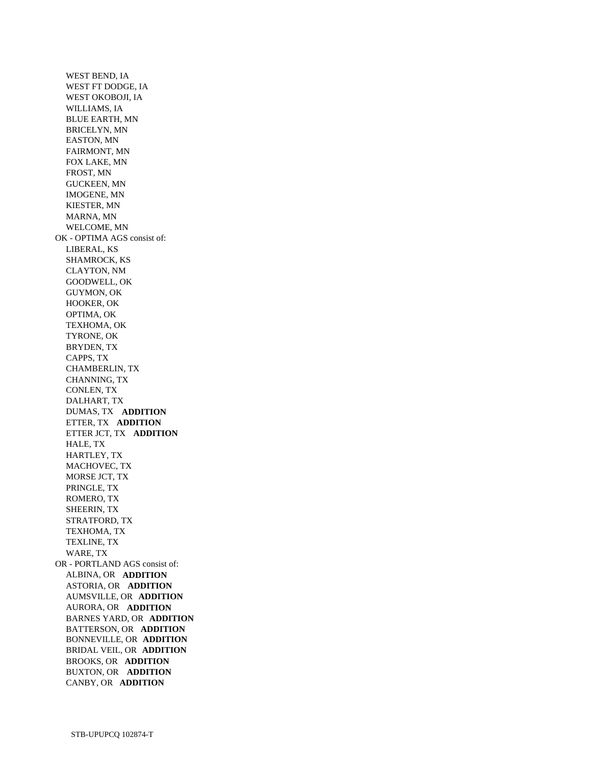WEST BEND, IA WEST FT DODGE, IA WEST OKOBOJI, IA WILLIAMS, IA BLUE EARTH, MN BRICELYN, MN EASTON, MN FAIRMONT, MN FOX LAKE, MN FROST, MN GUCKEEN, MN IMOGENE, MN KIESTER, MN MARNA, MN WELCOME, MN OK - OPTIMA AGS consist of: LIBERAL, KS SHAMROCK, KS CLAYTON, NM GOODWELL, OK GUYMON, OK HOOKER, OK OPTIMA, OK TEXHOMA, OK TYRONE, OK BRYDEN, TX CAPPS, TX CHAMBERLIN, TX CHANNING, TX CONLEN, TX DALHART, TX DUMAS, TX **ADDITION**  ETTER, TX **ADDITION**  ETTER JCT, TX **ADDITION**  HALE, TX HARTLEY, TX MACHOVEC, TX MORSE JCT, TX PRINGLE, TX ROMERO, TX SHEERIN, TX STRATFORD, TX TEXHOMA, TX TEXLINE, TX WARE, TX OR - PORTLAND AGS consist of: ALBINA, OR **ADDITION**  ASTORIA, OR **ADDITION**  AUMSVILLE, OR **ADDITION**  AURORA, OR **ADDITION**  BARNES YARD, OR **ADDITION**  BATTERSON, OR **ADDITION**  BONNEVILLE, OR **ADDITION**  BRIDAL VEIL, OR **ADDITION**  BROOKS, OR **ADDITION**  BUXTON, OR **ADDITION**  CANBY, OR **ADDITION**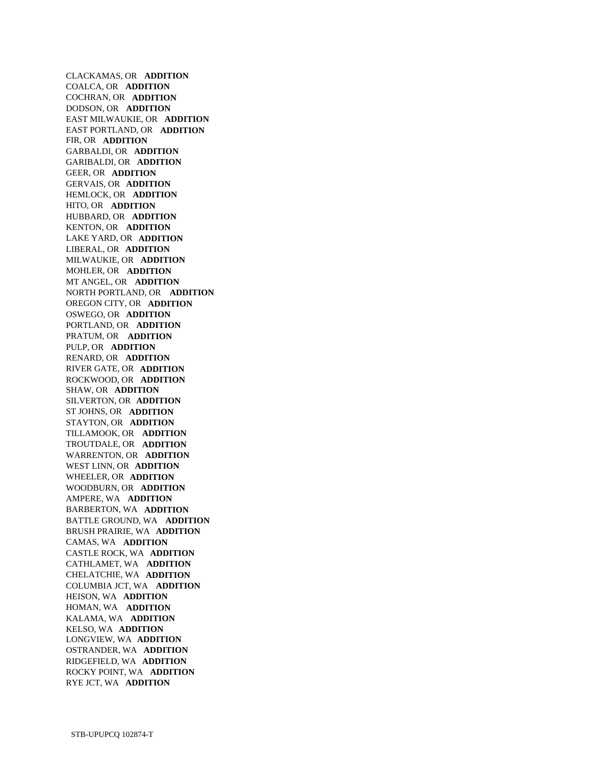CLACKAMAS, OR **ADDITION**  COALCA, OR **ADDITION**  COCHRAN, OR **ADDITION**  DODSON, OR **ADDITION**  EAST MILWAUKIE, OR **ADDITION**  EAST PORTLAND, OR **ADDITION**  FIR, OR **ADDITION**  GARBALDI, OR **ADDITION**  GARIBALDI, OR **ADDITION**  GEER, OR **ADDITION**  GERVAIS, OR **ADDITION**  HEMLOCK, OR **ADDITION**  HITO, OR **ADDITION**  HUBBARD, OR **ADDITION**  KENTON, OR **ADDITION**  LAKE YARD, OR **ADDITION**  LIBERAL, OR **ADDITION**  MILWAUKIE, OR **ADDITION**  MOHLER, OR **ADDITION**  MT ANGEL, OR **ADDITION**  NORTH PORTLAND, OR **ADDITION**  OREGON CITY, OR **ADDITION**  OSWEGO, OR **ADDITION**  PORTLAND, OR **ADDITION**  PRATUM, OR **ADDITION**  PULP, OR **ADDITION**  RENARD, OR **ADDITION**  RIVER GATE, OR **ADDITION**  ROCKWOOD, OR **ADDITION**  SHAW, OR **ADDITION**  SILVERTON, OR **ADDITION**  ST JOHNS, OR **ADDITION**  STAYTON, OR **ADDITION**  TILLAMOOK, OR **ADDITION**  TROUTDALE, OR **ADDITION**  WARRENTON, OR **ADDITION**  WEST LINN, OR **ADDITION**  WHEELER, OR **ADDITION**  WOODBURN, OR **ADDITION**  AMPERE, WA **ADDITION**  BARBERTON, WA **ADDITION**  BATTLE GROUND, WA **ADDITION**  BRUSH PRAIRIE, WA **ADDITION**  CAMAS, WA **ADDITION**  CASTLE ROCK, WA **ADDITION**  CATHLAMET, WA **ADDITION**  CHELATCHIE, WA **ADDITION**  COLUMBIA JCT, WA **ADDITION**  HEISON, WA **ADDITION**  HOMAN, WA **ADDITION**  KALAMA, WA **ADDITION**  KELSO, WA **ADDITION**  LONGVIEW, WA **ADDITION**  OSTRANDER, WA **ADDITION**  RIDGEFIELD, WA **ADDITION**  ROCKY POINT, WA **ADDITION**  RYE JCT, WA **ADDITION**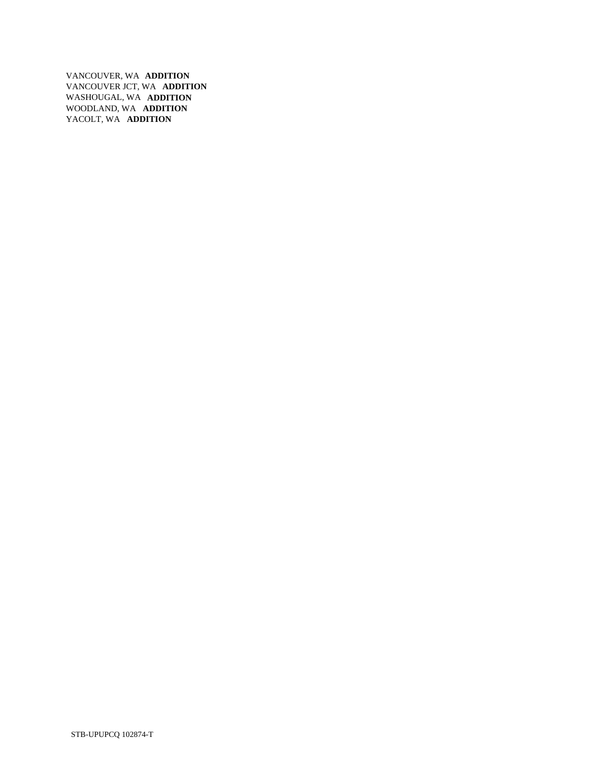VANCOUVER, WA **ADDITION**  VANCOUVER JCT, WA **ADDITION**  WASHOUGAL, WA **ADDITION**  WOODLAND, WA **ADDITION**  YACOLT, WA **ADDITION**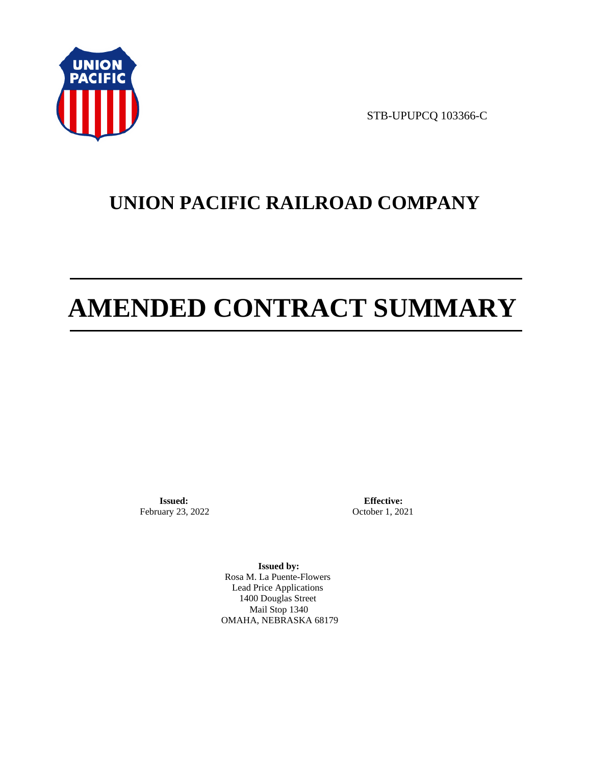

STB-UPUPCQ 103366-C

# **UNION PACIFIC RAILROAD COMPANY**

# **AMENDED CONTRACT SUMMARY**

**Issued:**  February 23, 2022

**Effective:** October 1, 2021

**Issued by:**  Rosa M. La Puente-Flowers Lead Price Applications 1400 Douglas Street Mail Stop 1340 OMAHA, NEBRASKA 68179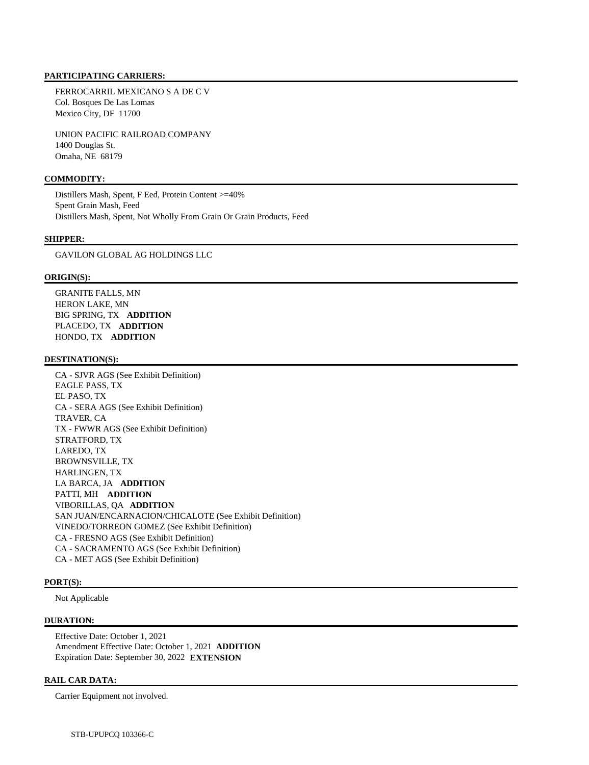#### **PARTICIPATING CARRIERS:**

 FERROCARRIL MEXICANO S A DE C V Col. Bosques De Las Lomas Mexico City, DF 11700

 UNION PACIFIC RAILROAD COMPANY 1400 Douglas St. Omaha, NE 68179

# **COMMODITY:**

 Distillers Mash, Spent, F Eed, Protein Content >=40% Spent Grain Mash, Feed Distillers Mash, Spent, Not Wholly From Grain Or Grain Products, Feed

#### **SHIPPER:**

GAVILON GLOBAL AG HOLDINGS LLC

#### **ORIGIN(S):**

 GRANITE FALLS, MN HERON LAKE, MN BIG SPRING, TX **ADDITION**  PLACEDO, TX **ADDITION**  HONDO, TX **ADDITION** 

#### **DESTINATION(S):**

 CA - SJVR AGS (See Exhibit Definition) EAGLE PASS, TX EL PASO, TX CA - SERA AGS (See Exhibit Definition) TRAVER, CA TX - FWWR AGS (See Exhibit Definition) STRATFORD, TX LAREDO, TX BROWNSVILLE, TX HARLINGEN, TX LA BARCA, JA **ADDITION**  PATTI, MH **ADDITION**  VIBORILLAS, QA **ADDITION**  SAN JUAN/ENCARNACION/CHICALOTE (See Exhibit Definition) VINEDO/TORREON GOMEZ (See Exhibit Definition) CA - FRESNO AGS (See Exhibit Definition) CA - SACRAMENTO AGS (See Exhibit Definition) CA - MET AGS (See Exhibit Definition)

# **PORT(S):**

Not Applicable

#### **DURATION:**

 Effective Date: October 1, 2021 Amendment Effective Date: October 1, 2021 **ADDITION**  Expiration Date: September 30, 2022 **EXTENSION** 

#### **RAIL CAR DATA:**

Carrier Equipment not involved.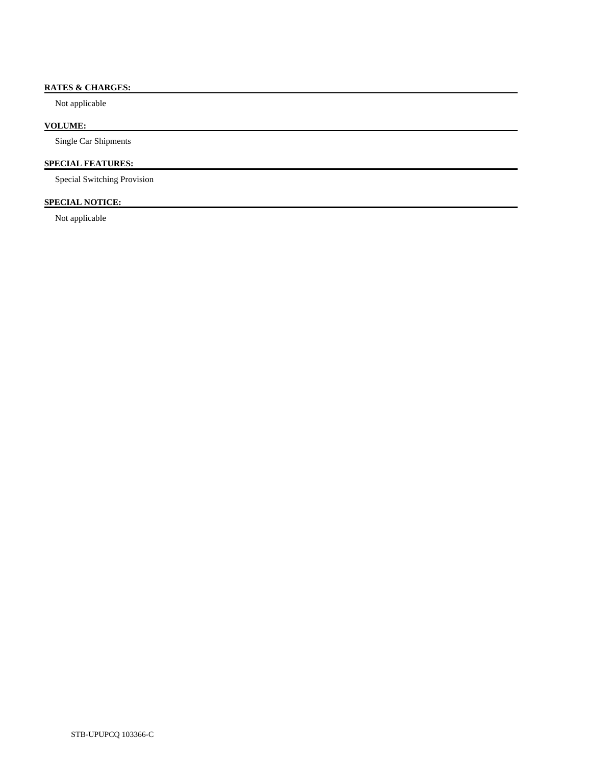# **RATES & CHARGES:**

Not applicable

## **VOLUME:**

Single Car Shipments

# **SPECIAL FEATURES:**

Special Switching Provision

# **SPECIAL NOTICE:**

Not applicable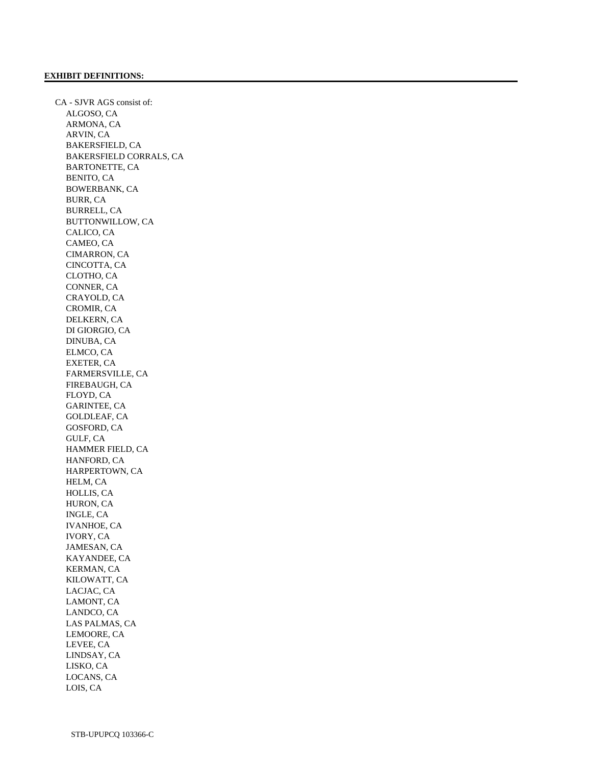CA - SJVR AGS consist of: ALGOSO, CA ARMONA, CA ARVIN, CA BAKERSFIELD, CA BAKERSFIELD CORRALS, CA BARTONETTE, CA BENITO, CA BOWERBANK, CA BURR, CA BURRELL, CA BUTTONWILLOW, CA CALICO, CA CAMEO, CA CIMARRON, CA CINCOTTA, CA CLOTHO, CA CONNER, CA CRAYOLD, CA CROMIR, CA DELKERN, CA DI GIORGIO, CA DINUBA, CA ELMCO, CA EXETER, CA FARMERSVILLE, CA FIREBAUGH, CA FLOYD, CA GARINTEE, CA GOLDLEAF, CA GOSFORD, CA GULF, CA HAMMER FIELD, CA HANFORD, CA HARPERTOWN, CA HELM, CA HOLLIS, CA HURON, CA INGLE, CA IVANHOE, CA IVORY, CA JAMESAN, CA KAYANDEE, CA KERMAN, CA KILOWATT, CA LACJAC, CA LAMONT, CA LANDCO, CA LAS PALMAS, CA LEMOORE, CA LEVEE, CA LINDSAY, CA LISKO, CA LOCANS, CA LOIS, CA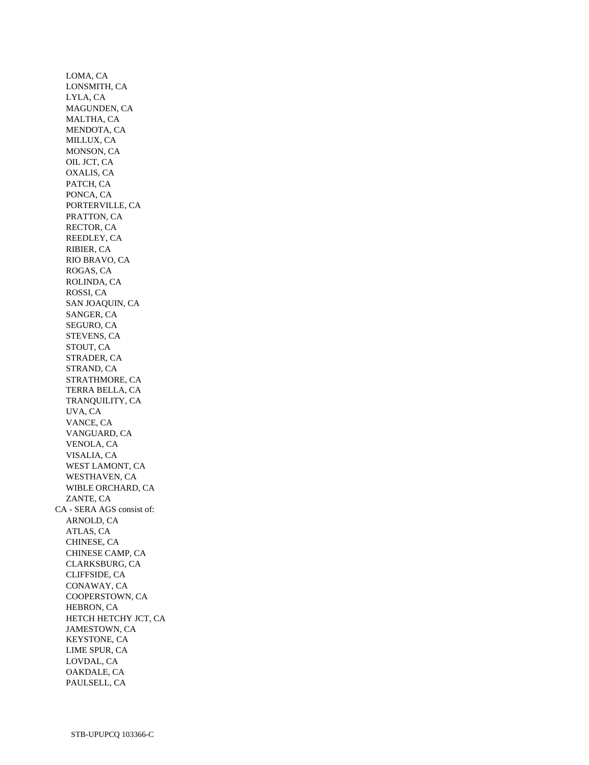LOMA, CA LONSMITH, CA LYLA, CA MAGUNDEN, CA MALTHA, CA MENDOTA, CA MILLUX, CA MONSON, CA OIL JCT, CA OXALIS, CA PATCH, CA PONCA, CA PORTERVILLE, CA PRATTON, CA RECTOR, CA REEDLEY, CA RIBIER, CA RIO BRAVO, CA ROGAS, CA ROLINDA, CA ROSSI, CA SAN JOAQUIN, CA SANGER, CA SEGURO, CA STEVENS, CA STOUT, CA STRADER, CA STRAND, CA STRATHMORE, CA TERRA BELLA, CA TRANQUILITY, CA UVA, CA VANCE, CA VANGUARD, CA VENOLA, CA VISALIA, CA WEST LAMONT, CA WESTHAVEN, CA WIBLE ORCHARD, CA ZANTE, CA CA - SERA AGS consist of: ARNOLD, CA ATLAS, CA CHINESE, CA CHINESE CAMP, CA CLARKSBURG, CA CLIFFSIDE, CA CONAWAY, CA COOPERSTOWN, CA HEBRON, CA HETCH HETCHY JCT, CA JAMESTOWN, CA KEYSTONE, CA LIME SPUR, CA LOVDAL, CA OAKDALE, CA PAULSELL, CA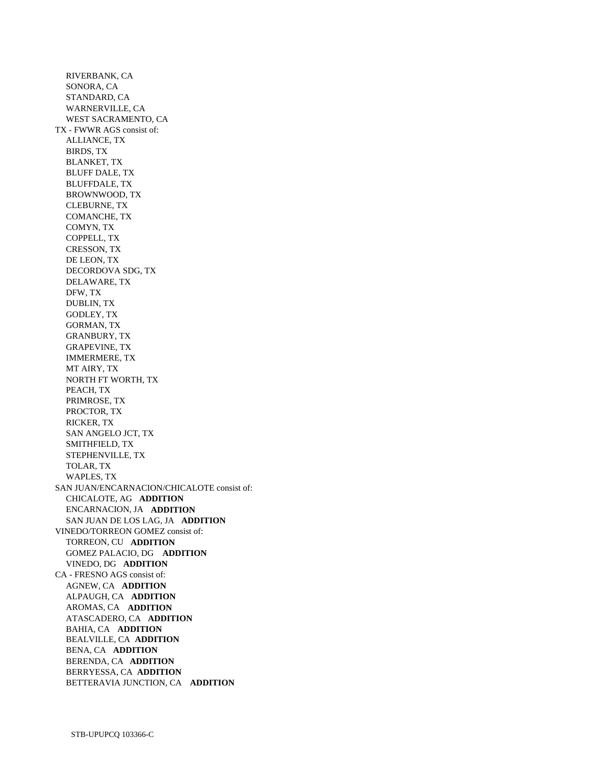RIVERBANK, CA SONORA, CA STANDARD, CA WARNERVILLE, CA WEST SACRAMENTO, CA TX - FWWR AGS consist of: ALLIANCE, TX BIRDS, TX BLANKET, TX BLUFF DALE, TX BLUFFDALE, TX BROWNWOOD, TX CLEBURNE, TX COMANCHE, TX COMYN, TX COPPELL, TX CRESSON, TX DE LEON, TX DECORDOVA SDG, TX DELAWARE, TX DFW, TX DUBLIN, TX GODLEY, TX GORMAN, TX GRANBURY, TX GRAPEVINE, TX IMMERMERE, TX MT AIRY, TX NORTH FT WORTH, TX PEACH, TX PRIMROSE, TX PROCTOR, TX RICKER, TX SAN ANGELO JCT, TX SMITHFIELD, TX STEPHENVILLE, TX TOLAR, TX WAPLES, TX SAN JUAN/ENCARNACION/CHICALOTE consist of: CHICALOTE, AG **ADDITION**  ENCARNACION, JA **ADDITION**  SAN JUAN DE LOS LAG, JA **ADDITION**  VINEDO/TORREON GOMEZ consist of: TORREON, CU **ADDITION**  GOMEZ PALACIO, DG **ADDITION**  VINEDO, DG **ADDITION**  CA - FRESNO AGS consist of: AGNEW, CA **ADDITION**  ALPAUGH, CA **ADDITION**  AROMAS, CA **ADDITION**  ATASCADERO, CA **ADDITION**  BAHIA, CA **ADDITION**  BEALVILLE, CA **ADDITION**  BENA, CA **ADDITION**  BERENDA, CA **ADDITION**  BERRYESSA, CA **ADDITION**  BETTERAVIA JUNCTION, CA **ADDITION**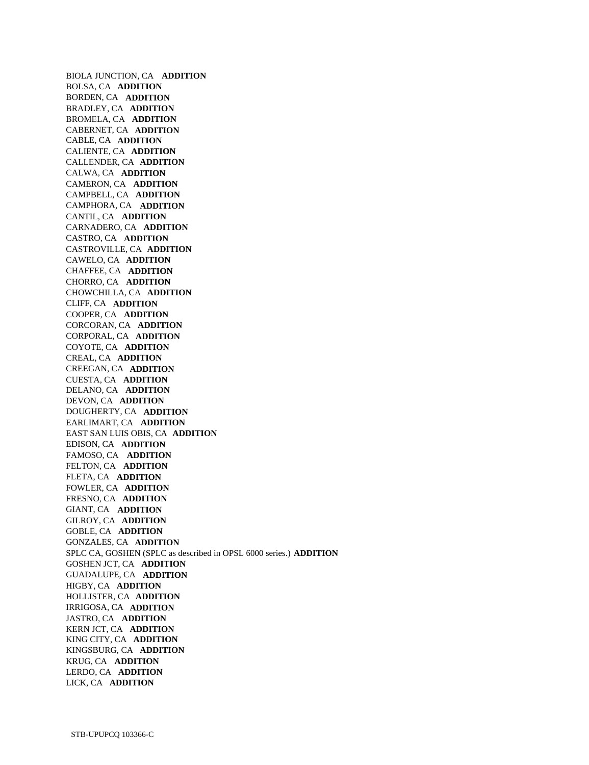BIOLA JUNCTION, CA **ADDITION**  BOLSA, CA **ADDITION**  BORDEN, CA **ADDITION**  BRADLEY, CA **ADDITION**  BROMELA, CA **ADDITION**  CABERNET, CA **ADDITION**  CABLE, CA **ADDITION**  CALIENTE, CA **ADDITION**  CALLENDER, CA **ADDITION**  CALWA, CA **ADDITION**  CAMERON, CA **ADDITION**  CAMPBELL, CA **ADDITION**  CAMPHORA, CA **ADDITION**  CANTIL, CA **ADDITION**  CARNADERO, CA **ADDITION**  CASTRO, CA **ADDITION**  CASTROVILLE, CA **ADDITION**  CAWELO, CA **ADDITION**  CHAFFEE, CA **ADDITION**  CHORRO, CA **ADDITION**  CHOWCHILLA, CA **ADDITION**  CLIFF, CA **ADDITION**  COOPER, CA **ADDITION**  CORCORAN, CA **ADDITION**  CORPORAL, CA **ADDITION**  COYOTE, CA **ADDITION**  CREAL, CA **ADDITION**  CREEGAN, CA **ADDITION**  CUESTA, CA **ADDITION**  DELANO, CA **ADDITION**  DEVON, CA **ADDITION**  DOUGHERTY, CA **ADDITION**  EARLIMART, CA **ADDITION**  EAST SAN LUIS OBIS, CA **ADDITION**  EDISON, CA **ADDITION**  FAMOSO, CA **ADDITION**  FELTON, CA **ADDITION**  FLETA, CA **ADDITION**  FOWLER, CA **ADDITION**  FRESNO, CA **ADDITION**  GIANT, CA **ADDITION**  GILROY, CA **ADDITION**  GOBLE, CA **ADDITION**  GONZALES, CA **ADDITION**  SPLC CA, GOSHEN (SPLC as described in OPSL 6000 series.) **ADDITION**  GOSHEN JCT, CA **ADDITION**  GUADALUPE, CA **ADDITION**  HIGBY, CA **ADDITION**  HOLLISTER, CA **ADDITION**  IRRIGOSA, CA **ADDITION**  JASTRO, CA **ADDITION**  KERN JCT, CA **ADDITION**  KING CITY, CA **ADDITION**  KINGSBURG, CA **ADDITION**  KRUG, CA **ADDITION**  LERDO, CA **ADDITION**  LICK, CA **ADDITION**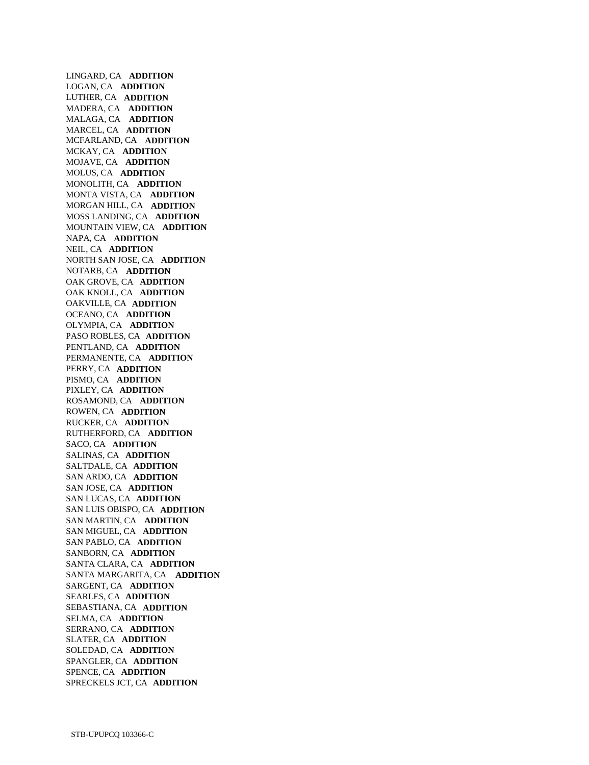LINGARD, CA **ADDITION**  LOGAN, CA **ADDITION**  LUTHER, CA **ADDITION**  MADERA, CA **ADDITION**  MALAGA, CA **ADDITION**  MARCEL, CA **ADDITION**  MCFARLAND, CA **ADDITION**  MCKAY, CA **ADDITION**  MOJAVE, CA **ADDITION**  MOLUS, CA **ADDITION**  MONOLITH, CA **ADDITION**  MONTA VISTA, CA **ADDITION**  MORGAN HILL, CA **ADDITION**  MOSS LANDING, CA **ADDITION**  MOUNTAIN VIEW, CA **ADDITION**  NAPA, CA **ADDITION**  NEIL, CA **ADDITION**  NORTH SAN JOSE, CA **ADDITION**  NOTARB, CA **ADDITION**  OAK GROVE, CA **ADDITION**  OAK KNOLL, CA **ADDITION**  OAKVILLE, CA **ADDITION**  OCEANO, CA **ADDITION**  OLYMPIA, CA **ADDITION**  PASO ROBLES, CA **ADDITION**  PENTLAND, CA **ADDITION**  PERMANENTE, CA **ADDITION**  PERRY, CA **ADDITION**  PISMO, CA **ADDITION**  PIXLEY, CA **ADDITION**  ROSAMOND, CA **ADDITION**  ROWEN, CA **ADDITION**  RUCKER, CA **ADDITION**  RUTHERFORD, CA **ADDITION**  SACO, CA **ADDITION**  SALINAS, CA **ADDITION**  SALTDALE, CA **ADDITION**  SAN ARDO, CA **ADDITION**  SAN JOSE, CA **ADDITION**  SAN LUCAS, CA **ADDITION**  SAN LUIS OBISPO, CA **ADDITION**  SAN MARTIN, CA **ADDITION**  SAN MIGUEL, CA **ADDITION**  SAN PABLO, CA **ADDITION**  SANBORN, CA **ADDITION**  SANTA CLARA, CA **ADDITION**  SANTA MARGARITA, CA **ADDITION**  SARGENT, CA **ADDITION**  SEARLES, CA **ADDITION**  SEBASTIANA, CA **ADDITION**  SELMA, CA **ADDITION**  SERRANO, CA **ADDITION**  SLATER, CA **ADDITION**  SOLEDAD, CA **ADDITION**  SPANGLER, CA **ADDITION**  SPENCE, CA **ADDITION**  SPRECKELS JCT, CA **ADDITION**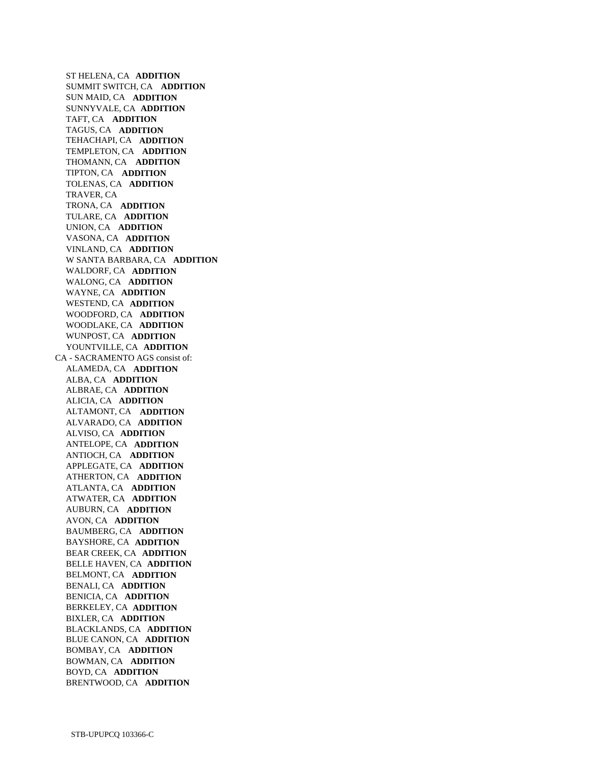ST HELENA, CA **ADDITION**  SUMMIT SWITCH, CA **ADDITION**  SUN MAID, CA **ADDITION**  SUNNYVALE, CA **ADDITION**  TAFT, CA **ADDITION**  TAGUS, CA **ADDITION**  TEHACHAPI, CA **ADDITION**  TEMPLETON, CA **ADDITION**  THOMANN, CA **ADDITION**  TIPTON, CA **ADDITION**  TOLENAS, CA **ADDITION**  TRAVER, CA TRONA, CA **ADDITION**  TULARE, CA **ADDITION**  UNION, CA **ADDITION**  VASONA, CA **ADDITION**  VINLAND, CA **ADDITION**  W SANTA BARBARA, CA **ADDITION**  WALDORF, CA **ADDITION**  WALONG, CA **ADDITION**  WAYNE, CA **ADDITION**  WESTEND, CA **ADDITION**  WOODFORD, CA **ADDITION**  WOODLAKE, CA **ADDITION**  WUNPOST, CA **ADDITION**  YOUNTVILLE, CA **ADDITION**  CA - SACRAMENTO AGS consist of: ALAMEDA, CA **ADDITION**  ALBA, CA **ADDITION**  ALBRAE, CA **ADDITION**  ALICIA, CA **ADDITION**  ALTAMONT, CA **ADDITION**  ALVARADO, CA **ADDITION**  ALVISO, CA **ADDITION**  ANTELOPE, CA **ADDITION**  ANTIOCH, CA **ADDITION**  APPLEGATE, CA **ADDITION**  ATHERTON, CA **ADDITION**  ATLANTA, CA **ADDITION**  ATWATER, CA **ADDITION**  AUBURN, CA **ADDITION**  AVON, CA **ADDITION**  BAUMBERG, CA **ADDITION**  BAYSHORE, CA **ADDITION**  BEAR CREEK, CA **ADDITION**  BELLE HAVEN, CA **ADDITION**  BELMONT, CA **ADDITION**  BENALI, CA **ADDITION**  BENICIA, CA **ADDITION**  BERKELEY, CA **ADDITION**  BIXLER, CA **ADDITION**  BLACKLANDS, CA **ADDITION**  BLUE CANON, CA **ADDITION**  BOMBAY, CA **ADDITION**  BOWMAN, CA **ADDITION**  BOYD, CA **ADDITION**  BRENTWOOD, CA **ADDITION**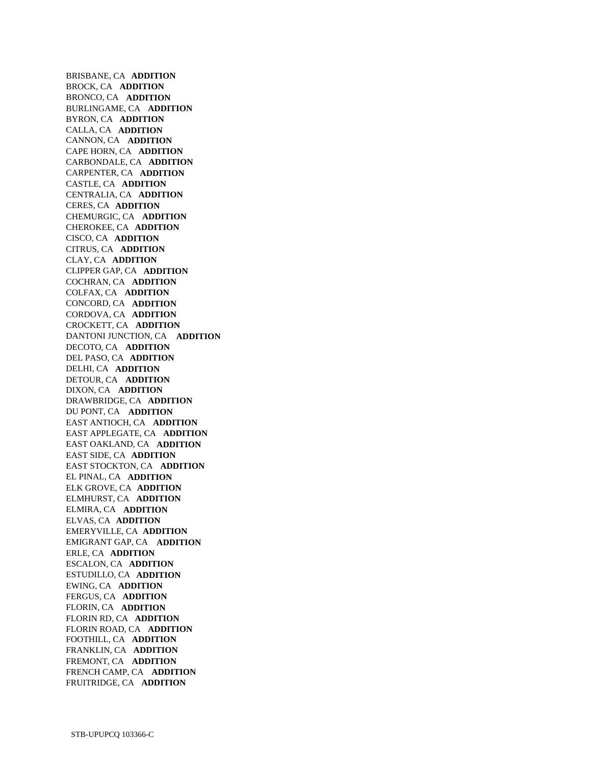BRISBANE, CA **ADDITION**  BROCK, CA **ADDITION**  BRONCO, CA **ADDITION**  BURLINGAME, CA **ADDITION**  BYRON, CA **ADDITION**  CALLA, CA **ADDITION**  CANNON, CA **ADDITION**  CAPE HORN, CA **ADDITION**  CARBONDALE, CA **ADDITION**  CARPENTER, CA **ADDITION**  CASTLE, CA **ADDITION**  CENTRALIA, CA **ADDITION**  CERES, CA **ADDITION**  CHEMURGIC, CA **ADDITION**  CHEROKEE, CA **ADDITION**  CISCO, CA **ADDITION**  CITRUS, CA **ADDITION**  CLAY, CA **ADDITION**  CLIPPER GAP, CA **ADDITION**  COCHRAN, CA **ADDITION**  COLFAX, CA **ADDITION**  CONCORD, CA **ADDITION**  CORDOVA, CA **ADDITION**  CROCKETT, CA **ADDITION**  DANTONI JUNCTION, CA **ADDITION**  DECOTO, CA **ADDITION**  DEL PASO, CA **ADDITION**  DELHI, CA **ADDITION**  DETOUR, CA **ADDITION**  DIXON, CA **ADDITION**  DRAWBRIDGE, CA **ADDITION**  DU PONT, CA **ADDITION**  EAST ANTIOCH, CA **ADDITION**  EAST APPLEGATE, CA **ADDITION**  EAST OAKLAND, CA **ADDITION**  EAST SIDE, CA **ADDITION**  EAST STOCKTON, CA **ADDITION**  EL PINAL, CA **ADDITION**  ELK GROVE, CA **ADDITION**  ELMHURST, CA **ADDITION**  ELMIRA, CA **ADDITION**  ELVAS, CA **ADDITION**  EMERYVILLE, CA **ADDITION**  EMIGRANT GAP, CA **ADDITION**  ERLE, CA **ADDITION**  ESCALON, CA **ADDITION**  ESTUDILLO, CA **ADDITION**  EWING, CA **ADDITION**  FERGUS, CA **ADDITION**  FLORIN, CA **ADDITION**  FLORIN RD, CA **ADDITION**  FLORIN ROAD, CA **ADDITION**  FOOTHILL, CA **ADDITION**  FRANKLIN, CA **ADDITION**  FREMONT, CA **ADDITION**  FRENCH CAMP, CA **ADDITION**  FRUITRIDGE, CA **ADDITION**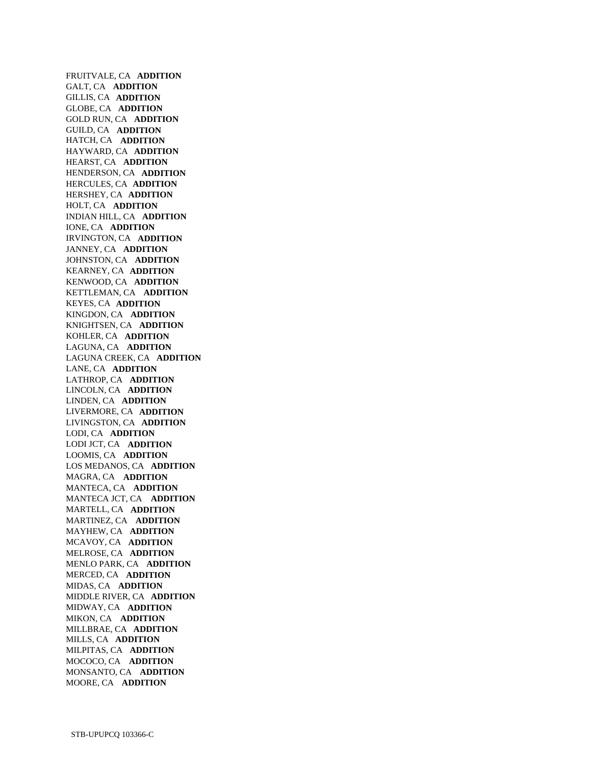FRUITVALE, CA **ADDITION**  GALT, CA **ADDITION**  GILLIS, CA **ADDITION**  GLOBE, CA **ADDITION**  GOLD RUN, CA **ADDITION**  GUILD, CA **ADDITION**  HATCH, CA **ADDITION**  HAYWARD, CA **ADDITION**  HEARST, CA **ADDITION**  HENDERSON, CA **ADDITION**  HERCULES, CA **ADDITION**  HERSHEY, CA **ADDITION**  HOLT, CA **ADDITION**  INDIAN HILL, CA **ADDITION**  IONE, CA **ADDITION**  IRVINGTON, CA **ADDITION**  JANNEY, CA **ADDITION**  JOHNSTON, CA **ADDITION**  KEARNEY, CA **ADDITION**  KENWOOD, CA **ADDITION**  KETTLEMAN, CA **ADDITION**  KEYES, CA **ADDITION**  KINGDON, CA **ADDITION**  KNIGHTSEN, CA **ADDITION**  KOHLER, CA **ADDITION**  LAGUNA, CA **ADDITION**  LAGUNA CREEK, CA **ADDITION**  LANE, CA **ADDITION**  LATHROP, CA **ADDITION**  LINCOLN, CA **ADDITION**  LINDEN, CA **ADDITION**  LIVERMORE, CA **ADDITION**  LIVINGSTON, CA **ADDITION**  LODI, CA **ADDITION**  LODI JCT, CA **ADDITION**  LOOMIS, CA **ADDITION**  LOS MEDANOS, CA **ADDITION**  MAGRA, CA **ADDITION**  MANTECA, CA **ADDITION**  MANTECA JCT, CA **ADDITION**  MARTELL, CA **ADDITION**  MARTINEZ, CA **ADDITION**  MAYHEW, CA **ADDITION**  MCAVOY, CA **ADDITION**  MELROSE, CA **ADDITION**  MENLO PARK, CA **ADDITION**  MERCED, CA **ADDITION**  MIDAS, CA **ADDITION**  MIDDLE RIVER, CA **ADDITION**  MIDWAY, CA **ADDITION**  MIKON, CA **ADDITION**  MILLBRAE, CA **ADDITION**  MILLS, CA **ADDITION**  MILPITAS, CA **ADDITION**  MOCOCO, CA **ADDITION**  MONSANTO, CA **ADDITION**  MOORE, CA **ADDITION**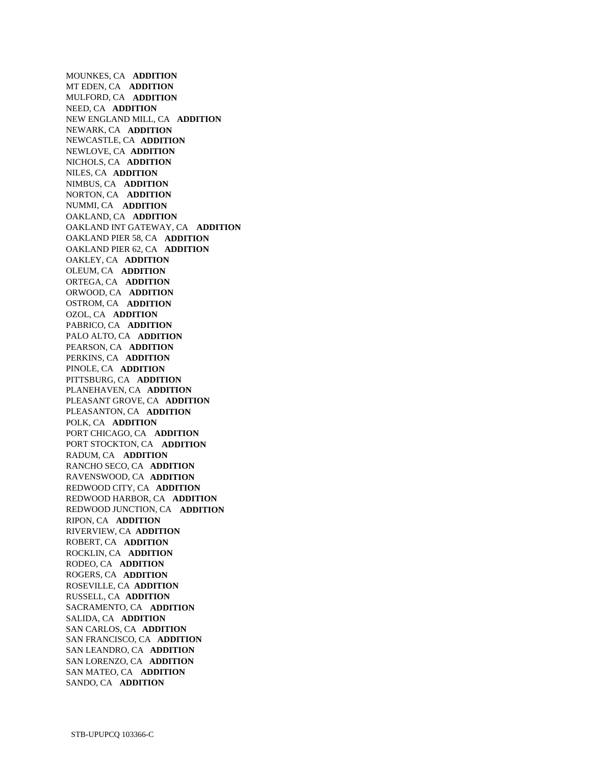MOUNKES, CA **ADDITION**  MT EDEN, CA **ADDITION**  MULFORD, CA **ADDITION**  NEED, CA **ADDITION**  NEW ENGLAND MILL, CA **ADDITION**  NEWARK, CA **ADDITION**  NEWCASTLE, CA **ADDITION**  NEWLOVE, CA **ADDITION**  NICHOLS, CA **ADDITION**  NILES, CA **ADDITION**  NIMBUS, CA **ADDITION**  NORTON, CA **ADDITION**  NUMMI, CA **ADDITION**  OAKLAND, CA **ADDITION**  OAKLAND INT GATEWAY, CA **ADDITION**  OAKLAND PIER 58, CA **ADDITION**  OAKLAND PIER 62, CA **ADDITION**  OAKLEY, CA **ADDITION**  OLEUM, CA **ADDITION**  ORTEGA, CA **ADDITION**  ORWOOD, CA **ADDITION**  OSTROM, CA **ADDITION**  OZOL, CA **ADDITION**  PABRICO, CA **ADDITION**  PALO ALTO, CA **ADDITION**  PEARSON, CA **ADDITION**  PERKINS, CA **ADDITION**  PINOLE, CA **ADDITION**  PITTSBURG, CA **ADDITION**  PLANEHAVEN, CA **ADDITION**  PLEASANT GROVE, CA **ADDITION**  PLEASANTON, CA **ADDITION**  POLK, CA **ADDITION**  PORT CHICAGO, CA **ADDITION**  PORT STOCKTON, CA **ADDITION**  RADUM, CA **ADDITION**  RANCHO SECO, CA **ADDITION**  RAVENSWOOD, CA **ADDITION**  REDWOOD CITY, CA **ADDITION**  REDWOOD HARBOR, CA **ADDITION**  REDWOOD JUNCTION, CA **ADDITION**  RIPON, CA **ADDITION**  RIVERVIEW, CA **ADDITION**  ROBERT, CA **ADDITION**  ROCKLIN, CA **ADDITION**  RODEO, CA **ADDITION**  ROGERS, CA **ADDITION**  ROSEVILLE, CA **ADDITION**  RUSSELL, CA **ADDITION**  SACRAMENTO, CA **ADDITION**  SALIDA, CA **ADDITION**  SAN CARLOS, CA **ADDITION**  SAN FRANCISCO, CA **ADDITION**  SAN LEANDRO, CA **ADDITION**  SAN LORENZO, CA **ADDITION**  SAN MATEO, CA **ADDITION**  SANDO, CA **ADDITION**